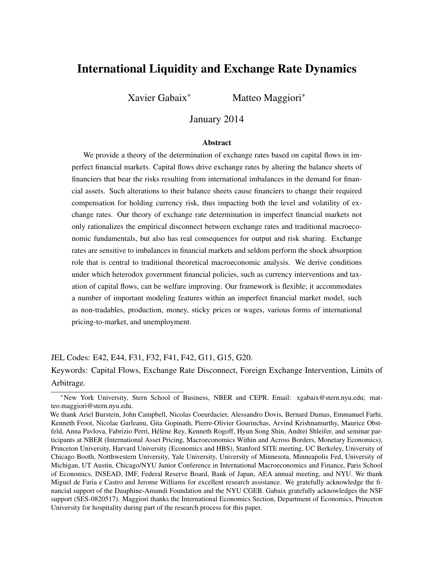# International Liquidity and Exchange Rate Dynamics

Xavier Gabaix<sup>∗</sup> Matteo Maggiori<sup>∗</sup>

January 2014

#### Abstract

We provide a theory of the determination of exchange rates based on capital flows in imperfect financial markets. Capital flows drive exchange rates by altering the balance sheets of financiers that bear the risks resulting from international imbalances in the demand for financial assets. Such alterations to their balance sheets cause financiers to change their required compensation for holding currency risk, thus impacting both the level and volatility of exchange rates. Our theory of exchange rate determination in imperfect financial markets not only rationalizes the empirical disconnect between exchange rates and traditional macroeconomic fundamentals, but also has real consequences for output and risk sharing. Exchange rates are sensitive to imbalances in financial markets and seldom perform the shock absorption role that is central to traditional theoretical macroeconomic analysis. We derive conditions under which heterodox government financial policies, such as currency interventions and taxation of capital flows, can be welfare improving. Our framework is flexible; it accommodates a number of important modeling features within an imperfect financial market model, such as non-tradables, production, money, sticky prices or wages, various forms of international pricing-to-market, and unemployment.

#### JEL Codes: E42, E44, F31, F32, F41, F42, G11, G15, G20.

Keywords: Capital Flows, Exchange Rate Disconnect, Foreign Exchange Intervention, Limits of Arbitrage.

<sup>∗</sup>New York University, Stern School of Business, NBER and CEPR. Email: xgabaix@stern.nyu.edu; matteo.maggiori@stern.nyu.edu.

We thank Ariel Burstein, John Campbell, Nicolas Coeurdacier, Alessandro Dovis, Bernard Dumas, Emmanuel Farhi, Kenneth Froot, Nicolae Garleanu, Gita Gopinath, Pierre-Olivier Gourinchas, Arvind Krishnamurthy, Maurice Obstfeld, Anna Pavlova, Fabrizio Perri, Hélène Rey, Kenneth Rogoff, Hyun Song Shin, Andrei Shleifer, and seminar participants at NBER (International Asset Pricing, Macroeconomics Within and Across Borders, Monetary Economics), Princeton University, Harvard University (Economics and HBS), Stanford SITE meeting, UC Berkeley, University of Chicago Booth, Northwestern University, Yale University, University of Minnesota, Minneapolis Fed, University of Michigan, UT Austin, Chicago/NYU Junior Conference in International Macroeconomics and Finance, Paris School of Economics, INSEAD, IMF, Federal Reserve Board, Bank of Japan, AEA annual meeting, and NYU. We thank Miguel de Faria e Castro and Jerome Williams for excellent research assistance. We gratefully acknowledge the financial support of the Dauphine-Amundi Foundation and the NYU CGEB. Gabaix gratefully acknowledges the NSF support (SES-0820517). Maggiori thanks the International Economics Section, Department of Economics, Princeton University for hospitality during part of the research process for this paper.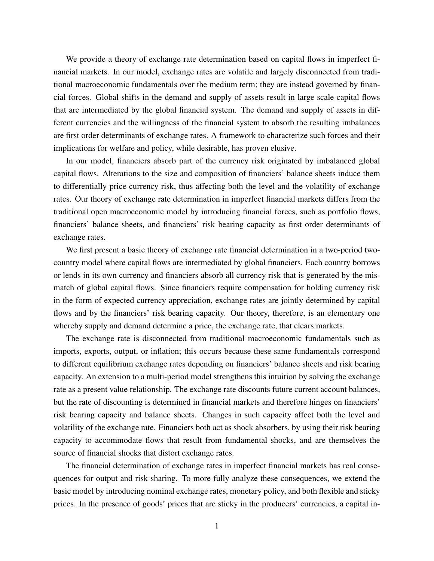We provide a theory of exchange rate determination based on capital flows in imperfect financial markets. In our model, exchange rates are volatile and largely disconnected from traditional macroeconomic fundamentals over the medium term; they are instead governed by financial forces. Global shifts in the demand and supply of assets result in large scale capital flows that are intermediated by the global financial system. The demand and supply of assets in different currencies and the willingness of the financial system to absorb the resulting imbalances are first order determinants of exchange rates. A framework to characterize such forces and their implications for welfare and policy, while desirable, has proven elusive.

In our model, financiers absorb part of the currency risk originated by imbalanced global capital flows. Alterations to the size and composition of financiers' balance sheets induce them to differentially price currency risk, thus affecting both the level and the volatility of exchange rates. Our theory of exchange rate determination in imperfect financial markets differs from the traditional open macroeconomic model by introducing financial forces, such as portfolio flows, financiers' balance sheets, and financiers' risk bearing capacity as first order determinants of exchange rates.

We first present a basic theory of exchange rate financial determination in a two-period twocountry model where capital flows are intermediated by global financiers. Each country borrows or lends in its own currency and financiers absorb all currency risk that is generated by the mismatch of global capital flows. Since financiers require compensation for holding currency risk in the form of expected currency appreciation, exchange rates are jointly determined by capital flows and by the financiers' risk bearing capacity. Our theory, therefore, is an elementary one whereby supply and demand determine a price, the exchange rate, that clears markets.

The exchange rate is disconnected from traditional macroeconomic fundamentals such as imports, exports, output, or inflation; this occurs because these same fundamentals correspond to different equilibrium exchange rates depending on financiers' balance sheets and risk bearing capacity. An extension to a multi-period model strengthens this intuition by solving the exchange rate as a present value relationship. The exchange rate discounts future current account balances, but the rate of discounting is determined in financial markets and therefore hinges on financiers' risk bearing capacity and balance sheets. Changes in such capacity affect both the level and volatility of the exchange rate. Financiers both act as shock absorbers, by using their risk bearing capacity to accommodate flows that result from fundamental shocks, and are themselves the source of financial shocks that distort exchange rates.

The financial determination of exchange rates in imperfect financial markets has real consequences for output and risk sharing. To more fully analyze these consequences, we extend the basic model by introducing nominal exchange rates, monetary policy, and both flexible and sticky prices. In the presence of goods' prices that are sticky in the producers' currencies, a capital in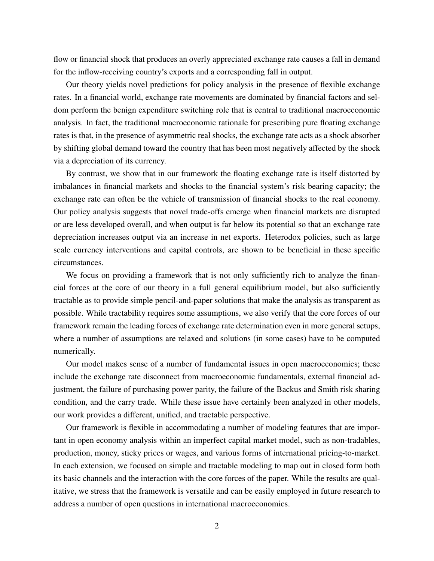flow or financial shock that produces an overly appreciated exchange rate causes a fall in demand for the inflow-receiving country's exports and a corresponding fall in output.

Our theory yields novel predictions for policy analysis in the presence of flexible exchange rates. In a financial world, exchange rate movements are dominated by financial factors and seldom perform the benign expenditure switching role that is central to traditional macroeconomic analysis. In fact, the traditional macroeconomic rationale for prescribing pure floating exchange rates is that, in the presence of asymmetric real shocks, the exchange rate acts as a shock absorber by shifting global demand toward the country that has been most negatively affected by the shock via a depreciation of its currency.

By contrast, we show that in our framework the floating exchange rate is itself distorted by imbalances in financial markets and shocks to the financial system's risk bearing capacity; the exchange rate can often be the vehicle of transmission of financial shocks to the real economy. Our policy analysis suggests that novel trade-offs emerge when financial markets are disrupted or are less developed overall, and when output is far below its potential so that an exchange rate depreciation increases output via an increase in net exports. Heterodox policies, such as large scale currency interventions and capital controls, are shown to be beneficial in these specific circumstances.

We focus on providing a framework that is not only sufficiently rich to analyze the financial forces at the core of our theory in a full general equilibrium model, but also sufficiently tractable as to provide simple pencil-and-paper solutions that make the analysis as transparent as possible. While tractability requires some assumptions, we also verify that the core forces of our framework remain the leading forces of exchange rate determination even in more general setups, where a number of assumptions are relaxed and solutions (in some cases) have to be computed numerically.

Our model makes sense of a number of fundamental issues in open macroeconomics; these include the exchange rate disconnect from macroeconomic fundamentals, external financial adjustment, the failure of purchasing power parity, the failure of the Backus and Smith risk sharing condition, and the carry trade. While these issue have certainly been analyzed in other models, our work provides a different, unified, and tractable perspective.

Our framework is flexible in accommodating a number of modeling features that are important in open economy analysis within an imperfect capital market model, such as non-tradables, production, money, sticky prices or wages, and various forms of international pricing-to-market. In each extension, we focused on simple and tractable modeling to map out in closed form both its basic channels and the interaction with the core forces of the paper. While the results are qualitative, we stress that the framework is versatile and can be easily employed in future research to address a number of open questions in international macroeconomics.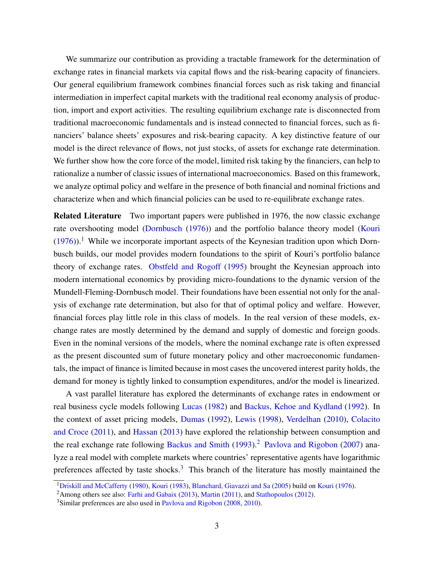We summarize our contribution as providing a tractable framework for the determination of exchange rates in financial markets via capital flows and the risk-bearing capacity of financiers. Our general equilibrium framework combines financial forces such as risk taking and financial intermediation in imperfect capital markets with the traditional real economy analysis of production, import and export activities. The resulting equilibrium exchange rate is disconnected from traditional macroeconomic fundamentals and is instead connected to financial forces, such as financiers' balance sheets' exposures and risk-bearing capacity. A key distinctive feature of our model is the direct relevance of flows, not just stocks, of assets for exchange rate determination. We further show how the core force of the model, limited risk taking by the financiers, can help to rationalize a number of classic issues of international macroeconomics. Based on this framework, we analyze optimal policy and welfare in the presence of both financial and nominal frictions and characterize when and which financial policies can be used to re-equilibrate exchange rates.

Related Literature Two important papers were published in 1976, the now classic exchange rate overshooting model [\(Dornbusch](#page-38-0) [\(1976\)](#page-38-0)) and the portfolio balance theory model [\(Kouri](#page-40-0)  $(1976)$ .<sup>[1](#page-3-0)</sup> While we incorporate important aspects of the Keynesian tradition upon which Dornbusch builds, our model provides modern foundations to the spirit of Kouri's portfolio balance theory of exchange rates. [Obstfeld and Rogoff](#page-40-1) [\(1995\)](#page-40-1) brought the Keynesian approach into modern international economics by providing micro-foundations to the dynamic version of the Mundell-Fleming-Dornbusch model. Their foundations have been essential not only for the analysis of exchange rate determination, but also for that of optimal policy and welfare. However, financial forces play little role in this class of models. In the real version of these models, exchange rates are mostly determined by the demand and supply of domestic and foreign goods. Even in the nominal versions of the models, where the nominal exchange rate is often expressed as the present discounted sum of future monetary policy and other macroeconomic fundamentals, the impact of finance is limited because in most cases the uncovered interest parity holds, the demand for money is tightly linked to consumption expenditures, and/or the model is linearized.

A vast parallel literature has explored the determinants of exchange rates in endowment or real business cycle models following [Lucas](#page-40-2) [\(1982\)](#page-40-2) and [Backus, Kehoe and Kydland](#page-38-1) [\(1992\)](#page-38-1). In the context of asset pricing models, [Dumas](#page-38-2) [\(1992\)](#page-38-2), [Lewis](#page-40-3) [\(1998\)](#page-40-3), [Verdelhan](#page-41-0) [\(2010\)](#page-41-0), [Colacito](#page-38-3) [and Croce](#page-38-3) [\(2011\)](#page-38-3), and [Hassan](#page-39-0) [\(2013\)](#page-39-0) have explored the relationship between consumption and the real exchange rate following [Backus and Smith](#page-38-4)  $(1993)$ .<sup>[2](#page-3-1)</sup> [Pavlova and Rigobon](#page-40-4) [\(2007\)](#page-40-4) analyze a real model with complete markets where countries' representative agents have logarithmic preferences affected by taste shocks. $3$  This branch of the literature has mostly maintained the

<span id="page-3-0"></span><sup>1</sup>[Driskill and McCafferty](#page-38-5) [\(1980\)](#page-38-5), [Kouri](#page-40-5) [\(1983\)](#page-40-5), [Blanchard, Giavazzi and Sa](#page-38-6) [\(2005\)](#page-38-6) build on [Kouri](#page-40-0) [\(1976\)](#page-40-0).

<span id="page-3-1"></span><sup>&</sup>lt;sup>2</sup>Among others see also: [Farhi and Gabaix](#page-39-1) [\(2013\)](#page-39-1), [Martin](#page-40-6) [\(2011\)](#page-40-6), and [Stathopoulos](#page-41-1) [\(2012\)](#page-41-1).

<span id="page-3-2"></span><sup>&</sup>lt;sup>3</sup>Similar preferences are also used in [Pavlova and Rigobon](#page-40-7) [\(2008,](#page-40-7) [2010\)](#page-40-8).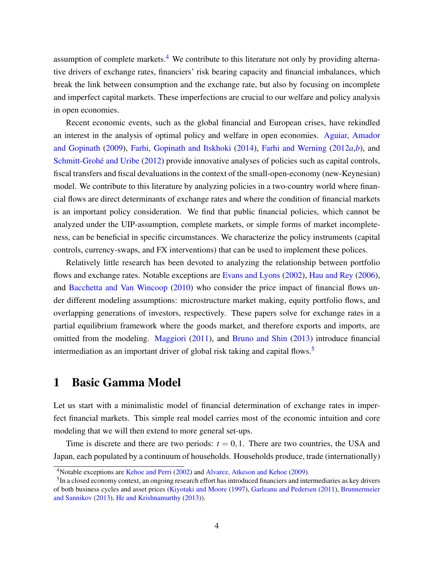assumption of complete markets.<sup>[4](#page-4-0)</sup> We contribute to this literature not only by providing alternative drivers of exchange rates, financiers' risk bearing capacity and financial imbalances, which break the link between consumption and the exchange rate, but also by focusing on incomplete and imperfect capital markets. These imperfections are crucial to our welfare and policy analysis in open economies.

Recent economic events, such as the global financial and European crises, have rekindled an interest in the analysis of optimal policy and welfare in open economies. [Aguiar, Amador](#page-38-7) [and Gopinath](#page-38-7) [\(2009\)](#page-38-7), [Farhi, Gopinath and Itskhoki](#page-39-2) [\(2014\)](#page-39-2), [Farhi and Werning](#page-39-3) [\(2012](#page-39-3)*a*,*[b](#page-39-4)*), and [Schmitt-Grohé and Uribe](#page-40-9) [\(2012\)](#page-40-9) provide innovative analyses of policies such as capital controls, fiscal transfers and fiscal devaluations in the context of the small-open-economy (new-Keynesian) model. We contribute to this literature by analyzing policies in a two-country world where financial flows are direct determinants of exchange rates and where the condition of financial markets is an important policy consideration. We find that public financial policies, which cannot be analyzed under the UIP-assumption, complete markets, or simple forms of market incompleteness, can be beneficial in specific circumstances. We characterize the policy instruments (capital controls, currency-swaps, and FX interventions) that can be used to implement these polices.

Relatively little research has been devoted to analyzing the relationship between portfolio flows and exchange rates. Notable exceptions are [Evans and Lyons](#page-39-5) [\(2002\)](#page-39-5), [Hau and Rey](#page-39-6) [\(2006\)](#page-39-6), and [Bacchetta and Van Wincoop](#page-38-8) [\(2010\)](#page-38-8) who consider the price impact of financial flows under different modeling assumptions: microstructure market making, equity portfolio flows, and overlapping generations of investors, respectively. These papers solve for exchange rates in a partial equilibrium framework where the goods market, and therefore exports and imports, are omitted from the modeling. [Maggiori](#page-40-10) [\(2011\)](#page-40-10), and [Bruno and Shin](#page-38-9) [\(2013\)](#page-38-9) introduce financial intermediation as an important driver of global risk taking and capital flows.<sup>[5](#page-4-1)</sup>

# <span id="page-4-2"></span>1 Basic Gamma Model

Let us start with a minimalistic model of financial determination of exchange rates in imperfect financial markets. This simple real model carries most of the economic intuition and core modeling that we will then extend to more general set-ups.

Time is discrete and there are two periods:  $t = 0, 1$ . There are two countries, the USA and Japan, each populated by a continuum of households. Households produce, trade (internationally)

<span id="page-4-0"></span><sup>4</sup>Notable exceptions are [Kehoe and Perri](#page-40-11) [\(2002\)](#page-40-11) and [Alvarez, Atkeson and Kehoe](#page-38-10) [\(2009\)](#page-38-10).

<span id="page-4-1"></span> $<sup>5</sup>$ In a closed economy context, an ongoing research effort has introduced financiers and intermediaries as key drivers</sup> of both business cycles and asset prices [\(Kiyotaki and Moore](#page-40-12) [\(1997\)](#page-40-12), [Garleanu and Pedersen](#page-39-7) [\(2011\)](#page-39-7), [Brunnermeier](#page-38-11) [and Sannikov](#page-38-11) [\(2013\)](#page-38-11), [He and Krishnamurthy](#page-39-8) [\(2013\)](#page-39-8)).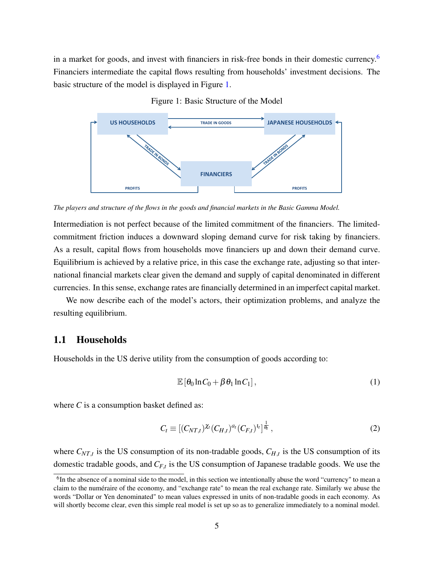in a market for goods, and invest with financiers in risk-free bonds in their domestic currency.<sup>[6](#page-5-0)</sup> Financiers intermediate the capital flows resulting from households' investment decisions. The basic structure of the model is displayed in Figure [1.](#page-5-1)

<span id="page-5-1"></span>

Figure 1: Basic Structure of the Model

*The players and structure of the flows in the goods and financial markets in the Basic Gamma Model.*

Intermediation is not perfect because of the limited commitment of the financiers. The limitedcommitment friction induces a downward sloping demand curve for risk taking by financiers. As a result, capital flows from households move financiers up and down their demand curve. Equilibrium is achieved by a relative price, in this case the exchange rate, adjusting so that international financial markets clear given the demand and supply of capital denominated in different currencies. In this sense, exchange rates are financially determined in an imperfect capital market.

We now describe each of the model's actors, their optimization problems, and analyze the resulting equilibrium.

### <span id="page-5-3"></span>1.1 Households

Households in the US derive utility from the consumption of goods according to:

<span id="page-5-2"></span>
$$
\mathbb{E}\left[\theta_0 \ln C_0 + \beta \theta_1 \ln C_1\right],\tag{1}
$$

where *C* is a consumption basket defined as:

<span id="page-5-4"></span>
$$
C_t \equiv [(C_{NT,t})^{\chi_t} (C_{H,t})^{a_t} (C_{F,t})^{a_t}]^{\frac{1}{\theta_t}}, \qquad (2)
$$

where  $C_{NT,t}$  is the US consumption of its non-tradable goods,  $C_{H,t}$  is the US consumption of its domestic tradable goods, and *CF*,*<sup>t</sup>* is the US consumption of Japanese tradable goods. We use the

<span id="page-5-0"></span> ${}^{6}$ In the absence of a nominal side to the model, in this section we intentionally abuse the word "currency" to mean a claim to the numéraire of the economy, and "exchange rate" to mean the real exchange rate. Similarly we abuse the words "Dollar or Yen denominated" to mean values expressed in units of non-tradable goods in each economy. As will shortly become clear, even this simple real model is set up so as to generalize immediately to a nominal model.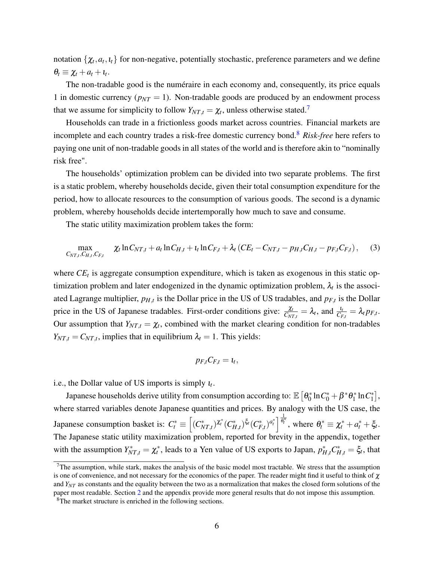notation  $\{\chi_t, a_t, t_t\}$  for non-negative, potentially stochastic, preference parameters and we define  $\theta_t \equiv \chi_t + a_t + \iota_t.$ 

The non-tradable good is the numéraire in each economy and, consequently, its price equals 1 in domestic currency ( $p_{NT} = 1$ ). Non-tradable goods are produced by an endowment process that we assume for simplicity to follow  $Y_{NT,t} = \chi_t$ , unless otherwise stated.<sup>[7](#page-6-0)</sup>

Households can trade in a frictionless goods market across countries. Financial markets are incomplete and each country trades a risk-free domestic currency bond.[8](#page-6-1) *Risk-free* here refers to paying one unit of non-tradable goods in all states of the world and is therefore akin to "nominally risk free".

The households' optimization problem can be divided into two separate problems. The first is a static problem, whereby households decide, given their total consumption expenditure for the period, how to allocate resources to the consumption of various goods. The second is a dynamic problem, whereby households decide intertemporally how much to save and consume.

The static utility maximization problem takes the form:

<span id="page-6-2"></span>
$$
\max_{C_{NT,t}, C_{H,t}, C_{F,t}} \chi_t \ln C_{NT,t} + a_t \ln C_{H,t} + t_t \ln C_{F,t} + \lambda_t (CE_t - C_{NT,t} - p_{H,t}C_{H,t} - p_{F,t}C_{F,t}),
$$
 (3)

where  $CE<sub>t</sub>$  is aggregate consumption expenditure, which is taken as exogenous in this static optimization problem and later endogenized in the dynamic optimization problem,  $\lambda_t$  is the associated Lagrange multiplier, *pH*,*<sup>t</sup>* is the Dollar price in the US of US tradables, and *pF*,*<sup>t</sup>* is the Dollar price in the US of Japanese tradables. First-order conditions give:  $\frac{\chi_t}{C_{NT,t}} = \lambda_t$ , and  $\frac{l_t}{C_{F,t}} = \lambda_t p_{F,t}$ . Our assumption that  $Y_{NT,t} = \chi_t$ , combined with the market clearing condition for non-tradables  $Y_{NT,t} = C_{NT,t}$ , implies that in equilibrium  $\lambda_t = 1$ . This yields:

$$
p_{F,t}C_{F,t}=t_t,
$$

i.e., the Dollar value of US imports is simply  $u_t$ .

Japanese households derive utility from consumption according to:  $\mathbb{E}\left[\mathbf{\theta}_0^*\right]$  $n_0^* \ln C_0^* + \beta^* \theta_1^*$  $l_1^*$  ln  $C_1^*$  $\left[\begin{smallmatrix} * \ 1 \end{smallmatrix}\right],$ where starred variables denote Japanese quantities and prices. By analogy with the US case, the Japanese consumption basket is:  $C_t^* \equiv \left[ (C_{NT,t}^*)^{\chi_t^*} (C_{H,t}^*)^{\xi_t} (C_{F,t}^*)^{\alpha_t^*} \right]_{\theta_t^*}^{\frac{1}{\theta_t^*}}$  $\overline{\theta_t^*}$ , where  $\theta_t^* \equiv \chi_t^* + a_t^* + \xi_t$ . The Japanese static utility maximization problem, reported for brevity in the appendix, together with the assumption  $Y_{NT,t}^* = \chi_t^*$ , leads to a Yen value of US exports to Japan,  $p_{H,t}^* C_{H,t}^* = \xi_t$ , that

<span id="page-6-0"></span> $7$ The assumption, while stark, makes the analysis of the basic model most tractable. We stress that the assumption is one of convenience, and not necessary for the economics of the paper. The reader might find it useful to think of  $\chi$ and *YNT* as constants and the equality between the two as a normalization that makes the closed form solutions of the paper most readable. Section [2](#page-20-0) and the appendix provide more general results that do not impose this assumption.

<span id="page-6-1"></span><sup>&</sup>lt;sup>8</sup>The market structure is enriched in the following sections.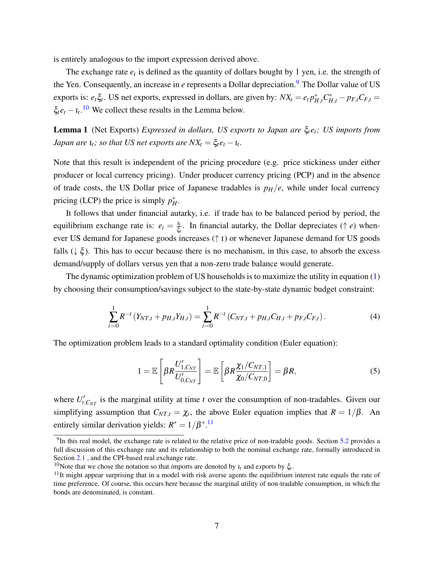is entirely analogous to the import expression derived above.

The exchange rate  $e_t$  is defined as the quantity of dollars bought by 1 yen, i.e. the strength of the Yen. Consequently, an increase in *e* represents a Dollar depreciation.<sup>[9](#page-7-0)</sup> The Dollar value of US exports is:  $e_t \xi_t$ . US net exports, expressed in dollars, are given by:  $NX_t = e_t p_{H,t}^* C_{H,t}^* - p_{F,t} C_{F,t} =$  $\xi_t e_t - \iota_t$ .<sup>[10](#page-7-1)</sup> We collect these results in the Lemma below.

Lemma 1 (Net Exports) *Expressed in dollars, US exports to Japan are* ξ*tet; US imports from Japan are*  $\iota_t$ *; so that US net exports are*  $NX_t = \xi_t e_t - \iota_t$ *.* 

Note that this result is independent of the pricing procedure (e.g. price stickiness under either producer or local currency pricing). Under producer currency pricing (PCP) and in the absence of trade costs, the US Dollar price of Japanese tradables is  $p_H/e$ , while under local currency pricing (LCP) the price is simply  $p_H^*$ .

It follows that under financial autarky, i.e. if trade has to be balanced period by period, the equilibrium exchange rate is:  $e_t = \frac{I_t}{\xi}$  $\frac{t_t}{\xi_t}$ . In financial autarky, the Dollar depreciates ( $\uparrow$  *e*) whenever US demand for Japanese goods increases  $(† i)$  or whenever Japanese demand for US goods falls  $(\downarrow \xi)$ . This has to occur because there is no mechanism, in this case, to absorb the excess demand/supply of dollars versus yen that a non-zero trade balance would generate.

The dynamic optimization problem of US households is to maximize the utility in equation [\(1\)](#page-5-2) by choosing their consumption/savings subject to the state-by-state dynamic budget constraint:

<span id="page-7-3"></span>
$$
\sum_{t=0}^{1} R^{-t} \left( Y_{NT,t} + p_{H,t} Y_{H,t} \right) = \sum_{t=0}^{1} R^{-t} \left( C_{NT,t} + p_{H,t} C_{H,t} + p_{F,t} C_{F,t} \right). \tag{4}
$$

The optimization problem leads to a standard optimality condition (Euler equation):

<span id="page-7-4"></span>
$$
1 = \mathbb{E}\left[\beta R \frac{U'_{1,C_{NT}}}{U'_{0,C_{NT}}}\right] = \mathbb{E}\left[\beta R \frac{\chi_1/C_{NT,1}}{\chi_0/C_{NT,0}}\right] = \beta R,\tag{5}
$$

where  $U_t'$  $t_{t, C_{NT}}'$  is the marginal utility at time *t* over the consumption of non-tradables. Given our simplifying assumption that  $C_{NT,t} = \chi_t$ , the above Euler equation implies that  $R = 1/\beta$ . An entirely similar derivation yields:  $R^* = 1/\beta^*$ .<sup>[11](#page-7-2)</sup>

<span id="page-7-0"></span> $9$ In this real model, the exchange rate is related to the relative price of non-tradable goods. Section [5.2](#page-36-0) provides a full discussion of this exchange rate and its relationship to both the nominal exchange rate, formally introduced in Section [2.1](#page-20-1) , and the CPI-based real exchange rate.

<span id="page-7-1"></span><sup>&</sup>lt;sup>10</sup>Note that we chose the notation so that *imports* are denoted by  $ι<sub>t</sub>$  and exports by ξ<sub>*t*</sub>.

<span id="page-7-2"></span> $11$ It might appear surprising that in a model with risk averse agents the equilibrium interest rate equals the rate of time preference. Of course, this occurs here because the marginal utility of non-tradable consumption, in which the bonds are denominated, is constant.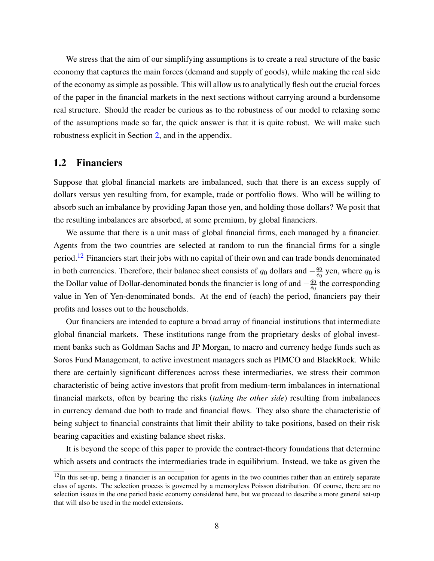We stress that the aim of our simplifying assumptions is to create a real structure of the basic economy that captures the main forces (demand and supply of goods), while making the real side of the economy as simple as possible. This will allow us to analytically flesh out the crucial forces of the paper in the financial markets in the next sections without carrying around a burdensome real structure. Should the reader be curious as to the robustness of our model to relaxing some of the assumptions made so far, the quick answer is that it is quite robust. We will make such robustness explicit in Section [2,](#page-20-0) and in the appendix.

### <span id="page-8-1"></span>1.2 Financiers

Suppose that global financial markets are imbalanced, such that there is an excess supply of dollars versus yen resulting from, for example, trade or portfolio flows. Who will be willing to absorb such an imbalance by providing Japan those yen, and holding those dollars? We posit that the resulting imbalances are absorbed, at some premium, by global financiers.

We assume that there is a unit mass of global financial firms, each managed by a financier. Agents from the two countries are selected at random to run the financial firms for a single period.<sup>[12](#page-8-0)</sup> Financiers start their jobs with no capital of their own and can trade bonds denominated in both currencies. Therefore, their balance sheet consists of  $q_0$  dollars and  $-\frac{q_0}{q_0}$  $\frac{q_0}{q_0}$  yen, where  $q_0$  is the Dollar value of Dollar-denominated bonds the financier is long of and  $-\frac{q_0}{q_0}$  $\frac{q_0}{q_0}$  the corresponding value in Yen of Yen-denominated bonds. At the end of (each) the period, financiers pay their profits and losses out to the households.

Our financiers are intended to capture a broad array of financial institutions that intermediate global financial markets. These institutions range from the proprietary desks of global investment banks such as Goldman Sachs and JP Morgan, to macro and currency hedge funds such as Soros Fund Management, to active investment managers such as PIMCO and BlackRock. While there are certainly significant differences across these intermediaries, we stress their common characteristic of being active investors that profit from medium-term imbalances in international financial markets, often by bearing the risks (*taking the other side*) resulting from imbalances in currency demand due both to trade and financial flows. They also share the characteristic of being subject to financial constraints that limit their ability to take positions, based on their risk bearing capacities and existing balance sheet risks.

It is beyond the scope of this paper to provide the contract-theory foundations that determine which assets and contracts the intermediaries trade in equilibrium. Instead, we take as given the

<span id="page-8-0"></span> $12$ In this set-up, being a financier is an occupation for agents in the two countries rather than an entirely separate class of agents. The selection process is governed by a memoryless Poisson distribution. Of course, there are no selection issues in the one period basic economy considered here, but we proceed to describe a more general set-up that will also be used in the model extensions.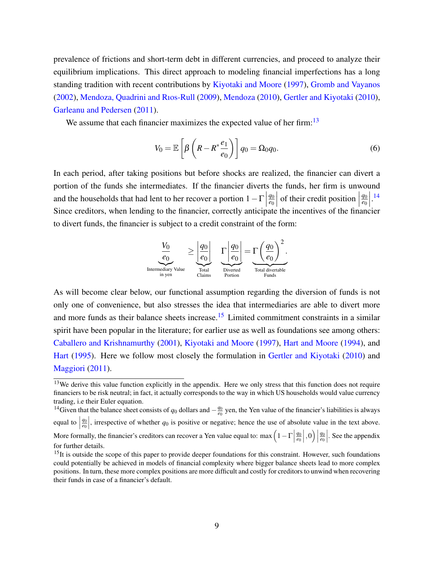prevalence of frictions and short-term debt in different currencies, and proceed to analyze their equilibrium implications. This direct approach to modeling financial imperfections has a long standing tradition with recent contributions by [Kiyotaki and Moore](#page-40-12) [\(1997\)](#page-40-12), [Gromb and Vayanos](#page-39-9) [\(2002\)](#page-39-9), [Mendoza, Quadrini and Rıos-Rull](#page-40-13) [\(2009\)](#page-40-13), [Mendoza](#page-40-14) [\(2010\)](#page-40-14), [Gertler and Kiyotaki](#page-39-10) [\(2010\)](#page-39-10), [Garleanu and Pedersen](#page-39-7) [\(2011\)](#page-39-7).

We assume that each financier maximizes the expected value of her firm:  $13$ 

<span id="page-9-3"></span>
$$
V_0 = \mathbb{E}\left[\beta\left(R - R^* \frac{e_1}{e_0}\right)\right] q_0 = \Omega_0 q_0. \tag{6}
$$

In each period, after taking positions but before shocks are realized, the financier can divert a portion of the funds she intermediates. If the financier diverts the funds, her firm is unwound and the households that had lent to her recover a portion  $1-\Gamma$ *q*0 *e*0 of their credit position  $\left| \begin{array}{c} 0 & \text{if } \\ \text{if } \text{if } \\ \text{if } \text{if } \\ \text{if } \text{if } \\ \text{if } \\ \text{if } \\ \text{if } \\ \text{if } \\ \text{if } \\ \text{if } \\ \text{if } \\ \text{if } \\ \text{if } \\ \text{if } \\ \text{if } \\ \text{if } \\ \text{if } \\ \text{if } \\ \text{if } \\ \text{if } \\ \text{if } \\ \text{if } \\ \text{if } \\ \text{if } \\ \text{if } \\ \text{if } \\ \text{if } \\ \text{if }$ *q*0 *e*0  $\left| \cdot \right|$ <sup>[14](#page-9-1)</sup> Since creditors, when lending to the financier, correctly anticipate the incentives of the financier to divert funds, the financier is subject to a credit constraint of the form:



As will become clear below, our functional assumption regarding the diversion of funds is not only one of convenience, but also stresses the idea that intermediaries are able to divert more and more funds as their balance sheets increase.<sup>[15](#page-9-2)</sup> Limited commitment constraints in a similar spirit have been popular in the literature; for earlier use as well as foundations see among others: [Caballero and Krishnamurthy](#page-38-12) [\(2001\)](#page-38-12), [Kiyotaki and Moore](#page-40-12) [\(1997\)](#page-40-12), [Hart and Moore](#page-39-11) [\(1994\)](#page-39-11), and [Hart](#page-39-12) [\(1995\)](#page-39-12). Here we follow most closely the formulation in [Gertler and Kiyotaki](#page-39-10) [\(2010\)](#page-39-10) and [Maggiori](#page-40-10) [\(2011\)](#page-40-10).

<span id="page-9-1"></span><sup>14</sup>Given that the balance sheet consists of  $q_0$  dollars and  $-\frac{q_0}{q_0}$  $\frac{q_0}{e_0}$  yen, the Yen value of the financier's liabilities is always equal to  $\Big|$ *q*0 *e*0 , irrespective of whether  $q_0$  is positive or negative; hence the use of absolute value in the text above. More formally, the financier's creditors can recover a Yen value equal to: max  $\left(1 - \Gamma\right)$ *q*0 *e*0  $\Big\vert\, ,0\Big)\, \Big\vert$ *q*0 *e*0   . See the appendix

<span id="page-9-0"></span><sup>&</sup>lt;sup>13</sup>We derive this value function explicitly in the appendix. Here we only stress that this function does not require financiers to be risk neutral; in fact, it actually corresponds to the way in which US households would value currency trading, i.e their Euler equation.

for further details.

<span id="page-9-2"></span><sup>&</sup>lt;sup>15</sup>It is outside the scope of this paper to provide deeper foundations for this constraint. However, such foundations could potentially be achieved in models of financial complexity where bigger balance sheets lead to more complex positions. In turn, these more complex positions are more difficult and costly for creditors to unwind when recovering their funds in case of a financier's default.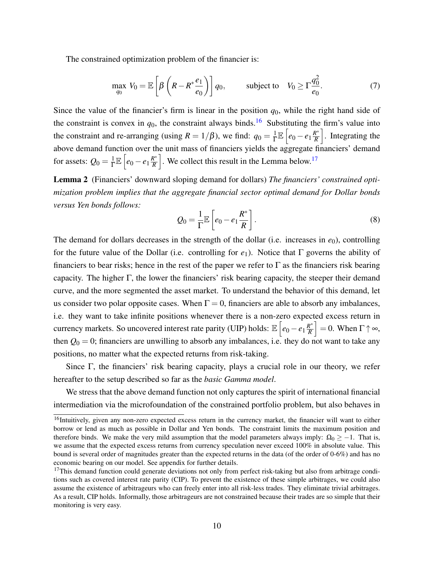The constrained optimization problem of the financier is:

<span id="page-10-3"></span>
$$
\max_{q_0} V_0 = \mathbb{E}\left[\beta\left(R - R^* \frac{e_1}{e_0}\right)\right] q_0, \quad \text{subject to} \quad V_0 \ge \Gamma \frac{q_0^2}{e_0}.\tag{7}
$$

Since the value of the financier's firm is linear in the position  $q_0$ , while the right hand side of the constraint is convex in  $q_0$ , the constraint always binds.<sup>[16](#page-10-0)</sup> Substituting the firm's value into the constraint and re-arranging (using  $R = 1/\beta$ ), we find:  $q_0 = \frac{1}{\Gamma}$  $\frac{1}{\Gamma}\mathbb{E}\left[e_0-e_1\frac{R^*}{R}\right]$ *R* . Integrating the above demand function over the unit mass of financiers yields the aggregate financiers' demand for assets:  $Q_0 = \frac{1}{\Gamma}$  $\frac{1}{\Gamma}\mathbb{E}\left[e_0-e_1\frac{R^*}{R}\right]$ *R* . We collect this result in the Lemma below.<sup>[17](#page-10-1)</sup>

Lemma 2 (Financiers' downward sloping demand for dollars) *The financiers' constrained optimization problem implies that the aggregate financial sector optimal demand for Dollar bonds versus Yen bonds follows:*

<span id="page-10-2"></span>
$$
Q_0 = \frac{1}{\Gamma} \mathbb{E}\left[e_0 - e_1 \frac{R^*}{R}\right].
$$
\n(8)

The demand for dollars decreases in the strength of the dollar (i.e. increases in  $e_0$ ), controlling for the future value of the Dollar (i.e. controlling for *e*1). Notice that Γ governs the ability of financiers to bear risks; hence in the rest of the paper we refer to  $\Gamma$  as the financiers risk bearing capacity. The higher Γ, the lower the financiers' risk bearing capacity, the steeper their demand curve, and the more segmented the asset market. To understand the behavior of this demand, let us consider two polar opposite cases. When  $\Gamma = 0$ , financiers are able to absorb any imbalances, i.e. they want to take infinite positions whenever there is a non-zero expected excess return in currency markets. So uncovered interest rate parity (UIP) holds:  $\mathbb{E}\left[e_0 - e_1 \frac{R^*}{R}\right]$ *R*  $\Big] = 0.$  When  $\Gamma \uparrow \infty$ , then  $Q_0 = 0$ ; financiers are unwilling to absorb any imbalances, i.e. they do not want to take any positions, no matter what the expected returns from risk-taking.

Since Γ, the financiers' risk bearing capacity, plays a crucial role in our theory, we refer hereafter to the setup described so far as the *basic Gamma model*.

We stress that the above demand function not only captures the spirit of international financial intermediation via the microfoundation of the constrained portfolio problem, but also behaves in

<span id="page-10-0"></span><sup>&</sup>lt;sup>16</sup>Intuitively, given any non-zero expected excess return in the currency market, the financier will want to either borrow or lend as much as possible in Dollar and Yen bonds. The constraint limits the maximum position and therefore binds. We make the very mild assumption that the model parameters always imply:  $\Omega_0$  > −1. That is, we assume that the expected excess returns from currency speculation never exceed 100% in absolute value. This bound is several order of magnitudes greater than the expected returns in the data (of the order of 0-6%) and has no economic bearing on our model. See appendix for further details.

<span id="page-10-1"></span> $17$ This demand function could generate deviations not only from perfect risk-taking but also from arbitrage conditions such as covered interest rate parity (CIP). To prevent the existence of these simple arbitrages, we could also assume the existence of arbitrageurs who can freely enter into all risk-less trades. They eliminate trivial arbitrages. As a result, CIP holds. Informally, those arbitrageurs are not constrained because their trades are so simple that their monitoring is very easy.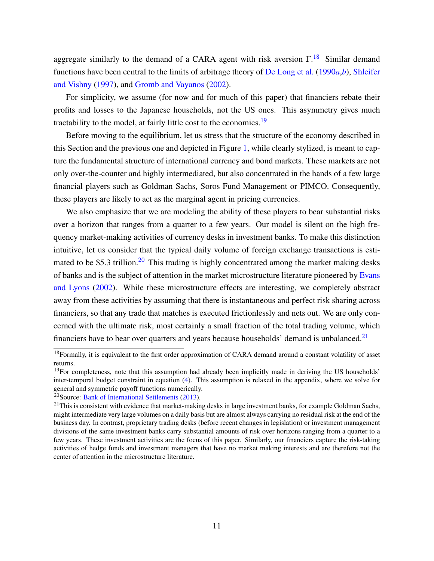aggregate similarly to the demand of a CARA agent with risk aversion  $\Gamma$ <sup>[18](#page-11-0)</sup>. Similar demand functions have been central to the limits of arbitrage theory of [De Long et al.](#page-38-13) [\(1990](#page-38-13)*a*,*[b](#page-38-14)*), [Shleifer](#page-41-2) [and Vishny](#page-41-2) [\(1997\)](#page-41-2), and [Gromb and Vayanos](#page-39-9) [\(2002\)](#page-39-9).

For simplicity, we assume (for now and for much of this paper) that financiers rebate their profits and losses to the Japanese households, not the US ones. This asymmetry gives much tractability to the model, at fairly little cost to the economics.<sup>[19](#page-11-1)</sup>

Before moving to the equilibrium, let us stress that the structure of the economy described in this Section and the previous one and depicted in Figure [1,](#page-5-1) while clearly stylized, is meant to capture the fundamental structure of international currency and bond markets. These markets are not only over-the-counter and highly intermediated, but also concentrated in the hands of a few large financial players such as Goldman Sachs, Soros Fund Management or PIMCO. Consequently, these players are likely to act as the marginal agent in pricing currencies.

We also emphasize that we are modeling the ability of these players to bear substantial risks over a horizon that ranges from a quarter to a few years. Our model is silent on the high frequency market-making activities of currency desks in investment banks. To make this distinction intuitive, let us consider that the typical daily volume of foreign exchange transactions is esti-mated to be \$5.3 trillion.<sup>[20](#page-11-2)</sup> This trading is highly concentrated among the market making desks of banks and is the subject of attention in the market microstructure literature pioneered by [Evans](#page-39-5) [and Lyons](#page-39-5) [\(2002\)](#page-39-5). While these microstructure effects are interesting, we completely abstract away from these activities by assuming that there is instantaneous and perfect risk sharing across financiers, so that any trade that matches is executed frictionlessly and nets out. We are only concerned with the ultimate risk, most certainly a small fraction of the total trading volume, which financiers have to bear over quarters and years because households' demand is unbalanced.<sup>[21](#page-11-3)</sup>

<span id="page-11-0"></span> $18$ Formally, it is equivalent to the first order approximation of CARA demand around a constant volatility of asset returns.

<span id="page-11-1"></span><sup>&</sup>lt;sup>19</sup>For completeness, note that this assumption had already been implicitly made in deriving the US households' inter-temporal budget constraint in equation [\(4\)](#page-7-3). This assumption is relaxed in the appendix, where we solve for general and symmetric payoff functions numerically.

<span id="page-11-2"></span><sup>20</sup>Source: [Bank of International Settlements](#page-38-15) [\(2013\)](#page-38-15).

<span id="page-11-3"></span> $21$ This is consistent with evidence that market-making desks in large investment banks, for example Goldman Sachs, might intermediate very large volumes on a daily basis but are almost always carrying no residual risk at the end of the business day. In contrast, proprietary trading desks (before recent changes in legislation) or investment management divisions of the same investment banks carry substantial amounts of risk over horizons ranging from a quarter to a few years. These investment activities are the focus of this paper. Similarly, our financiers capture the risk-taking activities of hedge funds and investment managers that have no market making interests and are therefore not the center of attention in the microstructure literature.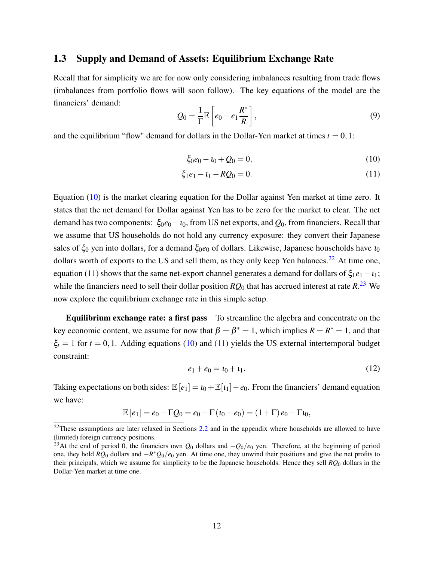#### 1.3 Supply and Demand of Assets: Equilibrium Exchange Rate

Recall that for simplicity we are for now only considering imbalances resulting from trade flows (imbalances from portfolio flows will soon follow). The key equations of the model are the financiers' demand:

$$
Q_0 = \frac{1}{\Gamma} \mathbb{E}\left[e_0 - e_1 \frac{R^*}{R}\right],\tag{9}
$$

and the equilibrium "flow" demand for dollars in the Dollar-Yen market at times  $t = 0, 1$ :

<span id="page-12-2"></span><span id="page-12-0"></span>
$$
\xi_0 e_0 - \iota_0 + Q_0 = 0,\tag{10}
$$

$$
\xi_1 e_1 - t_1 - RQ_0 = 0. \tag{11}
$$

Equation [\(10\)](#page-12-0) is the market clearing equation for the Dollar against Yen market at time zero. It states that the net demand for Dollar against Yen has to be zero for the market to clear. The net demand has two components:  $\xi_0e_0 - t_0$ , from US net exports, and  $Q_0$ , from financiers. Recall that we assume that US households do not hold any currency exposure: they convert their Japanese sales of  $\xi_0$  yen into dollars, for a demand  $\xi_0e_0$  of dollars. Likewise, Japanese households have  $i_0$ dollars worth of exports to the US and sell them, as they only keep Yen balances.<sup>[22](#page-12-1)</sup> At time one, equation [\(11\)](#page-12-2) shows that the same net-export channel generates a demand for dollars of  $\xi_1e_1-t_1$ ; while the financiers need to sell their dollar position  $RQ_0$  that has accrued interest at rate  $R^{23}$  $R^{23}$  $R^{23}$  We now explore the equilibrium exchange rate in this simple setup.

Equilibrium exchange rate: a first pass To streamline the algebra and concentrate on the key economic content, we assume for now that  $\beta = \beta^* = 1$ , which implies  $R = R^* = 1$ , and that  $\xi_t = 1$  for  $t = 0, 1$ . Adding equations [\(10\)](#page-12-0) and [\(11\)](#page-12-2) yields the US external intertemporal budget constraint:

<span id="page-12-4"></span>
$$
e_1 + e_0 = t_0 + t_1. \tag{12}
$$

Taking expectations on both sides:  $\mathbb{E}[e_1] = i_0 + \mathbb{E}[i_1] - e_0$ . From the financiers' demand equation we have:

$$
\mathbb{E}[e_1] = e_0 - \Gamma Q_0 = e_0 - \Gamma(\iota_0 - e_0) = (1 + \Gamma) e_0 - \Gamma \iota_0,
$$

<span id="page-12-1"></span> $^{22}$ These assumptions are later relaxed in Sections [2.2](#page-22-0) and in the appendix where households are allowed to have (limited) foreign currency positions.

<span id="page-12-3"></span><sup>&</sup>lt;sup>23</sup>At the end of period 0, the financiers own  $Q_0$  dollars and  $-Q_0/e_0$  yen. Therefore, at the beginning of period one, they hold *RQ*<sup>0</sup> dollars and −*R* <sup>∗</sup>*Q*0/*e*<sup>0</sup> yen. At time one, they unwind their positions and give the net profits to their principals, which we assume for simplicity to be the Japanese households. Hence they sell *RQ*<sup>0</sup> dollars in the Dollar-Yen market at time one.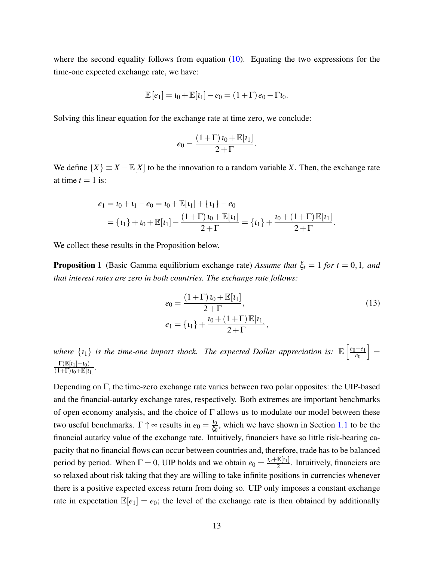where the second equality follows from equation [\(10\)](#page-12-0). Equating the two expressions for the time-one expected exchange rate, we have:

$$
\mathbb{E}[e_1] = \iota_0 + \mathbb{E}[\iota_1] - e_0 = (1 + \Gamma) e_0 - \Gamma \iota_0.
$$

Solving this linear equation for the exchange rate at time zero, we conclude:

$$
e_0 = \frac{(1+\Gamma) \, \iota_0 + \mathbb{E}[ \iota_1]}{2+\Gamma}.
$$

We define  $\{X\} \equiv X - \mathbb{E}[X]$  to be the innovation to a random variable *X*. Then, the exchange rate at time  $t = 1$  is:

$$
e_1 = t_0 + t_1 - e_0 = t_0 + \mathbb{E}[t_1] + \{t_1\} - e_0
$$
  
=  $\{t_1\} + t_0 + \mathbb{E}[t_1] - \frac{(1+\Gamma) t_0 + \mathbb{E}[t_1]}{2+\Gamma} = \{t_1\} + \frac{t_0 + (1+\Gamma) \mathbb{E}[t_1]}{2+\Gamma}.$ 

We collect these results in the Proposition below.

**Proposition 1** (Basic Gamma equilibrium exchange rate) *Assume that*  $\xi_t = 1$  *for*  $t = 0, 1$ *, and that interest rates are zero in both countries. The exchange rate follows:*

<span id="page-13-0"></span>
$$
e_0 = \frac{(1+\Gamma) \, t_0 + \mathbb{E}[t_1]}{2+\Gamma},
$$
  
\n
$$
e_1 = \{t_1\} + \frac{t_0 + (1+\Gamma) \mathbb{E}[t_1]}{2+\Gamma},
$$
\n(13)

where  $\{t_1\}$  is the time-one import shock. The expected Dollar appreciation is:  $\mathbb{E}\left[\frac{e_0-e_1}{e_0}\right]$ *e*0  $\vert =$  $\Gamma(\mathbb{E}[t_1]-t_0)$  $\frac{1 \left(\mathbb{E}[t_1] - t_0\right)}{(1+\Gamma)t_0 + \mathbb{E}[t_1]}$ 

Depending on Γ, the time-zero exchange rate varies between two polar opposites: the UIP-based and the financial-autarky exchange rates, respectively. Both extremes are important benchmarks of open economy analysis, and the choice of  $\Gamma$  allows us to modulate our model between these two useful benchmarks.  $\Gamma \uparrow \infty$  results in  $e_0 = \frac{10}{\xi_c}$  $\frac{t_0}{\xi_0}$ , which we have shown in Section [1.1](#page-5-3) to be the financial autarky value of the exchange rate. Intuitively, financiers have so little risk-bearing capacity that no financial flows can occur between countries and, therefore, trade has to be balanced period by period. When  $\Gamma = 0$ , UIP holds and we obtain  $e_0 = \frac{\iota_0 + \mathbb{E}[\iota_1]}{2}$  $\frac{E[t_1]}{2}$ . Intuitively, financiers are so relaxed about risk taking that they are willing to take infinite positions in currencies whenever there is a positive expected excess return from doing so. UIP only imposes a constant exchange rate in expectation  $\mathbb{E}[e_1] = e_0$ ; the level of the exchange rate is then obtained by additionally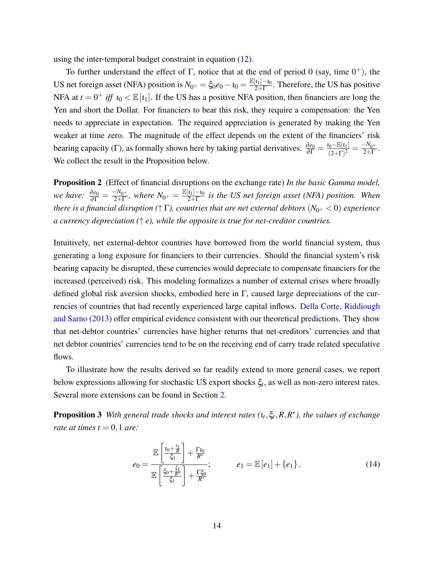using the inter-temporal budget constraint in equation [\(12\)](#page-12-4).

To further understand the effect of Γ, notice that at the end of period 0 (say, time  $0^+$ ), the US net foreign asset (NFA) position is  $N_{0^+} = \xi_0 e_0 - i_0 = \frac{\mathbb{E}[i_1] - i_0}{2 + \Gamma}$  $\frac{[t_1]-t_0}{2+\Gamma}$ . Therefore, the US has positive NFA at  $t = 0^+$  *iff*  $t_0 < \mathbb{E}[t_1]$ . If the US has a positive NFA position, then financiers are long the Yen and short the Dollar. For financiers to bear this risk, they require a compensation: the Yen needs to appreciate in expectation. The required appreciation is generated by making the Yen weaker at time zero. The magnitude of the effect depends on the extent of the financiers' risk bearing capacity (Γ), as formally shown here by taking partial derivatives:  $\frac{\partial e_0}{\partial \Gamma} = \frac{i_0 - \mathbb{E}[i_1]}{(2+\Gamma)^2}$  $\frac{N_0 - \mathbb{E}[t_1]}{(2+\Gamma)^2} = \frac{-N_{0^+}}{2+\Gamma}$  $\frac{-N_0+}{2+\Gamma}$ . We collect the result in the Proposition below.

<span id="page-14-1"></span>Proposition 2 (Effect of financial disruptions on the exchange rate) *In the basic Gamma model, we have:*  $\frac{\partial e_0}{\partial \Gamma} = \frac{-N_{0^+}}{2+\Gamma}$  $\frac{-N_{0^+}}{2+\Gamma}$ , where  $N_{0^+} = \frac{\mathbb{E}[{\iota}_1] - {\iota}_0}{2+\Gamma}$  $\frac{[t_1]-t_0}{2+\Gamma}$  is the US net foreign asset (NFA) position. When *there is a financial disruption* ( $\uparrow \Gamma$ ), *countries that are net external debtors* ( $N_{0^+}$  < 0) *experience a currency depreciation (*↑ *e), while the opposite is true for net-creditor countries.*

Intuitively, net external-debtor countries have borrowed from the world financial system, thus generating a long exposure for financiers to their currencies. Should the financial system's risk bearing capacity be disrupted, these currencies would depreciate to compensate financiers for the increased (perceived) risk. This modeling formalizes a number of external crises where broadly defined global risk aversion shocks, embodied here in Γ, caused large depreciations of the currencies of countries that had recently experienced large capital inflows. [Della Corte, Riddiough](#page-38-16) [and Sarno](#page-38-16) [\(2013\)](#page-38-16) offer empirical evidence consistent with our theoretical predictions. They show that net-debtor countries' currencies have higher returns that net-creditors' currencies and that net debtor countries' currencies tend to be on the receiving end of carry trade related speculative flows.

To illustrate how the results derived so far readily extend to more general cases, we report below expressions allowing for stochastic US export shocks ξ*<sup>t</sup>* , as well as non-zero interest rates. Several more extensions can be found in Section [2.](#page-20-0)

Proposition 3 *With general trade shocks and interest rates (*ι*<sup>t</sup>* ,ξ*t* ,*R*,*R* ∗ *), the values of exchange rate at times t* =  $0, 1$  *are:* 

<span id="page-14-0"></span>
$$
e_0 = \frac{\mathbb{E}\left[\frac{\iota_0 + \frac{\iota_1}{R}}{\xi_1}\right] + \frac{\Gamma t_0}{R^*}}{\mathbb{E}\left[\frac{\xi_0 + \frac{\xi_1}{R^*}}{\xi_1}\right] + \frac{\Gamma \xi_0}{R^*}}; \qquad e_1 = \mathbb{E}\left[e_1\right] + \left\{e_1\right\},\tag{14}
$$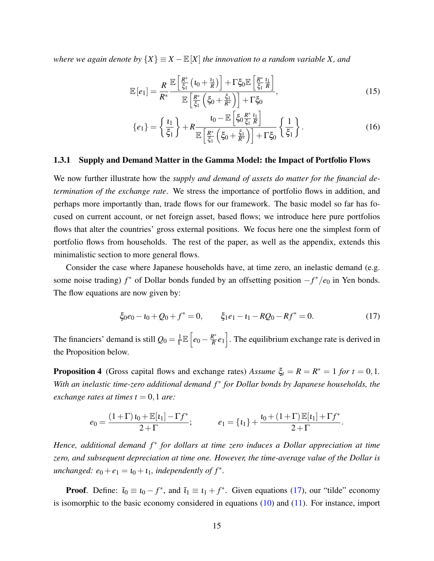*where we again denote by*  $\{X\} \equiv X - \mathbb{E}[X]$  *the innovation to a random variable X, and* 

$$
\mathbb{E}\left[e_1\right] = \frac{R}{R^*} \frac{\mathbb{E}\left[\frac{R^*}{\xi_1}\left(t_0 + \frac{t_1}{R}\right)\right] + \Gamma \xi_0 \mathbb{E}\left[\frac{R^*}{\xi_1}\frac{t_1}{R}\right]}{\mathbb{E}\left[\frac{R^*}{\xi_1}\left(\xi_0 + \frac{\xi_1}{R^*}\right)\right] + \Gamma \xi_0},\tag{15}
$$

$$
\{e_1\} = \left\{\frac{t_1}{\xi_1}\right\} + R \frac{t_0 - \mathbb{E}\left[\xi_0 \frac{R^*}{\xi_1} \frac{t_1}{R}\right]}{\mathbb{E}\left[\frac{R^*}{\xi_1}\left(\xi_0 + \frac{\xi_1}{R^*}\right)\right] + \Gamma \xi_0} \left\{\frac{1}{\xi_1}\right\}.
$$
 (16)

#### <span id="page-15-2"></span>1.3.1 Supply and Demand Matter in the Gamma Model: the Impact of Portfolio Flows

We now further illustrate how the *supply and demand of assets do matter for the financial determination of the exchange rate*. We stress the importance of portfolio flows in addition, and perhaps more importantly than, trade flows for our framework. The basic model so far has focused on current account, or net foreign asset, based flows; we introduce here pure portfolios flows that alter the countries' gross external positions. We focus here one the simplest form of portfolio flows from households. The rest of the paper, as well as the appendix, extends this minimalistic section to more general flows.

Consider the case where Japanese households have, at time zero, an inelastic demand (e.g. some noise trading) *f* <sup>∗</sup> of Dollar bonds funded by an offsetting position −*f* <sup>∗</sup>/*e*<sup>0</sup> in Yen bonds. The flow equations are now given by:

<span id="page-15-0"></span>
$$
\xi_0 e_0 - \iota_0 + Q_0 + f^* = 0, \qquad \xi_1 e_1 - \iota_1 - RQ_0 - Rf^* = 0. \tag{17}
$$

.

The financiers' demand is still  $Q_0 = \frac{1}{\Gamma}$  $\frac{1}{\Gamma}\mathbb{E}\left[e_0 - \frac{R^*}{R}\right]$  $\frac{R^*}{R}e_1$ . The equilibrium exchange rate is derived in the Proposition below.

**Proposition 4** (Gross capital flows and exchange rates) *Assume*  $\xi_t = R = R^* = 1$  *for*  $t = 0, 1$ *.* With an inelastic time-zero additional demand  $f^*$  for Dollar bonds by Japanese households, the *exchange rates at times*  $t = 0, 1$  *are:* 

<span id="page-15-1"></span>
$$
e_0 = \frac{(1+\Gamma) \, u_0 + \mathbb{E}[t_1] - \Gamma f^*}{2+\Gamma}; \qquad e_1 = \{t_1\} + \frac{u_0 + (1+\Gamma) \, \mathbb{E}[t_1] + \Gamma f^*}{2+\Gamma}
$$

*Hence, additional demand f<sup>\*</sup> for dollars at time zero induces a Dollar appreciation at time zero, and subsequent depreciation at time one. However, the time-average value of the Dollar is*  $unchanged: e_0 + e_1 = t_0 + t_1$ , independently of  $f^*$ .

**Proof.** Define:  $\tilde{i}_0 \equiv i_0 - f^*$ , and  $\tilde{i}_1 \equiv i_1 + f^*$ . Given equations [\(17\)](#page-15-0), our "tilde" economy is isomorphic to the basic economy considered in equations  $(10)$  and  $(11)$ . For instance, import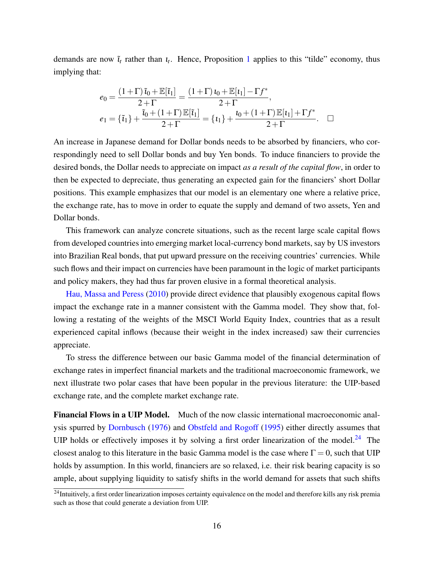demands are now  $\tilde{\iota}_t$  rather than  $\iota_t$ . Hence, Proposition [1](#page-13-0) applies to this "tilde" economy, thus implying that:

$$
e_0 = \frac{(1+\Gamma)\tilde{\mathbf{i}}_0 + \mathbb{E}[\tilde{\mathbf{i}}_1]}{2+\Gamma} = \frac{(1+\Gamma)\mathbf{i}_0 + \mathbb{E}[\mathbf{i}_1] - \Gamma f^*}{2+\Gamma},
$$
  
\n
$$
e_1 = \{\tilde{\mathbf{i}}_1\} + \frac{\tilde{\mathbf{i}}_0 + (1+\Gamma)\mathbb{E}[\tilde{\mathbf{i}}_1]}{2+\Gamma} = \{\mathbf{i}_1\} + \frac{\mathbf{i}_0 + (1+\Gamma)\mathbb{E}[\mathbf{i}_1] + \Gamma f^*}{2+\Gamma}.
$$

An increase in Japanese demand for Dollar bonds needs to be absorbed by financiers, who correspondingly need to sell Dollar bonds and buy Yen bonds. To induce financiers to provide the desired bonds, the Dollar needs to appreciate on impact *as a result of the capital flow*, in order to then be expected to depreciate, thus generating an expected gain for the financiers' short Dollar positions. This example emphasizes that our model is an elementary one where a relative price, the exchange rate, has to move in order to equate the supply and demand of two assets, Yen and Dollar bonds.

This framework can analyze concrete situations, such as the recent large scale capital flows from developed countries into emerging market local-currency bond markets, say by US investors into Brazilian Real bonds, that put upward pressure on the receiving countries' currencies. While such flows and their impact on currencies have been paramount in the logic of market participants and policy makers, they had thus far proven elusive in a formal theoretical analysis.

[Hau, Massa and Peress](#page-39-13) [\(2010\)](#page-39-13) provide direct evidence that plausibly exogenous capital flows impact the exchange rate in a manner consistent with the Gamma model. They show that, following a restating of the weights of the MSCI World Equity Index, countries that as a result experienced capital inflows (because their weight in the index increased) saw their currencies appreciate.

To stress the difference between our basic Gamma model of the financial determination of exchange rates in imperfect financial markets and the traditional macroeconomic framework, we next illustrate two polar cases that have been popular in the previous literature: the UIP-based exchange rate, and the complete market exchange rate.

Financial Flows in a UIP Model. Much of the now classic international macroeconomic analysis spurred by [Dornbusch](#page-38-0) [\(1976\)](#page-38-0) and [Obstfeld and Rogoff](#page-40-1) [\(1995\)](#page-40-1) either directly assumes that UIP holds or effectively imposes it by solving a first order linearization of the model.<sup>[24](#page-16-0)</sup> The closest analog to this literature in the basic Gamma model is the case where  $\Gamma = 0$ , such that UIP holds by assumption. In this world, financiers are so relaxed, i.e. their risk bearing capacity is so ample, about supplying liquidity to satisfy shifts in the world demand for assets that such shifts

<span id="page-16-0"></span><sup>&</sup>lt;sup>24</sup>Intuitively, a first order linearization imposes certainty equivalence on the model and therefore kills any risk premia such as those that could generate a deviation from UIP.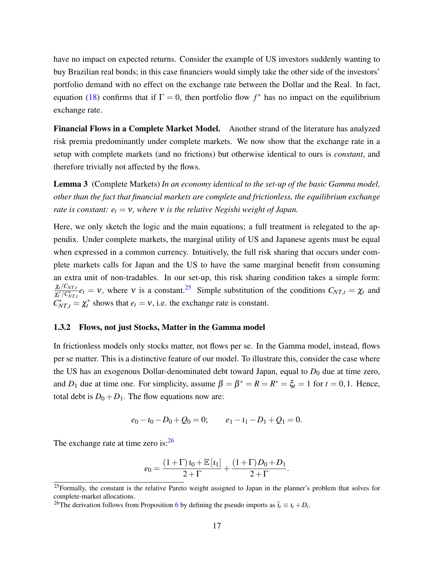have no impact on expected returns. Consider the example of US investors suddenly wanting to buy Brazilian real bonds; in this case financiers would simply take the other side of the investors' portfolio demand with no effect on the exchange rate between the Dollar and the Real. In fact, equation [\(18\)](#page-15-1) confirms that if  $\Gamma = 0$ , then portfolio flow  $f^*$  has no impact on the equilibrium exchange rate.

Financial Flows in a Complete Market Model. Another strand of the literature has analyzed risk premia predominantly under complete markets. We now show that the exchange rate in a setup with complete markets (and no frictions) but otherwise identical to ours is *constant*, and therefore trivially not affected by the flows.

<span id="page-17-2"></span>Lemma 3 (Complete Markets) *In an economy identical to the set-up of the basic Gamma model, other than the fact that financial markets are complete and frictionless, the equilibrium exchange rate is constant:*  $e_t = v$ *, where* v *is the relative Negishi weight of Japan.* 

Here, we only sketch the logic and the main equations; a full treatment is relegated to the appendix. Under complete markets, the marginal utility of US and Japanese agents must be equal when expressed in a common currency. Intuitively, the full risk sharing that occurs under complete markets calls for Japan and the US to have the same marginal benefit from consuming an extra unit of non-tradables. In our set-up, this risk sharing condition takes a simple form:  $\chi_t/C_{NT,t}$  $\frac{\chi_t/C_{NT,t}}{\chi_t^*/C_{NT,t}^*}e_t = v$ , where v is a constant.<sup>[25](#page-17-0)</sup> Simple substitution of the conditions  $C_{NT,t} = \chi_t$  and  $C_{NT,t}^* = \chi_t^*$  shows that  $e_t = v$ , i.e. the exchange rate is constant.

#### 1.3.2 Flows, not just Stocks, Matter in the Gamma model

In frictionless models only stocks matter, not flows per se. In the Gamma model, instead, flows per se matter. This is a distinctive feature of our model. To illustrate this, consider the case where the US has an exogenous Dollar-denominated debt toward Japan, equal to  $D_0$  due at time zero, and  $D_1$  due at time one. For simplicity, assume  $\beta = \beta^* = R = R^* = \xi_t = 1$  for  $t = 0, 1$ . Hence, total debt is  $D_0 + D_1$ . The flow equations now are:

$$
e_0 - i_0 - D_0 + Q_0 = 0;
$$
  $e_1 - i_1 - D_1 + Q_1 = 0.$ 

The exchange rate at time zero is: $^{26}$  $^{26}$  $^{26}$ 

$$
e_0 = \frac{(1+\Gamma) \iota_0 + \mathbb{E}[\iota_1]}{2+\Gamma} + \frac{(1+\Gamma)D_0 + D_1}{2+\Gamma}.
$$

<span id="page-17-0"></span> $25$ Formally, the constant is the relative Pareto weight assigned to Japan in the planner's problem that solves for complete-market allocations.

<span id="page-17-1"></span><sup>&</sup>lt;sup>2[6](#page-24-0)</sup>The derivation follows from Proposition 6 by defining the pseudo imports as  $\tilde{t}_t \equiv t_t + D_t$ .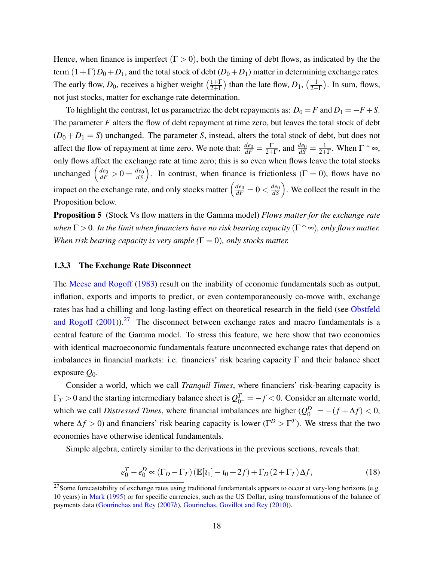Hence, when finance is imperfect  $(\Gamma > 0)$ , both the timing of debt flows, as indicated by the the term  $(1+\Gamma)D_0+D_1$ , and the total stock of debt  $(D_0+D_1)$  matter in determining exchange rates. The early flow,  $D_0$ , receives a higher weight  $\left(\frac{1+\Gamma}{2+\Gamma}\right)$  $\frac{1+\Gamma}{2+\Gamma}$ ) than the late flow,  $D_1$ ,  $\left(\frac{1}{2+\Gamma}\right)$  $\frac{1}{2+\Gamma}$ ). In sum, flows, not just stocks, matter for exchange rate determination.

To highlight the contrast, let us parametrize the debt repayments as:  $D_0 = F$  and  $D_1 = -F + S$ . The parameter *F* alters the flow of debt repayment at time zero, but leaves the total stock of debt  $(D_0 + D_1 = S)$  unchanged. The parameter *S*, instead, alters the total stock of debt, but does not affect the flow of repayment at time zero. We note that:  $\frac{de_0}{dF} = \frac{\Gamma}{2+}$  $\frac{\Gamma}{2+\Gamma}$ , and  $\frac{de_0}{dS} = \frac{1}{2+\Gamma}$  $\frac{1}{2+\Gamma}$ . When  $\Gamma \uparrow \infty$ , only flows affect the exchange rate at time zero; this is so even when flows leave the total stocks unchanged  $\left(\frac{de_0}{dF} > 0 = \frac{de_0}{dS}\right)$ . In contrast, when finance is frictionless ( $\Gamma = 0$ ), flows have no impact on the exchange rate, and only stocks matter  $\left(\frac{de_0}{dF} = 0 < \frac{de_0}{dS}\right)$ . We collect the result in the Proposition below.

Proposition 5 (Stock Vs flow matters in the Gamma model) *Flows matter for the exchange rate when* Γ > 0*. In the limit when financiers have no risk bearing capacity* (Γ ↑ ∞)*, only flows matter. When risk bearing capacity is very ample*  $(\Gamma = 0)$ *, only stocks matter.* 

#### 1.3.3 The Exchange Rate Disconnect

The [Meese and Rogoff](#page-40-15) [\(1983\)](#page-40-15) result on the inability of economic fundamentals such as output, inflation, exports and imports to predict, or even contemporaneously co-move with, exchange rates has had a chilling and long-lasting effect on theoretical research in the field (see [Obstfeld](#page-40-16) [and Rogoff](#page-40-16)  $(2001)$ .<sup>[27](#page-18-0)</sup> The disconnect between exchange rates and macro fundamentals is a central feature of the Gamma model. To stress this feature, we here show that two economies with identical macroeconomic fundamentals feature unconnected exchange rates that depend on imbalances in financial markets: i.e. financiers' risk bearing capacity  $\Gamma$  and their balance sheet exposure *Q*0.

Consider a world, which we call *Tranquil Times*, where financiers' risk-bearing capacity is  $\Gamma_T > 0$  and the starting intermediary balance sheet is  $Q_{0^-}^T = -f < 0$ . Consider an alternate world, which we call *Distressed Times*, where financial imbalances are higher  $(Q_{0-}^D = -(f + \Delta f) < 0$ , where  $\Delta f > 0$ ) and financiers' risk bearing capacity is lower ( $\Gamma^D > \Gamma^T$ ). We stress that the two economies have otherwise identical fundamentals.

Simple algebra, entirely similar to the derivations in the previous sections, reveals that:

$$
e_0^T - e_0^D \propto (\Gamma_D - \Gamma_T) \left( \mathbb{E}[t_1] - t_0 + 2f \right) + \Gamma_D (2 + \Gamma_T) \Delta f, \tag{18}
$$

<span id="page-18-0"></span><sup>&</sup>lt;sup>27</sup>Some forecastability of exchange rates using traditional fundamentals appears to occur at very-long horizons (e.g. 10 years) in [Mark](#page-40-17) [\(1995\)](#page-40-17) or for specific currencies, such as the US Dollar, using transformations of the balance of payments data [\(Gourinchas and Rey](#page-39-14) [\(2007](#page-39-14)*b*), [Gourinchas, Govillot and Rey](#page-39-15) [\(2010\)](#page-39-15)).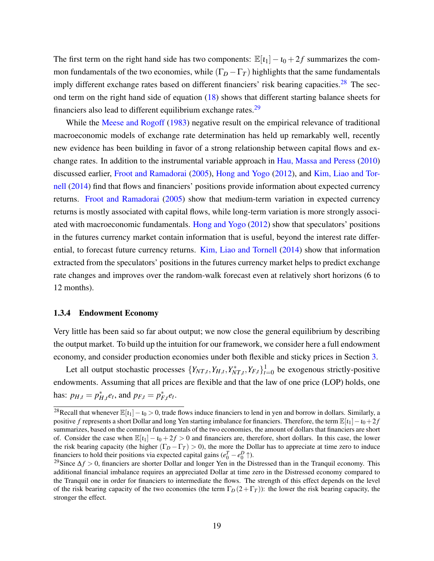The first term on the right hand side has two components:  $\mathbb{E}[t_1] - t_0 + 2f$  summarizes the common fundamentals of the two economies, while  $(\Gamma_D - \Gamma_T)$  highlights that the same fundamentals imply different exchange rates based on different financiers' risk bearing capacities.<sup>[28](#page-19-0)</sup> The second term on the right hand side of equation [\(18\)](#page-15-1) shows that different starting balance sheets for financiers also lead to different equilibrium exchange rates.<sup>[29](#page-19-1)</sup>

While the [Meese and Rogoff](#page-40-15) [\(1983\)](#page-40-15) negative result on the empirical relevance of traditional macroeconomic models of exchange rate determination has held up remarkably well, recently new evidence has been building in favor of a strong relationship between capital flows and exchange rates. In addition to the instrumental variable approach in [Hau, Massa and Peress](#page-39-13) [\(2010\)](#page-39-13) discussed earlier, [Froot and Ramadorai](#page-39-16) [\(2005\)](#page-39-16), [Hong and Yogo](#page-39-17) [\(2012\)](#page-39-17), and [Kim, Liao and Tor](#page-40-18)[nell](#page-40-18) [\(2014\)](#page-40-18) find that flows and financiers' positions provide information about expected currency returns. [Froot and Ramadorai](#page-39-16) [\(2005\)](#page-39-16) show that medium-term variation in expected currency returns is mostly associated with capital flows, while long-term variation is more strongly associated with macroeconomic fundamentals. [Hong and Yogo](#page-39-17) [\(2012\)](#page-39-17) show that speculators' positions in the futures currency market contain information that is useful, beyond the interest rate differential, to forecast future currency returns. [Kim, Liao and Tornell](#page-40-18) [\(2014\)](#page-40-18) show that information extracted from the speculators' positions in the futures currency market helps to predict exchange rate changes and improves over the random-walk forecast even at relatively short horizons (6 to 12 months).

#### <span id="page-19-2"></span>1.3.4 Endowment Economy

Very little has been said so far about output; we now close the general equilibrium by describing the output market. To build up the intuition for our framework, we consider here a full endowment economy, and consider production economies under both flexible and sticky prices in Section [3.](#page-25-0)

Let all output stochastic processes  $\{Y_{NT,t}, Y_{H,t}, Y_{NT,t}^*, Y_{F,t}\}_{t=0}^1$  be exogenous strictly-positive endowments. Assuming that all prices are flexible and that the law of one price (LOP) holds, one has:  $p_{H,t} = p_{H,t}^* e_t$ , and  $p_{F,t} = p_{F,t}^* e_t$ .

<span id="page-19-0"></span><sup>&</sup>lt;sup>28</sup>Recall that whenever  $\mathbb{E}[t_1]-t_0 > 0$ , trade flows induce financiers to lend in yen and borrow in dollars. Similarly, a positive *f* represents a short Dollar and long Yen starting imbalance for financiers. Therefore, the term  $\mathbb{E}[i_1]-i_0+2f$ summarizes, based on the common fundamentals of the two economies, the amount of dollars that financiers are short of. Consider the case when  $\mathbb{E}[t_1] - t_0 + 2f > 0$  and financiers are, therefore, short dollars. In this case, the lower the risk bearing capacity (the higher  $(\Gamma_D - \Gamma_T) > 0$ ), the more the Dollar has to appreciate at time zero to induce financiers to hold their positions via expected capital gains  $(e_0^T - e_0^D \uparrow)$ .

<span id="page-19-1"></span><sup>29</sup>Since ∆*f* > 0, financiers are shorter Dollar and longer Yen in the Distressed than in the Tranquil economy. This additional financial imbalance requires an appreciated Dollar at time zero in the Distressed economy compared to the Tranquil one in order for financiers to intermediate the flows. The strength of this effect depends on the level of the risk bearing capacity of the two economies (the term  $\Gamma_D(2+\Gamma_T)$ ): the lower the risk bearing capacity, the stronger the effect.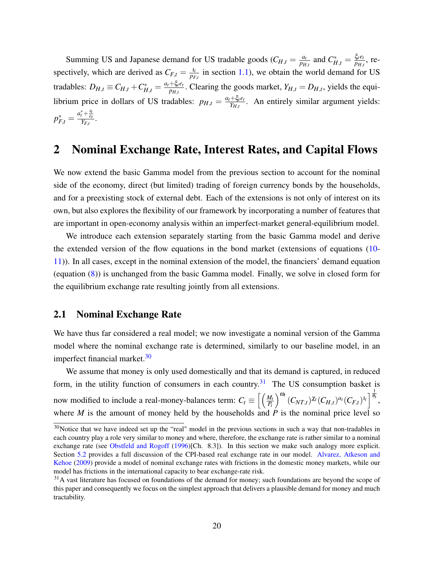Summing US and Japanese demand for US tradable goods  $(C_{H,t} = \frac{a_t}{p_H})$  $\frac{a_t}{p_{H,t}}$  and  $C_{H,t}^* = \frac{\xi_t e_t}{p_{H,t}}$  $\frac{\zeta_t e_t}{p_{H,t}}$ , respectively, which are derived as  $C_{F,t} = \frac{l_t}{p_F}$  $\frac{t_t}{p_{F,t}}$  in section [1.1\)](#page-5-3), we obtain the world demand for US tradables:  $D_{H,t} \equiv C_{H,t} + C_{H,t}^* = \frac{a_t + \xi_t e_t}{p_{H,t}}$  $\frac{P_{\mathcal{H}}P_{H,t}}{P_{H,t}}$ . Clearing the goods market,  $Y_{H,t} = D_{H,t}$ , yields the equilibrium price in dollars of US tradables:  $p_{H,t} = \frac{a_t + \xi_t e_t}{\gamma_{H,t}}$  $\frac{+G_{\text{f}}e_{t}}{Y_{H,t}}$ . An entirely similar argument yields:  $p_{F,t}^* = \frac{a_t^* + \frac{t_t}{e_t}}{Y_{F,t}}.$ 

# <span id="page-20-0"></span>2 Nominal Exchange Rate, Interest Rates, and Capital Flows

We now extend the basic Gamma model from the previous section to account for the nominal side of the economy, direct (but limited) trading of foreign currency bonds by the households, and for a preexisting stock of external debt. Each of the extensions is not only of interest on its own, but also explores the flexibility of our framework by incorporating a number of features that are important in open-economy analysis within an imperfect-market general-equilibrium model.

We introduce each extension separately starting from the basic Gamma model and derive the extended version of the flow equations in the bond market (extensions of equations [\(10-](#page-12-0) [11\)](#page-12-2)). In all cases, except in the nominal extension of the model, the financiers' demand equation (equation [\(8\)](#page-10-2)) is unchanged from the basic Gamma model. Finally, we solve in closed form for the equilibrium exchange rate resulting jointly from all extensions.

### <span id="page-20-1"></span>2.1 Nominal Exchange Rate

We have thus far considered a real model; we now investigate a nominal version of the Gamma model where the nominal exchange rate is determined, similarly to our baseline model, in an imperfect financial market. $30$ 

We assume that money is only used domestically and that its demand is captured, in reduced form, in the utility function of consumers in each country.<sup>[31](#page-20-3)</sup> The US consumption basket is now modified to include a real-money-balances term:  $C_t \equiv \left[ \left( \frac{M_t}{R} \right)^2 \right]$ *Pt*  $\int^{\omega_{t}} (C_{NT,t})^{\chi_{t}} (C_{H,t})^{a_{t}} (C_{F,t})^{l_{t}} \Big]^{\frac{1}{\theta_{t}}},$ where *M* is the amount of money held by the households and  $\overrightarrow{P}$  is the nominal price level so

<span id="page-20-2"></span> $30$ Notice that we have indeed set up the "real" model in the previous sections in such a way that non-tradables in each country play a role very similar to money and where, therefore, the exchange rate is rather similar to a nominal exchange rate (see [Obstfeld and Rogoff](#page-40-19) [\(1996\)](#page-40-19)[Ch. 8.3]). In this section we make such analogy more explicit. Section [5.2](#page-36-0) provides a full discussion of the CPI-based real exchange rate in our model. [Alvarez, Atkeson and](#page-38-10) [Kehoe](#page-38-10) [\(2009\)](#page-38-10) provide a model of nominal exchange rates with frictions in the domestic money markets, while our model has frictions in the international capacity to bear exchange-rate risk.

<span id="page-20-3"></span> $31A$  vast literature has focused on foundations of the demand for money; such foundations are beyond the scope of this paper and consequently we focus on the simplest approach that delivers a plausible demand for money and much tractability.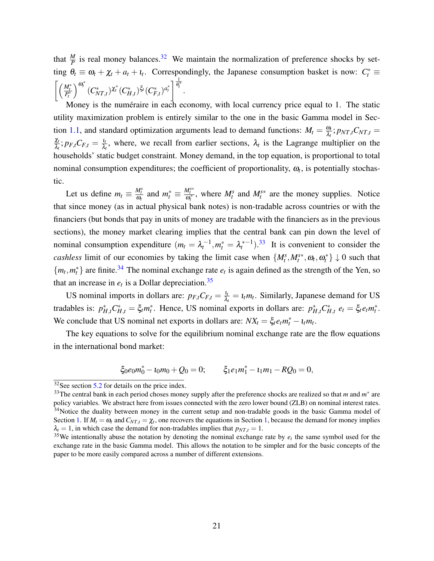that  $\frac{M}{P}$  is real money balances.<sup>[32](#page-21-0)</sup> We maintain the normalization of preference shocks by setting  $\theta_t \equiv \omega_t + \chi_t + a_t + \iota_t$ . Correspondingly, the Japanese consumption basket is now:  $C_t^* \equiv$  $\left[ \left( \frac{M_t^*}{P_t^*} \right)$  $\int^{\omega_t^*} (C_{NT,t}^*)^{\chi_t^*} (C_{H,t}^*)^{\xi_t} (C_{F,t}^*)^{a_t^*} \bigg]^{\frac{1}{\theta_t^*}}$  $\frac{\dot{\overline{\theta}}^*_{t}}{a_t}$ .

Money is the numéraire in each economy, with local currency price equal to 1. The static utility maximization problem is entirely similar to the one in the basic Gamma model in Sec-tion [1.1,](#page-5-3) and standard optimization arguments lead to demand functions:  $M_t = \frac{\omega_t}{\lambda}$  $\frac{\omega_t}{\lambda_t}$ ;  $p_{NT,t}C_{NT,t} =$ χ*t*  $\frac{\chi_t}{\lambda_t}; p_{F,t}C_{F,t} = \frac{\iota_t}{\lambda_t}$  $\frac{l_t}{\lambda_t}$ , where, we recall from earlier sections,  $\lambda_t$  is the Lagrange multiplier on the households' static budget constraint. Money demand, in the top equation, is proportional to total nominal consumption expenditures; the coefficient of proportionality,  $\omega_t$ , is potentially stochastic.

Let us define  $m_t \equiv \frac{M_t^s}{\omega_t}$  and  $m_t^* \equiv \frac{M_t^{s*}}{\omega_t^*}$ , where  $M_t^s$  and  $M_t^{s*}$  are the money supplies. Notice that since money (as in actual physical bank notes) is non-tradable across countries or with the financiers (but bonds that pay in units of money are tradable with the financiers as in the previous sections), the money market clearing implies that the central bank can pin down the level of nominal consumption expenditure  $(m_t = \lambda_t^{-1}, m_t^* = \lambda_t^{*-1})$ .<sup>[33](#page-21-1)</sup> It is convenient to consider the *cashless* limit of our economies by taking the limit case when  $\{M_t^s, M_t^{s*}, \omega_t, \omega_t^*\}\downarrow 0$  such that  ${m_t, m_t^*}$  are finite.<sup>[34](#page-21-2)</sup> The nominal exchange rate  $e_t$  is again defined as the strength of the Yen, so that an increase in  $e_t$  is a Dollar depreciation.<sup>[35](#page-21-3)</sup>

US nominal imports in dollars are:  $p_{F,t}C_{F,t} = \frac{l_t}{\lambda}$  $\frac{I_t}{\lambda_t} = I_t m_t$ . Similarly, Japanese demand for US tradables is:  $p_{H,t}^* C_{H,t}^* = \xi_t m_t^*$ . Hence, US nominal exports in dollars are:  $p_{H,t}^* C_{H,t}^* e_t = \xi_t e_t m_t^*$ . We conclude that US nominal net exports in dollars are:  $NX_t = \xi_t e_t m_t^* - t_t m_t$ .

The key equations to solve for the equilibrium nominal exchange rate are the flow equations in the international bond market:

$$
\xi_0 e_0 m_0^* - \iota_0 m_0 + Q_0 = 0; \qquad \xi_1 e_1 m_1^* - \iota_1 m_1 - RQ_0 = 0,
$$

<span id="page-21-0"></span> $32$ See section [5.2](#page-36-0) for details on the price index.

<span id="page-21-2"></span><span id="page-21-1"></span><sup>&</sup>lt;sup>33</sup>The central bank in each period choses money supply after the preference shocks are realized so that *m* and *m*<sup>\*</sup> are policy variables. We abstract here from issues connected with the zero lower bound (ZLB) on nominal interest rates. <sup>34</sup>Notice the duality between money in the current setup and non-tradable goods in the basic Gamma model of Section [1.](#page-4-2) If  $M_t = \omega_t$  and  $C_{NT,t} = \chi_t$ , one recovers the equations in Section [1,](#page-4-2) because the demand for money implies  $\lambda_t = 1$ , in which case the demand for non-tradables implies that  $p_{NT,t} = 1$ .

<span id="page-21-3"></span> $35$ We intentionally abuse the notation by denoting the nominal exchange rate by  $e_t$  the same symbol used for the exchange rate in the basic Gamma model. This allows the notation to be simpler and for the basic concepts of the paper to be more easily compared across a number of different extensions.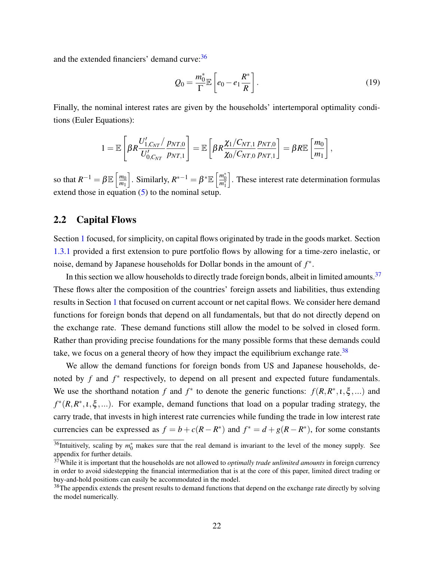and the extended financiers' demand curve: [36](#page-22-1)

<span id="page-22-4"></span>
$$
Q_0 = \frac{m_0^*}{\Gamma} \mathbb{E}\left[e_0 - e_1 \frac{R^*}{R}\right].
$$
\n(19)

Finally, the nominal interest rates are given by the households' intertemporal optimality conditions (Euler Equations):

$$
1 = \mathbb{E}\left[\beta R \frac{U'_{1,C_{NT}}/p_{NT,0}}{U'_{0,C_{NT}}p_{NT,1}}\right] = \mathbb{E}\left[\beta R \frac{\chi_1/C_{NT,1}}{\chi_0/C_{NT,0}} \frac{p_{NT,0}}{p_{NT,1}}\right] = \beta R \mathbb{E}\left[\frac{m_0}{m_1}\right],
$$

so that  $R^{-1} = \beta \mathbb{E} \left[ \frac{m_0}{m_1} \right]$  $\overline{m_1}$  $\Big]$ . Similarly,  $R^{*-1} = \beta^* \mathbb{E} \left[ \frac{m_0^*}{m_1^*} \right]$ i . These interest rate determination formulas extend those in equation  $(5)$  to the nominal setup.

## <span id="page-22-0"></span>2.2 Capital Flows

Section [1](#page-4-2) focused, for simplicity, on capital flows originated by trade in the goods market. Section [1.3.1](#page-15-2) provided a first extension to pure portfolio flows by allowing for a time-zero inelastic, or noise, demand by Japanese households for Dollar bonds in the amount of *f* ∗ .

In this section we allow households to directly trade foreign bonds, albeit in limited amounts.<sup>[37](#page-22-2)</sup> These flows alter the composition of the countries' foreign assets and liabilities, thus extending results in Section [1](#page-4-2) that focused on current account or net capital flows. We consider here demand functions for foreign bonds that depend on all fundamentals, but that do not directly depend on the exchange rate. These demand functions still allow the model to be solved in closed form. Rather than providing precise foundations for the many possible forms that these demands could take, we focus on a general theory of how they impact the equilibrium exchange rate.<sup>[38](#page-22-3)</sup>

We allow the demand functions for foreign bonds from US and Japanese households, denoted by *f* and *f*<sup>\*</sup> respectively, to depend on all present and expected future fundamentals. We use the shorthand notation *f* and  $f^*$  to denote the generic functions:  $f(R, R^*, 1, \xi, ...)$  and  $f^*(R, R^*, 1, \xi, ...)$ . For example, demand functions that load on a popular trading strategy, the carry trade, that invests in high interest rate currencies while funding the trade in low interest rate currencies can be expressed as  $f = b + c(R - R^*)$  and  $f^* = d + g(R - R^*)$ , for some constants

<span id="page-22-1"></span> $36$ Intuitively, scaling by  $m_0^*$  makes sure that the real demand is invariant to the level of the money supply. See appendix for further details.

<span id="page-22-2"></span><sup>37</sup>While it is important that the households are not allowed to *optimally trade unlimited amounts* in foreign currency in order to avoid sidestepping the financial intermediation that is at the core of this paper, limited direct trading or buy-and-hold positions can easily be accommodated in the model.

<span id="page-22-3"></span><sup>&</sup>lt;sup>38</sup>The appendix extends the present results to demand functions that depend on the exchange rate directly by solving the model numerically.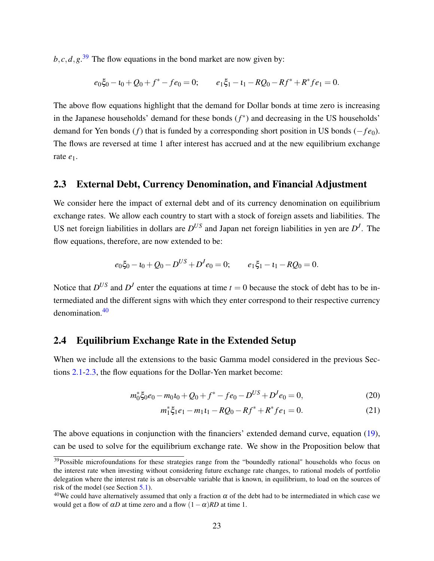$b, c, d, g$ <sup>[39](#page-23-0)</sup> The flow equations in the bond market are now given by:

$$
e_0\xi_0 - t_0 + Q_0 + f^* - f e_0 = 0; \qquad e_1\xi_1 - t_1 - RQ_0 - Rf^* + R^* f e_1 = 0.
$$

The above flow equations highlight that the demand for Dollar bonds at time zero is increasing in the Japanese households' demand for these bonds (*f* ∗ ) and decreasing in the US households' demand for Yen bonds (*f*) that is funded by a corresponding short position in US bonds (−*f e*0). The flows are reversed at time 1 after interest has accrued and at the new equilibrium exchange rate *e*1.

### <span id="page-23-2"></span>2.3 External Debt, Currency Denomination, and Financial Adjustment

We consider here the impact of external debt and of its currency denomination on equilibrium exchange rates. We allow each country to start with a stock of foreign assets and liabilities. The US net foreign liabilities in dollars are  $D^{US}$  and Japan net foreign liabilities in yen are  $D<sup>J</sup>$ . The flow equations, therefore, are now extended to be:

$$
e_0 \xi_0 - t_0 + Q_0 - D^{US} + D^J e_0 = 0; \qquad e_1 \xi_1 - t_1 - RQ_0 = 0.
$$

Notice that  $D^{US}$  and  $D^{J}$  enter the equations at time  $t = 0$  because the stock of debt has to be intermediated and the different signs with which they enter correspond to their respective currency denomination.[40](#page-23-1)

## 2.4 Equilibrium Exchange Rate in the Extended Setup

When we include all the extensions to the basic Gamma model considered in the previous Sections [2.1-](#page-20-1)[2.3,](#page-23-2) the flow equations for the Dollar-Yen market become:

$$
m_0^* \xi_0 e_0 - m_0 t_0 + Q_0 + f^* - f e_0 - D^{US} + D^J e_0 = 0,
$$
\n(20)

<span id="page-23-4"></span><span id="page-23-3"></span>
$$
m_1^* \xi_1 e_1 - m_1 t_1 - R Q_0 - R f^* + R^* f e_1 = 0.
$$
 (21)

The above equations in conjunction with the financiers' extended demand curve, equation [\(19\)](#page-22-4), can be used to solve for the equilibrium exchange rate. We show in the Proposition below that

<span id="page-23-0"></span><sup>&</sup>lt;sup>39</sup>Possible microfoundations for these strategies range from the "boundedly rational" households who focus on the interest rate when investing without considering future exchange rate changes, to rational models of portfolio delegation where the interest rate is an observable variable that is known, in equilibrium, to load on the sources of risk of the model (see Section [5.1\)](#page-33-0).

<span id="page-23-1"></span><sup>&</sup>lt;sup>40</sup>We could have alternatively assumed that only a fraction  $\alpha$  of the debt had to be intermediated in which case we would get a flow of  $\alpha D$  at time zero and a flow  $(1-\alpha)RD$  at time 1.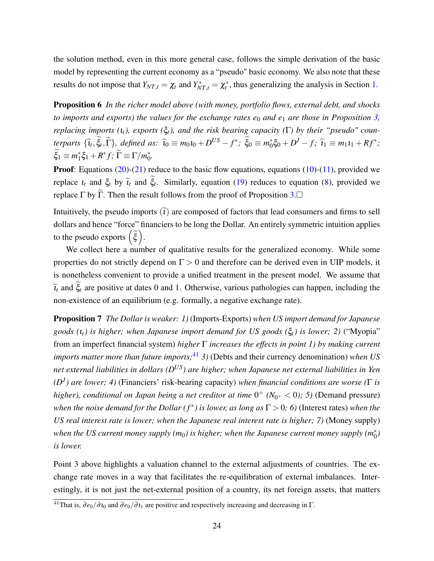the solution method, even in this more general case, follows the simple derivation of the basic model by representing the current economy as a "pseudo" basic economy. We also note that these results do not impose that  $Y_{NT,t} = \chi_t$  and  $Y_{NT,t}^* = \chi_t^*$ , thus generalizing the analysis in Section [1.](#page-4-2)

<span id="page-24-0"></span>Proposition 6 *In the richer model above (with money, portfolio flows, external debt, and shocks to imports and exports) the values for the exchange rates*  $e_0$  *and*  $e_1$  *are those in Proposition [3,](#page-14-0) replacing imports (*ι*t), exports (*ξ*t), and the risk bearing capacity (*Γ*) by their "pseudo" counterparts*  $\{\widetilde{\iota}_t, \widetilde{\xi}_t, \widetilde{\Gamma}\}$ , defined as:  $\widetilde{\iota}_0 \equiv m_0 i_0 + D^{US} - f^*$ ;  $\widetilde{\xi}_0 \equiv m_0^*$  $\tilde{C}_0^* \xi_0 + D^J - f; \ \tilde{\iota}_1 \equiv m_1 \iota_1 + R f^*;$  $\xi_1 \equiv m_1^*$  $\tilde{f}_1^* \xi_1 + R^* f; \ \widetilde{\Gamma} \equiv \Gamma / m_0^*$ 0 *.*

**Proof:** Equations  $(20)$ - $(21)$  reduce to the basic flow equations, equations  $(10)$ - $(11)$ , provided we replace  $\iota_t$  and  $\xi_t$  by  $\tilde{\iota}_t$  and  $\xi_t$ . Similarly, equation [\(19\)](#page-22-4) reduces to equation [\(8\)](#page-10-2), provided we replace Γ by Γ. Then the result follows from the proof of Proposition [3.](#page-14-0) $\Box$ 

Intuitively, the pseudo imports  $\tilde{a}$  are composed of factors that lead consumers and firms to sell dollars and hence "force" financiers to be long the Dollar. An entirely symmetric intuition applies to the pseudo exports  $(\tilde{\xi})$ .

We collect here a number of qualitative results for the generalized economy. While some properties do not strictly depend on  $\Gamma > 0$  and therefore can be derived even in UIP models, it is nonetheless convenient to provide a unified treatment in the present model. We assume that  $\tilde{t}_t$  and  $\tilde{\xi}_t$  are positive at dates 0 and 1. Otherwise, various pathologies can happen, including the non-existence of an equilibrium (e.g. formally, a negative exchange rate).

<span id="page-24-2"></span>Proposition 7 *The Dollar is weaker: 1)* (Imports-Exports) *when US import demand for Japanese goods (*ι*t) is higher; when Japanese import demand for US goods (*ξ*t) is lower; 2)* ("Myopia" from an imperfect financial system) *higher* Γ *increases the effects in point 1) by making current imports matter more than future imports;*[41](#page-24-1) *3)* (Debts and their currency denomination) *when US net external liabilities in dollars (DUS) are higher; when Japanese net external liabilities in Yen (D<sup>J</sup> ) are lower; 4)* (Financiers' risk-bearing capacity) *when financial conditions are worse (*Γ *is higher), conditional on Japan being a net creditor at time*  $0^+$  ( $N_{0^+}$  < 0); 5) (Demand pressure) *when the noise demand for the Dollar*  $(f^*)$  *is lower, as long as*  $\Gamma > 0$ ; 6) (Interest rates) *when the US real interest rate is lower; when the Japanese real interest rate is higher; 7)* (Money supply) when the US current money supply (m<sub>0</sub>) is higher; when the Japanese current money supply (m $_{0}^{*}$ ) *is lower.*

Point 3 above highlights a valuation channel to the external adjustments of countries. The exchange rate moves in a way that facilitates the re-equilibration of external imbalances. Interestingly, it is not just the net-external position of a country, its net foreign assets, that matters

<span id="page-24-1"></span> $\frac{41}{41}$ That is,  $\frac{\partial e_0}{\partial t_0}$  and  $\frac{\partial e_0}{\partial t_1}$  are positive and respectively increasing and decreasing in Γ.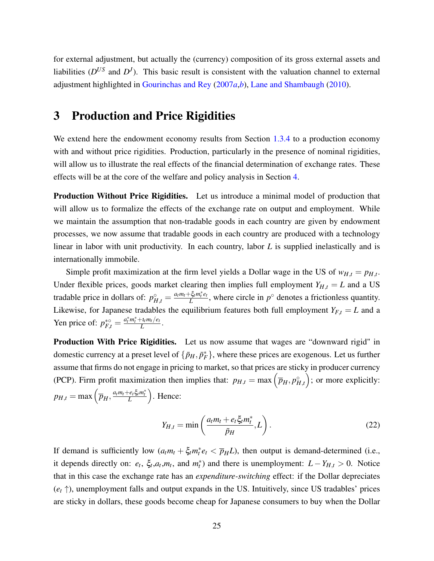for external adjustment, but actually the (currency) composition of its gross external assets and liabilities  $(D^{US}$  and  $D^{J})$ . This basic result is consistent with the valuation channel to external adjustment highlighted in [Gourinchas and Rey](#page-39-18) [\(2007](#page-39-18)*a*,*[b](#page-39-14)*), [Lane and Shambaugh](#page-40-20) [\(2010\)](#page-40-20).

# <span id="page-25-0"></span>3 Production and Price Rigidities

We extend here the endowment economy results from Section [1.3.4](#page-19-2) to a production economy with and without price rigidities. Production, particularly in the presence of nominal rigidities, will allow us to illustrate the real effects of the financial determination of exchange rates. These effects will be at the core of the welfare and policy analysis in Section [4.](#page-27-0)

Production Without Price Rigidities. Let us introduce a minimal model of production that will allow us to formalize the effects of the exchange rate on output and employment. While we maintain the assumption that non-tradable goods in each country are given by endowment processes, we now assume that tradable goods in each country are produced with a technology linear in labor with unit productivity. In each country, labor *L* is supplied inelastically and is internationally immobile.

Simple profit maximization at the firm level yields a Dollar wage in the US of  $w_{H,t} = p_{H,t}$ . Under flexible prices, goods market clearing then implies full employment  $Y_{H,t} = L$  and a US tradable price in dollars of:  $p_{H,t}^{\circ} = \frac{a_t m_t + \xi_t m_t^* e_t}{L}$  $\frac{L \xi_t m_t^* e_t}{L}$ , where circle in  $p^\circ$  denotes a frictionless quantity. Likewise, for Japanese tradables the equilibrium features both full employment  $Y_{F,t} = L$  and a Yen price of:  $p_{F,t}^{* \circlearrowright} = \frac{a_t^* m_t^* + u_t m_t / e_t}{L}$  $\frac{L_t m_t/e_t}{L}$ .

**Production With Price Rigidities.** Let us now assume that wages are "downward rigid" in domestic currency at a preset level of  $\{\bar{p}_H, \bar{p}_F^*\}$ , where these prices are exogenous. Let us further assume that firms do not engage in pricing to market, so that prices are sticky in producer currency (PCP). Firm profit maximization then implies that:  $p_{H,t} = \max(\bar{p}_H, p_{H,t}^{\circ})$ ; or more explicitly:  $p_{H,t} = \max\left(\overline{p}_H, \frac{a_t m_t + e_t \xi_t m_t^*}{L}\right)$ . Hence:

<span id="page-25-1"></span>
$$
Y_{H,t} = \min\left(\frac{a_t m_t + e_t \xi_t m_t^*}{\bar{p}_H}, L\right). \tag{22}
$$

If demand is sufficiently low  $(a_t m_t + \xi_t m_t^* e_t < \overline{p}_H L)$ , then output is demand-determined (i.e., it depends directly on:  $e_t$ ,  $\xi_t$ ,  $a_t$ ,  $m_t$ , and  $m_t^*$ ) and there is unemployment:  $L - Y_{H,t} > 0$ . Notice that in this case the exchange rate has an *expenditure-switching* effect: if the Dollar depreciates  $(e_t \uparrow)$ , unemployment falls and output expands in the US. Intuitively, since US tradables' prices are sticky in dollars, these goods become cheap for Japanese consumers to buy when the Dollar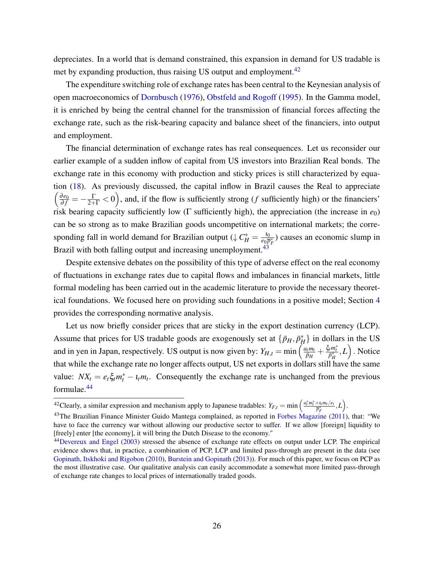depreciates. In a world that is demand constrained, this expansion in demand for US tradable is met by expanding production, thus raising US output and employment. $42$ 

The expenditure switching role of exchange rates has been central to the Keynesian analysis of open macroeconomics of [Dornbusch](#page-38-0) [\(1976\)](#page-38-0), [Obstfeld and Rogoff](#page-40-1) [\(1995\)](#page-40-1). In the Gamma model, it is enriched by being the central channel for the transmission of financial forces affecting the exchange rate, such as the risk-bearing capacity and balance sheet of the financiers, into output and employment.

The financial determination of exchange rates has real consequences. Let us reconsider our earlier example of a sudden inflow of capital from US investors into Brazilian Real bonds. The exchange rate in this economy with production and sticky prices is still characterized by equation [\(18\)](#page-15-1). As previously discussed, the capital inflow in Brazil causes the Real to appreciate  $\left(\frac{\partial e_0}{\partial f} = -\frac{\Gamma}{2+\Gamma} < 0\right)$ , and, if the flow is sufficiently strong (*f* sufficiently high) or the financiers' risk bearing capacity sufficiently low (Γ sufficiently high), the appreciation (the increase in  $e_0$ ) can be so strong as to make Brazilian goods uncompetitive on international markets; the corresponding fall in world demand for Brazilian output ( $\downarrow C_H^* = \frac{10}{e_0 \bar{p}}$  $\frac{t_0}{e_0 \overline{p}_F^*}$ ) causes an economic slump in Brazil with both falling output and increasing unemployment.<sup>[43](#page-26-1)</sup>

Despite extensive debates on the possibility of this type of adverse effect on the real economy of fluctuations in exchange rates due to capital flows and imbalances in financial markets, little formal modeling has been carried out in the academic literature to provide the necessary theoretical foundations. We focused here on providing such foundations in a positive model; Section [4](#page-27-0) provides the corresponding normative analysis.

Let us now briefly consider prices that are sticky in the export destination currency (LCP). Assume that prices for US tradable goods are exogenously set at  $\{\bar{p}_H, \bar{p}_H^*\}$  in dollars in the US and in yen in Japan, respectively. US output is now given by:  $Y_{H,t} = \min \left( \frac{a_t m_t}{\bar{p}_H} \right)$  $\frac{d_t m_t}{\bar{p}_H} + \frac{\xi_t m_t^*}{\bar{p}_H^*}, L$ ). Notice that while the exchange rate no longer affects output, US net exports in dollars still have the same value:  $NX_t = e_t \xi_t m_t^* - i_t m_t$ . Consequently the exchange rate is unchanged from the previous formulae.[44](#page-26-2)

<span id="page-26-0"></span><sup>&</sup>lt;sup>42</sup>Clearly, a similar expression and mechanism apply to Japanese tradables:  $Y_{F,t} = \min \left( \frac{a_t^* m_t^* + i_t m_t / e_t}{\overline{p}_F^*}, L \right)$ .

<span id="page-26-1"></span><sup>&</sup>lt;sup>43</sup>The Brazilian Finance Minister Guido Mantega complained, as reported in [Forbes Magazine](#page-39-19) [\(2011\)](#page-39-19), that: "We have to face the currency war without allowing our productive sector to suffer. If we allow [foreign] liquidity to [freely] enter [the economy], it will bring the Dutch Disease to the economy."

<span id="page-26-2"></span><sup>&</sup>lt;sup>44</sup>[Devereux and Engel](#page-38-17) [\(2003\)](#page-38-17) stressed the absence of exchange rate effects on output under LCP. The empirical evidence shows that, in practice, a combination of PCP, LCP and limited pass-through are present in the data (see [Gopinath, Itskhoki and Rigobon](#page-39-20) [\(2010\)](#page-39-20), [Burstein and Gopinath](#page-38-18) [\(2013\)](#page-38-18)). For much of this paper, we focus on PCP as the most illustrative case. Our qualitative analysis can easily accommodate a somewhat more limited pass-through of exchange rate changes to local prices of internationally traded goods.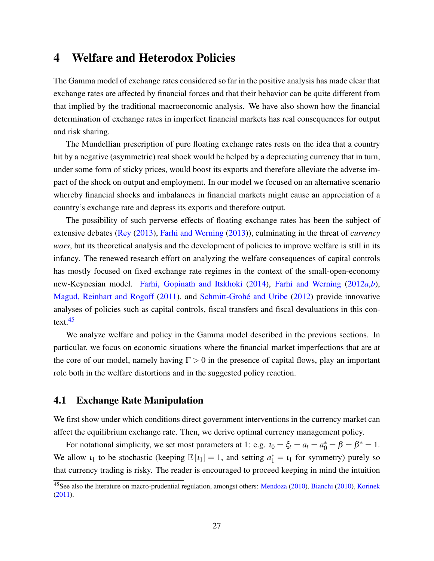## <span id="page-27-0"></span>4 Welfare and Heterodox Policies

The Gamma model of exchange rates considered so far in the positive analysis has made clear that exchange rates are affected by financial forces and that their behavior can be quite different from that implied by the traditional macroeconomic analysis. We have also shown how the financial determination of exchange rates in imperfect financial markets has real consequences for output and risk sharing.

The Mundellian prescription of pure floating exchange rates rests on the idea that a country hit by a negative (asymmetric) real shock would be helped by a depreciating currency that in turn, under some form of sticky prices, would boost its exports and therefore alleviate the adverse impact of the shock on output and employment. In our model we focused on an alternative scenario whereby financial shocks and imbalances in financial markets might cause an appreciation of a country's exchange rate and depress its exports and therefore output.

The possibility of such perverse effects of floating exchange rates has been the subject of extensive debates [\(Rey](#page-40-21) [\(2013\)](#page-40-21), [Farhi and Werning](#page-39-21) [\(2013\)](#page-39-21)), culminating in the threat of *currency wars*, but its theoretical analysis and the development of policies to improve welfare is still in its infancy. The renewed research effort on analyzing the welfare consequences of capital controls has mostly focused on fixed exchange rate regimes in the context of the small-open-economy new-Keynesian model. [Farhi, Gopinath and Itskhoki](#page-39-2) [\(2014\)](#page-39-2), [Farhi and Werning](#page-39-3) [\(2012](#page-39-3)*a*,*[b](#page-39-4)*), [Magud, Reinhart and Rogoff](#page-40-22) [\(2011\)](#page-40-22), and [Schmitt-Grohé and Uribe](#page-40-9) [\(2012\)](#page-40-9) provide innovative analyses of policies such as capital controls, fiscal transfers and fiscal devaluations in this con- $text.45}$  $text.45}$  $text.45}$ 

We analyze welfare and policy in the Gamma model described in the previous sections. In particular, we focus on economic situations where the financial market imperfections that are at the core of our model, namely having  $\Gamma > 0$  in the presence of capital flows, play an important role both in the welfare distortions and in the suggested policy reaction.

### 4.1 Exchange Rate Manipulation

We first show under which conditions direct government interventions in the currency market can affect the equilibrium exchange rate. Then, we derive optimal currency management policy.

For notational simplicity, we set most parameters at 1: e.g.  $u_0 = \xi_t = a_t = a_0^* = \beta = \beta^* = 1$ . We allow  $i_1$  to be stochastic (keeping  $\mathbb{E}[i_1] = 1$ , and setting  $a_1^* = i_1$  for symmetry) purely so that currency trading is risky. The reader is encouraged to proceed keeping in mind the intuition

<span id="page-27-1"></span><sup>&</sup>lt;sup>45</sup>See also the literature on macro-prudential regulation, amongst others: [Mendoza](#page-40-14) [\(2010\)](#page-38-19), [Bianchi](#page-38-19) (2010), [Korinek](#page-40-23) [\(2011\)](#page-40-23).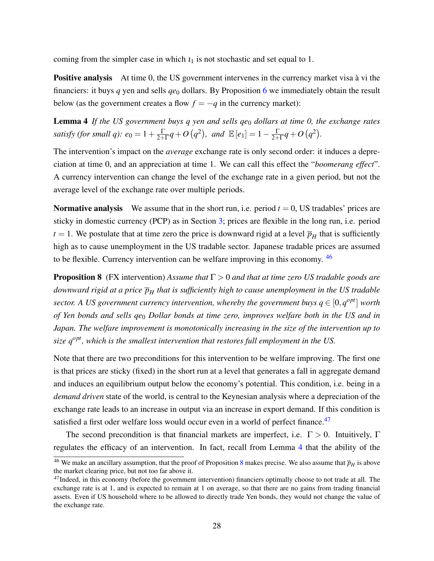coming from the simpler case in which  $t_1$  is not stochastic and set equal to 1.

<span id="page-28-2"></span>Positive analysis At time 0, the US government intervenes in the currency market visa à vi the financiers: it buys  $q$  yen and sells  $qe_0$  dollars. By Proposition [6](#page-24-0) we immediately obtain the result below (as the government creates a flow  $f = -q$  in the currency market):

Lemma 4 If the US government buys q yen and sells ge<sub>0</sub> dollars at time 0, the exchange rates *satisfy (for small q):*  $e_0 = 1 + \frac{\Gamma}{2+1}$  $\frac{\Gamma}{2+\Gamma}q+O\left(q^2\right)$ , and  $\mathbb{E}\left[e_1\right]=1-\frac{\Gamma}{2+\Gamma}$  $\frac{\Gamma}{2+\Gamma}q+O(q^2).$ 

The intervention's impact on the *average* exchange rate is only second order: it induces a depreciation at time 0, and an appreciation at time 1. We can call this effect the "*boomerang effect*". A currency intervention can change the level of the exchange rate in a given period, but not the average level of the exchange rate over multiple periods.

**Normative analysis** We assume that in the short run, i.e. period  $t = 0$ , US tradables' prices are sticky in domestic currency (PCP) as in Section [3;](#page-25-0) prices are flexible in the long run, i.e. period  $t = 1$ . We postulate that at time zero the price is downward rigid at a level  $\overline{p}_H$  that is sufficiently high as to cause unemployment in the US tradable sector. Japanese tradable prices are assumed to be flexible. Currency intervention can be welfare improving in this economy. [46](#page-28-0)

<span id="page-28-3"></span>Proposition 8 (FX intervention) *Assume that* Γ > 0 *and that at time zero US tradable goods are downward rigid at a price*  $\overline{p}_H$  *that is sufficiently high to cause unemployment in the US tradable sector.* A US government currency intervention, whereby the government buys  $q \in [0, q^{opt}]$  worth *of Yen bonds and sells qe*<sup>0</sup> *Dollar bonds at time zero, improves welfare both in the US and in Japan. The welfare improvement is monotonically increasing in the size of the intervention up to size qopt, which is the smallest intervention that restores full employment in the US.*

Note that there are two preconditions for this intervention to be welfare improving. The first one is that prices are sticky (fixed) in the short run at a level that generates a fall in aggregate demand and induces an equilibrium output below the economy's potential. This condition, i.e. being in a *demand driven* state of the world, is central to the Keynesian analysis where a depreciation of the exchange rate leads to an increase in output via an increase in export demand. If this condition is satisfied a first oder welfare loss would occur even in a world of perfect finance.<sup>[47](#page-28-1)</sup>

The second precondition is that financial markets are imperfect, i.e.  $\Gamma > 0$ . Intuitively,  $\Gamma$ regulates the efficacy of an intervention. In fact, recall from Lemma [4](#page-28-2) that the ability of the

<span id="page-28-0"></span><sup>&</sup>lt;sup>46</sup> We make an ancillary assumption, that the proof of Proposition [8](#page-28-3) makes precise. We also assume that  $\bar{p}_H$  is above the market clearing price, but not too far above it.

<span id="page-28-1"></span><sup>&</sup>lt;sup>47</sup>Indeed, in this economy (before the government intervention) financiers optimally choose to not trade at all. The exchange rate is at 1, and is expected to remain at 1 on average, so that there are no gains from trading financial assets. Even if US household where to be allowed to directly trade Yen bonds, they would not change the value of the exchange rate.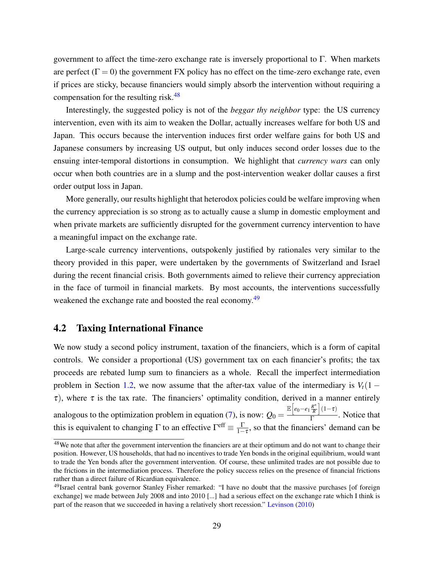government to affect the time-zero exchange rate is inversely proportional to  $\Gamma$ . When markets are perfect ( $\Gamma = 0$ ) the government FX policy has no effect on the time-zero exchange rate, even if prices are sticky, because financiers would simply absorb the intervention without requiring a compensation for the resulting risk. $48$ 

Interestingly, the suggested policy is not of the *beggar thy neighbor* type: the US currency intervention, even with its aim to weaken the Dollar, actually increases welfare for both US and Japan. This occurs because the intervention induces first order welfare gains for both US and Japanese consumers by increasing US output, but only induces second order losses due to the ensuing inter-temporal distortions in consumption. We highlight that *currency wars* can only occur when both countries are in a slump and the post-intervention weaker dollar causes a first order output loss in Japan.

More generally, our results highlight that heterodox policies could be welfare improving when the currency appreciation is so strong as to actually cause a slump in domestic employment and when private markets are sufficiently disrupted for the government currency intervention to have a meaningful impact on the exchange rate.

Large-scale currency interventions, outspokenly justified by rationales very similar to the theory provided in this paper, were undertaken by the governments of Switzerland and Israel during the recent financial crisis. Both governments aimed to relieve their currency appreciation in the face of turmoil in financial markets. By most accounts, the interventions successfully weakened the exchange rate and boosted the real economy.<sup>[49](#page-29-1)</sup>

## 4.2 Taxing International Finance

We now study a second policy instrument, taxation of the financiers, which is a form of capital controls. We consider a proportional (US) government tax on each financier's profits; the tax proceeds are rebated lump sum to financiers as a whole. Recall the imperfect intermediation problem in Section [1.2,](#page-8-1) we now assume that the after-tax value of the intermediary is  $V_t(1 \tau$ ), where  $\tau$  is the tax rate. The financiers' optimality condition, derived in a manner entirely analogous to the optimization problem in equation  $(7)$ , is now:  $Q_0 =$  $\mathbb{E}\left[e_0 - e_1 \frac{R^*}{R}\right]$  $\frac{R^*}{R}$  (1-τ)  $\frac{\kappa}{\Gamma}$ . Notice that this is equivalent to changing  $\Gamma$  to an effective  $\Gamma^{\text{eff}} \equiv \frac{\Gamma}{1-\tau}$ , so that the financiers' demand can be

<span id="page-29-0"></span><sup>&</sup>lt;sup>48</sup>We note that after the government intervention the financiers are at their optimum and do not want to change their position. However, US households, that had no incentives to trade Yen bonds in the original equilibrium, would want to trade the Yen bonds after the government intervention. Of course, these unlimited trades are not possible due to the frictions in the intermediation process. Therefore the policy success relies on the presence of financial frictions rather than a direct failure of Ricardian equivalence.

<span id="page-29-1"></span><sup>49</sup>Israel central bank governor Stanley Fisher remarked: "I have no doubt that the massive purchases [of foreign exchange] we made between July 2008 and into 2010 [...] had a serious effect on the exchange rate which I think is part of the reason that we succeeded in having a relatively short recession." [Levinson](#page-40-24) [\(2010\)](#page-40-24)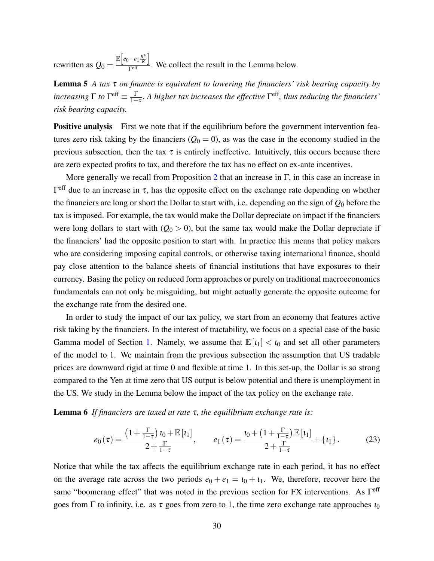<span id="page-30-0"></span>rewritten as  $Q_0 =$  $\mathbb{E}\left[e_0 - e_1 \frac{R^*}{R}\right]$  $\frac{R^*}{R}$  $\frac{R}{\Gamma^{\text{eff}}}$ . We collect the result in the Lemma below.

Lemma 5 *A tax* τ *on finance is equivalent to lowering the financiers' risk bearing capacity by increasing*  $\Gamma$  *to*  $\Gamma^{\text{eff}} \equiv \frac{\Gamma}{1-\tau}$ . A higher tax increases the effective  $\Gamma^{\text{eff}}$ , thus reducing the financiers' *risk bearing capacity.*

**Positive analysis** First we note that if the equilibrium before the government intervention features zero risk taking by the financiers  $(Q_0 = 0)$ , as was the case in the economy studied in the previous subsection, then the tax  $\tau$  is entirely ineffective. Intuitively, this occurs because there are zero expected profits to tax, and therefore the tax has no effect on ex-ante incentives.

More generally we recall from Proposition [2](#page-14-1) that an increase in  $\Gamma$ , in this case an increase in  $\Gamma^{\text{eff}}$  due to an increase in  $\tau$ , has the opposite effect on the exchange rate depending on whether the financiers are long or short the Dollar to start with, i.e. depending on the sign of *Q*<sup>0</sup> before the tax is imposed. For example, the tax would make the Dollar depreciate on impact if the financiers were long dollars to start with  $(Q_0 > 0)$ , but the same tax would make the Dollar depreciate if the financiers' had the opposite position to start with. In practice this means that policy makers who are considering imposing capital controls, or otherwise taxing international finance, should pay close attention to the balance sheets of financial institutions that have exposures to their currency. Basing the policy on reduced form approaches or purely on traditional macroeconomics fundamentals can not only be misguiding, but might actually generate the opposite outcome for the exchange rate from the desired one.

In order to study the impact of our tax policy, we start from an economy that features active risk taking by the financiers. In the interest of tractability, we focus on a special case of the basic Gamma model of Section [1.](#page-4-2) Namely, we assume that  $\mathbb{E}[t_1] < t_0$  and set all other parameters of the model to 1. We maintain from the previous subsection the assumption that US tradable prices are downward rigid at time 0 and flexible at time 1. In this set-up, the Dollar is so strong compared to the Yen at time zero that US output is below potential and there is unemployment in the US. We study in the Lemma below the impact of the tax policy on the exchange rate.

Lemma 6 *If financiers are taxed at rate* τ*, the equilibrium exchange rate is:*

<span id="page-30-1"></span>
$$
e_0(\tau) = \frac{\left(1 + \frac{\Gamma}{1 - \tau}\right) \iota_0 + \mathbb{E}\left[\iota_1\right]}{2 + \frac{\Gamma}{1 - \tau}}, \qquad e_1(\tau) = \frac{\iota_0 + \left(1 + \frac{\Gamma}{1 - \tau}\right) \mathbb{E}\left[\iota_1\right]}{2 + \frac{\Gamma}{1 - \tau}} + \{\iota_1\}.
$$
 (23)

Notice that while the tax affects the equilibrium exchange rate in each period, it has no effect on the average rate across the two periods  $e_0 + e_1 = i_0 + i_1$ . We, therefore, recover here the same "boomerang effect" that was noted in the previous section for FX interventions. As  $\Gamma^{\text{eff}}$ goes from  $\Gamma$  to infinity, i.e. as  $\tau$  goes from zero to 1, the time zero exchange rate approaches  $\iota_0$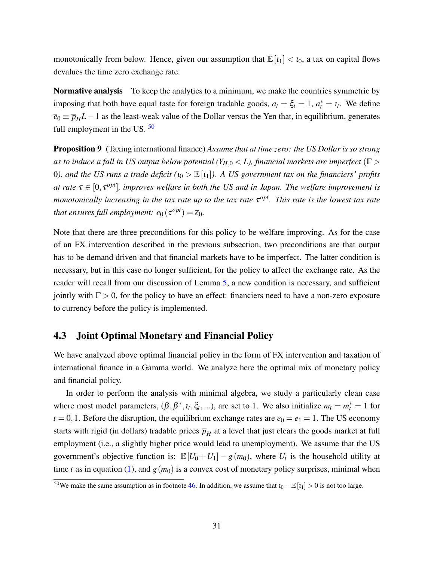monotonically from below. Hence, given our assumption that  $\mathbb{E}[t_1] < t_0$ , a tax on capital flows devalues the time zero exchange rate.

Normative analysis To keep the analytics to a minimum, we make the countries symmetric by imposing that both have equal taste for foreign tradable goods,  $a_t = \xi_t = 1$ ,  $a_t^* = i_t$ . We define  $\overline{e}_0 \equiv \overline{p}_H L - 1$  as the least-weak value of the Dollar versus the Yen that, in equilibrium, generates full employment in the US.  $50$ 

<span id="page-31-1"></span>Proposition 9 (Taxing international finance) *Assume that at time zero: the US Dollar is so strong as to induce a fall in US output below potential (YH*,<sup>0</sup> < *L), financial markets are imperfect* (Γ > 0), and the US runs a trade deficit  $(u_0 > \mathbb{E}[t_1])$ . A US government tax on the financiers' profits *at rate*  $\tau \in [0, \tau^{opt}]$ , improves welfare in both the US and in Japan. The welfare improvement is *monotonically increasing in the tax rate up to the tax rate* τ<sup>opt</sup>. This rate is the lowest tax rate *that ensures full employment:*  $e_0(\tau^{opt}) = \overline{e}_0$ .

Note that there are three preconditions for this policy to be welfare improving. As for the case of an FX intervention described in the previous subsection, two preconditions are that output has to be demand driven and that financial markets have to be imperfect. The latter condition is necessary, but in this case no longer sufficient, for the policy to affect the exchange rate. As the reader will recall from our discussion of Lemma [5,](#page-30-0) a new condition is necessary, and sufficient jointly with  $\Gamma > 0$ , for the policy to have an effect: financiers need to have a non-zero exposure to currency before the policy is implemented.

## 4.3 Joint Optimal Monetary and Financial Policy

We have analyzed above optimal financial policy in the form of FX intervention and taxation of international finance in a Gamma world. We analyze here the optimal mix of monetary policy and financial policy.

In order to perform the analysis with minimal algebra, we study a particularly clean case where most model parameters,  $(\beta, \beta^*, t_t, \xi_t, \ldots)$ , are set to 1. We also initialize  $m_t = m_t^* = 1$  for  $t = 0, 1$ . Before the disruption, the equilibrium exchange rates are  $e_0 = e_1 = 1$ . The US economy starts with rigid (in dollars) tradable prices  $\overline{p}_H$  at a level that just clears the goods market at full employment (i.e., a slightly higher price would lead to unemployment). We assume that the US government's objective function is:  $\mathbb{E}[U_0+U_1]-g(m_0)$ , where  $U_t$  is the household utility at time *t* as in equation [\(1\)](#page-5-2), and  $g(m_0)$  is a convex cost of monetary policy surprises, minimal when

<span id="page-31-0"></span><sup>&</sup>lt;sup>50</sup>We make the same assumption as in footnote [46.](#page-28-0) In addition, we assume that  $t_0 - \mathbb{E}[t_1] > 0$  is not too large.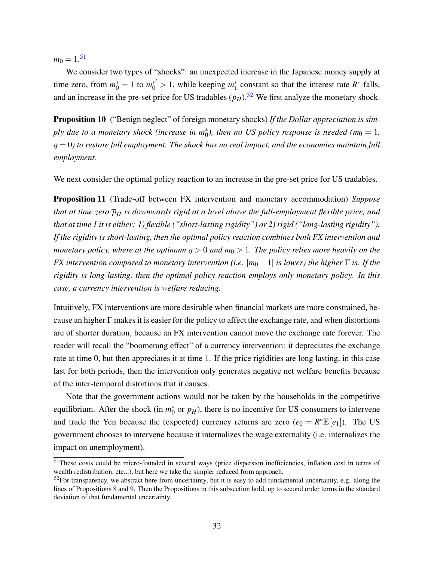$m_0 = 1.51$  $m_0 = 1.51$ 

We consider two types of "shocks": an unexpected increase in the Japanese money supply at time zero, from  $m_0^* = 1$  to  $m_0^{*'} > 1$ , while keeping  $m_1^*$  $\frac{1}{1}$  constant so that the interest rate  $R^*$  falls, and an increase in the pre-set price for US tradables  $(\bar{p}_H)$ .<sup>[52](#page-32-1)</sup> We first analyze the monetary shock.

<span id="page-32-2"></span>**Proposition 10** ("Benign neglect" of foreign monetary shocks) If the Dollar appreciation is sim*ply due to a monetary shock (increase in m*<sup>\*</sup><sub>0</sub>), then no US policy response is needed ( $m_0 = 1$ ,  $q = 0$ ) to restore full employment. The shock has no real impact, and the economies maintain full *employment.*

<span id="page-32-3"></span>We next consider the optimal policy reaction to an increase in the pre-set price for US tradables.

Proposition 11 (Trade-off between FX intervention and monetary accommodation) *Suppose that at time zero*  $\overline{p}_H$  *is downwards rigid at a level above the full-employment flexible price, and that at time 1 it is either: 1) flexible ("short-lasting rigidity") or 2) rigid ("long-lasting rigidity"). If the rigidity is short-lasting, then the optimal policy reaction combines both FX intervention and monetary policy, where at the optimum*  $q > 0$  *and*  $m_0 > 1$ *. The policy relies more heavily on the FX intervention compared to monetary intervention (i.e.*  $|m_0 - 1|$  *is lower) the higher*  $\Gamma$  *is. If the rigidity is long-lasting, then the optimal policy reaction employs only monetary policy. In this case, a currency intervention is welfare reducing.*

Intuitively, FX interventions are more desirable when financial markets are more constrained, because an higher Γ makes it is easier for the policy to affect the exchange rate, and when distortions are of shorter duration, because an FX intervention cannot move the exchange rate forever. The reader will recall the "boomerang effect" of a currency intervention: it depreciates the exchange rate at time 0, but then appreciates it at time 1. If the price rigidities are long lasting, in this case last for both periods, then the intervention only generates negative net welfare benefits because of the inter-temporal distortions that it causes.

Note that the government actions would not be taken by the households in the competitive equilibrium. After the shock (in  $m_0^*$ )  $\bar{p}_{\bar{H}}$  or  $\bar{p}_H$ ), there is no incentive for US consumers to intervene and trade the Yen because the (expected) currency returns are zero  $(e_0 = R^* \mathbb{E}[e_1])$ . The US government chooses to intervene because it internalizes the wage externality (i.e. internalizes the impact on unemployment).

<span id="page-32-0"></span><sup>51</sup>These costs could be micro-founded in several ways (price dispersion inefficiencies, inflation cost in terms of wealth redistribution, etc...), but here we take the simpler reduced form approach.

<span id="page-32-1"></span> $52$ For transparency, we abstract here from uncertainty, but it is easy to add fundamental uncertainty, e.g. along the lines of Propositions [8](#page-28-3) and [9.](#page-31-1) Then the Propositions in this subsection hold, up to second order terms in the standard deviation of that fundamental uncertainty.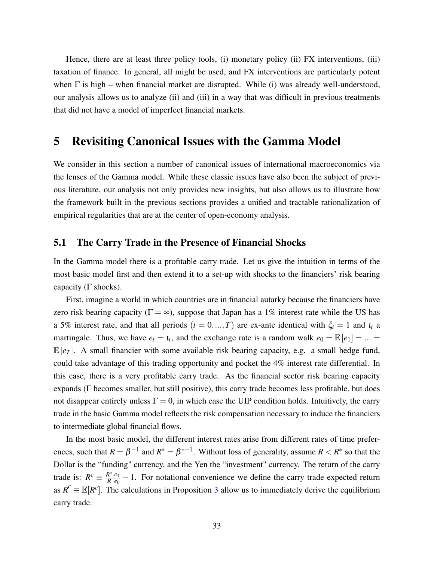Hence, there are at least three policy tools, (i) monetary policy (ii) FX interventions, (iii) taxation of finance. In general, all might be used, and FX interventions are particularly potent when  $\Gamma$  is high – when financial market are disrupted. While (i) was already well-understood, our analysis allows us to analyze (ii) and (iii) in a way that was difficult in previous treatments that did not have a model of imperfect financial markets.

# 5 Revisiting Canonical Issues with the Gamma Model

We consider in this section a number of canonical issues of international macroeconomics via the lenses of the Gamma model. While these classic issues have also been the subject of previous literature, our analysis not only provides new insights, but also allows us to illustrate how the framework built in the previous sections provides a unified and tractable rationalization of empirical regularities that are at the center of open-economy analysis.

### <span id="page-33-0"></span>5.1 The Carry Trade in the Presence of Financial Shocks

In the Gamma model there is a profitable carry trade. Let us give the intuition in terms of the most basic model first and then extend it to a set-up with shocks to the financiers' risk bearing capacity ( $\Gamma$  shocks).

First, imagine a world in which countries are in financial autarky because the financiers have zero risk bearing capacity ( $\Gamma = \infty$ ), suppose that Japan has a 1% interest rate while the US has a 5% interest rate, and that all periods  $(t = 0, ..., T)$  are ex-ante identical with  $\xi_t = 1$  and  $i_t$  a martingale. Thus, we have  $e_t = t_t$ , and the exchange rate is a random walk  $e_0 = \mathbb{E}[e_1] = ... =$  $\mathbb{E}[e_T]$ . A small financier with some available risk bearing capacity, e.g. a small hedge fund, could take advantage of this trading opportunity and pocket the 4% interest rate differential. In this case, there is a very profitable carry trade. As the financial sector risk bearing capacity expands (Γ becomes smaller, but still positive), this carry trade becomes less profitable, but does not disappear entirely unless  $\Gamma = 0$ , in which case the UIP condition holds. Intuitively, the carry trade in the basic Gamma model reflects the risk compensation necessary to induce the financiers to intermediate global financial flows.

<span id="page-33-1"></span>In the most basic model, the different interest rates arise from different rates of time preferences, such that  $R = \beta^{-1}$  and  $R^* = \beta^{*-1}$ . Without loss of generality, assume  $R < R^*$  so that the Dollar is the "funding" currency, and the Yen the "investment" currency. The return of the carry trade is:  $R^c \equiv \frac{R^*}{R}$ *R e*1  $\frac{e_1}{e_0}$  – 1. For notational convenience we define the carry trade expected return as  $\overline{R}^c \equiv \mathbb{E}[R^c]$ . The calculations in Proposition [3](#page-14-0) allow us to immediately derive the equilibrium carry trade.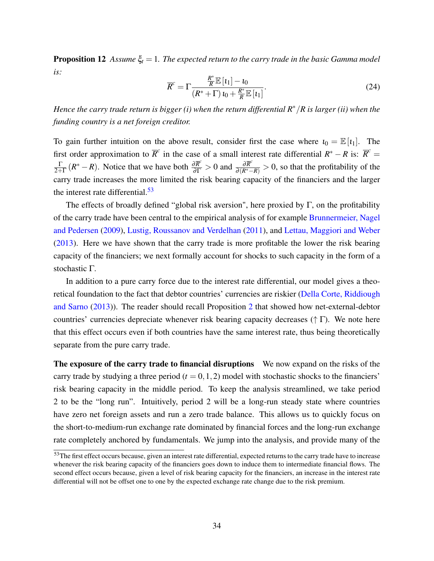**Proposition 12** *Assume*  $\xi_t = 1$ *. The expected return to the carry trade in the basic Gamma model is:*

$$
\overline{R}^c = \Gamma \frac{\frac{R^*}{R} \mathbb{E}\left[\mathbf{1}_1\right] - \mathbf{1}_0}{\left(R^* + \Gamma\right) \mathbf{1}_0 + \frac{R^*}{R} \mathbb{E}\left[\mathbf{1}_1\right]}.
$$
\n(24)

*Hence the carry trade return is bigger (i) when the return differential R*∗/*R is larger (ii) when the funding country is a net foreign creditor.*

To gain further intuition on the above result, consider first the case where  $\iota_0 = \mathbb{E}[i_1]$ . The first order approximation to  $\overline{R}^c$  in the case of a small interest rate differential  $R^* - R$  is:  $\overline{R}^c =$ Γ  $\frac{\Gamma}{2+\Gamma}(R^* - R)$ . Notice that we have both  $\frac{\partial \overline{R}^c}{\partial \Gamma} > 0$  and  $\frac{\partial \overline{R}^c}{\partial (R^* - R)} > 0$ , so that the profitability of the carry trade increases the more limited the risk bearing capacity of the financiers and the larger the interest rate differential. $53$ 

The effects of broadly defined "global risk aversion", here proxied by  $\Gamma$ , on the profitability of the carry trade have been central to the empirical analysis of for example [Brunnermeier, Nagel](#page-38-20) [and Pedersen](#page-38-20) [\(2009\)](#page-38-20), [Lustig, Roussanov and Verdelhan](#page-40-25) [\(2011\)](#page-40-25), and [Lettau, Maggiori and Weber](#page-40-26) [\(2013\)](#page-40-26). Here we have shown that the carry trade is more profitable the lower the risk bearing capacity of the financiers; we next formally account for shocks to such capacity in the form of a stochastic Γ.

In addition to a pure carry force due to the interest rate differential, our model gives a theoretical foundation to the fact that debtor countries' currencies are riskier [\(Della Corte, Riddiough](#page-38-16) [and Sarno](#page-38-16) [\(2013\)](#page-38-16)). The reader should recall Proposition [2](#page-14-1) that showed how net-external-debtor countries' currencies depreciate whenever risk bearing capacity decreases ( $\uparrow \Gamma$ ). We note here that this effect occurs even if both countries have the same interest rate, thus being theoretically separate from the pure carry trade.

The exposure of the carry trade to financial disruptions We now expand on the risks of the carry trade by studying a three period  $(t = 0, 1, 2)$  model with stochastic shocks to the financiers' risk bearing capacity in the middle period. To keep the analysis streamlined, we take period 2 to be the "long run". Intuitively, period 2 will be a long-run steady state where countries have zero net foreign assets and run a zero trade balance. This allows us to quickly focus on the short-to-medium-run exchange rate dominated by financial forces and the long-run exchange rate completely anchored by fundamentals. We jump into the analysis, and provide many of the

<span id="page-34-0"></span><sup>&</sup>lt;sup>53</sup>The first effect occurs because, given an interest rate differential, expected returns to the carry trade have to increase whenever the risk bearing capacity of the financiers goes down to induce them to intermediate financial flows. The second effect occurs because, given a level of risk bearing capacity for the financiers, an increase in the interest rate differential will not be offset one to one by the expected exchange rate change due to the risk premium.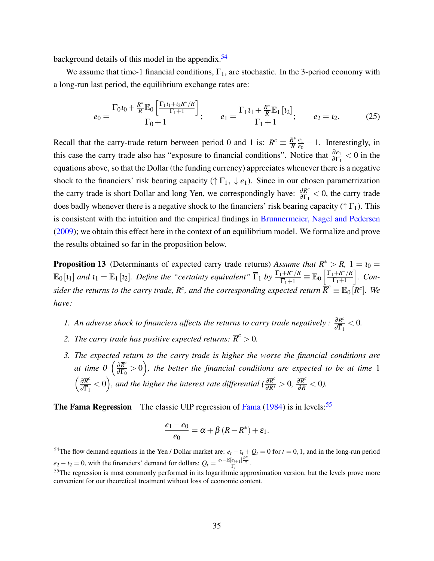background details of this model in the appendix.<sup>[54](#page-35-0)</sup>

We assume that time-1 financial conditions,  $\Gamma_1$ , are stochastic. In the 3-period economy with a long-run last period, the equilibrium exchange rates are:

<span id="page-35-4"></span>
$$
e_0 = \frac{\Gamma_0 i_0 + \frac{R^*}{R} \mathbb{E}_0 \left[ \frac{\Gamma_1 i_1 + i_2 R^* / R}{\Gamma_1 + 1} \right]}{\Gamma_0 + 1}; \qquad e_1 = \frac{\Gamma_1 i_1 + \frac{R^*}{R} \mathbb{E}_1 \left[ i_2 \right]}{\Gamma_1 + 1}; \qquad e_2 = i_2. \tag{25}
$$

Recall that the carry-trade return between period 0 and 1 is:  $R^c = \frac{R^*}{R}$ *R e*1  $\frac{e_1}{e_0} - 1$ . Interestingly, in this case the carry trade also has "exposure to financial conditions". Notice that  $\frac{\partial e_1}{\partial \Gamma_1}$  < 0 in the equations above, so that the Dollar (the funding currency) appreciates whenever there is a negative shock to the financiers' risk bearing capacity ( $\uparrow \Gamma_1$ ,  $\downarrow e_1$ ). Since in our chosen parametrization the carry trade is short Dollar and long Yen, we correspondingly have:  $\frac{\partial R^c}{\partial \Gamma}$  $\frac{\partial R^c}{\partial \Gamma_1}$  < 0, the carry trade does badly whenever there is a negative shock to the financiers' risk bearing capacity ( $\uparrow \Gamma_1$ ). This is consistent with the intuition and the empirical findings in [Brunnermeier, Nagel and Pedersen](#page-38-20) [\(2009\)](#page-38-20); we obtain this effect here in the context of an equilibrium model. We formalize and prove the results obtained so far in the proposition below.

<span id="page-35-3"></span>**Proposition 13** (Determinants of expected carry trade returns) *Assume that*  $R^* > R$ , 1 =  $t_0$  =  $\mathbb{E}_0\left[\iota_1\right]$  *and*  $\iota_1 = \mathbb{E}_1\left[\iota_2\right]$ *. Define the "certainty equivalent"*  $\overline{\Gamma}_1$  *by*  $\frac{\overline{\Gamma}_1 + R^*/R}{\overline{\Gamma}_2 + 1}$  $\frac{1+R^*/R}{\overline{\Gamma}_1+1}\equiv\mathbb{E}_0\left[\frac{\Gamma_1+R^*/R}{\Gamma_1+1}\right]$  $\Gamma_1+1$ i *. Consider the returns to the carry trade, R<sup>c</sup>, and the corresponding expected return*  $\bar{R}^c \equiv \mathbb{E}_0[R^c]$ *. We have:*

- *1.* An adverse shock to financiers affects the returns to carry trade negatively :  $\frac{\partial R^c}{\partial \overline{\Gamma}}$  $\frac{\partial R^c}{\partial \overline{\Gamma}_1} < 0.$
- 2. *The carry trade has positive expected returns:*  $\overline{R}^c > 0$ .
- *3. The expected return to the carry trade is higher the worse the financial conditions are at time 0*  $\left(\frac{\partial \overline{R}^c}{\partial \Gamma_c}\right)$  $\frac{\partial \overline{R}^c}{\partial \Gamma_0}>0\Big),$  the better the financial conditions are expected to be at time  $1$  $\int$  ∂ $\overline{R}^c$  $\frac{\partial \overline{R}^c}{\partial \overline{\Gamma_1}} < 0$ ), and the higher the interest rate differential ( $\frac{\partial \overline{R}^c}{\partial R^*} > 0$ ,  $\frac{\partial \overline{R}^c}{\partial R} < 0$ ).

**The [Fama](#page-39-22) Regression** The classic UIP regression of Fama  $(1984)$  is in levels:<sup>[55](#page-35-1)</sup>

<span id="page-35-2"></span>
$$
\frac{e_1-e_0}{e_0}=\alpha+\beta(R-R^*)+\varepsilon_1.
$$

<span id="page-35-0"></span><sup>&</sup>lt;sup>54</sup>The flow demand equations in the Yen / Dollar market are:  $e_t - t_t + Q_t = 0$  for  $t = 0, 1$ , and in the long-run period  $e_2 - i_2 = 0$ , with the financiers' demand for dollars:  $Q_t = \frac{e_t - \mathbb{E}[e_{t+1}]\frac{R^*}{R}}{\Gamma_t}$ .

<span id="page-35-1"></span><sup>&</sup>lt;sup>55</sup>The regression is most commonly performed in its logarithmic approximation version, but the levels prove more convenient for our theoretical treatment without loss of economic content.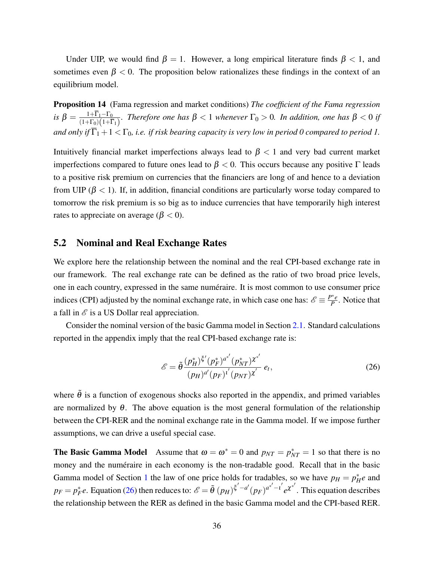<span id="page-36-1"></span>Under UIP, we would find  $\beta = 1$ . However, a long empirical literature finds  $\beta < 1$ , and sometimes even  $\beta$  < 0. The proposition below rationalizes these findings in the context of an equilibrium model.

Proposition 14 (Fama regression and market conditions) *The coefficient of the Fama regression*  $i$ *s*  $\beta = \frac{1+\overline{\Gamma}_1-\Gamma_0}{(1+\Gamma_0)(1+\overline{\Gamma})}$  $\frac{1+1}{(1+\Gamma_0)(1+\overline{\Gamma}_1)}$ . Therefore one has  $\beta < 1$  whenever  $\Gamma_0 > 0$ . In addition, one has  $\beta < 0$  if *and only if*  $\overline{\Gamma}_1 + 1 < \Gamma_0$ , *i.e. if risk bearing capacity is very low in period 0 compared to period 1.* 

Intuitively financial market imperfections always lead to  $\beta$  < 1 and very bad current market imperfections compared to future ones lead to  $\beta$  < 0. This occurs because any positive Γ leads to a positive risk premium on currencies that the financiers are long of and hence to a deviation from UIP ( $\beta$  < 1). If, in addition, financial conditions are particularly worse today compared to tomorrow the risk premium is so big as to induce currencies that have temporarily high interest rates to appreciate on average ( $\beta < 0$ ).

### <span id="page-36-0"></span>5.2 Nominal and Real Exchange Rates

We explore here the relationship between the nominal and the real CPI-based exchange rate in our framework. The real exchange rate can be defined as the ratio of two broad price levels, one in each country, expressed in the same numéraire. It is most common to use consumer price indices (CPI) adjusted by the nominal exchange rate, in which case one has:  $\mathscr{E} \equiv \frac{P^*e}{P}$  $\frac{P}{P}$ . Notice that a fall in  $\mathcal E$  is a US Dollar real appreciation.

Consider the nominal version of the basic Gamma model in Section [2.1.](#page-20-1) Standard calculations reported in the appendix imply that the real CPI-based exchange rate is:

$$
\mathscr{E} = \tilde{\theta} \frac{(p_H^*)^{\xi'}(p_F^*)^{a^{*'}}(p_{NT}^*)^{x^{*'}}}{(p_H)^{a'}(p_F)^{t'}(p_{NT})^{x'}} e_t,
$$
\n(26)

where  $\tilde{\theta}$  is a function of exogenous shocks also reported in the appendix, and primed variables are normalized by  $\theta$ . The above equation is the most general formulation of the relationship between the CPI-RER and the nominal exchange rate in the Gamma model. If we impose further assumptions, we can drive a useful special case.

**The Basic Gamma Model** Assume that  $\omega = \omega^* = 0$  and  $p_{NT} = p_{NT}^* = 1$  so that there is no money and the numéraire in each economy is the non-tradable good. Recall that in the basic Gamma model of Section [1](#page-4-2) the law of one price holds for tradables, so we have  $p_H = p_H^*e$  and  $p_F = p_F^*e$ . Equation [\(26\)](#page-35-2) then reduces to:  $\mathscr{E} = \tilde{\theta} (p_H)^{\xi'-a'} (p_F)^{a^{*'}-1'} e^{\chi^{*'}}$ . This equation describes the relationship between the RER as defined in the basic Gamma model and the CPI-based RER.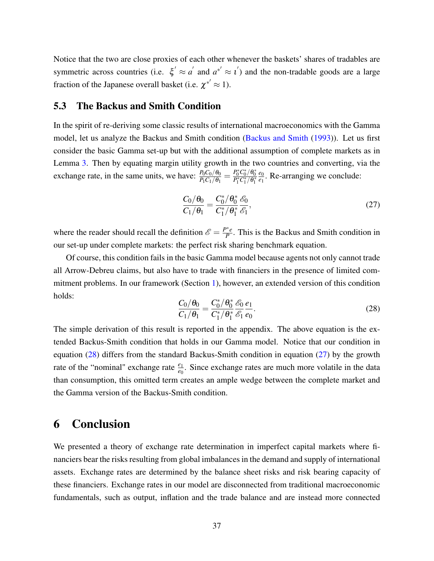Notice that the two are close proxies of each other whenever the baskets' shares of tradables are symmetric across countries (i.e.  $\xi' \approx a'$  and  $a^{*'} \approx a'$ ) and the non-tradable goods are a large fraction of the Japanese overall basket (i.e.  $\chi^{*'} \approx 1$ ).

### 5.3 The Backus and Smith Condition

In the spirit of re-deriving some classic results of international macroeconomics with the Gamma model, let us analyze the Backus and Smith condition [\(Backus and Smith](#page-38-4) [\(1993\)](#page-38-4)). Let us first consider the basic Gamma set-up but with the additional assumption of complete markets as in Lemma [3.](#page-17-2) Then by equating margin utility growth in the two countries and converting, via the exchange rate, in the same units, we have:  $\frac{P_0C_0/\theta_0}{P_1C_1/\theta_1} = \frac{P_0^*C_0^*/\theta_0^*}{P_1^*C_1^*/\theta_1^*}$ *e*0  $\frac{e_0}{e_1}$ . Re-arranging we conclude:

<span id="page-37-1"></span>
$$
\frac{C_0/\theta_0}{C_1/\theta_1} = \frac{C_0^*/\theta_0^*}{C_1^*/\theta_1^*} \frac{\mathscr{E}_0}{\mathscr{E}_1},
$$
\n(27)

where the reader should recall the definition  $\mathscr{E} = \frac{P^*e}{P}$  $\frac{P^{\prime}e}{P}$ . This is the Backus and Smith condition in our set-up under complete markets: the perfect risk sharing benchmark equation.

Of course, this condition fails in the basic Gamma model because agents not only cannot trade all Arrow-Debreu claims, but also have to trade with financiers in the presence of limited commitment problems. In our framework (Section [1\)](#page-4-2), however, an extended version of this condition holds:

<span id="page-37-0"></span>
$$
\frac{C_0/\theta_0}{C_1/\theta_1} = \frac{C_0^*/\theta_0^*}{C_1^*/\theta_1^*} \frac{\mathscr{E}_0}{\mathscr{E}_1} \frac{e_1}{e_0}.
$$
\n(28)

The simple derivation of this result is reported in the appendix. The above equation is the extended Backus-Smith condition that holds in our Gamma model. Notice that our condition in equation [\(28\)](#page-37-0) differs from the standard Backus-Smith condition in equation [\(27\)](#page-37-1) by the growth rate of the "nominal" exchange rate  $\frac{e_1}{e_0}$ . Since exchange rates are much more volatile in the data than consumption, this omitted term creates an ample wedge between the complete market and the Gamma version of the Backus-Smith condition.

# 6 Conclusion

We presented a theory of exchange rate determination in imperfect capital markets where financiers bear the risks resulting from global imbalances in the demand and supply of international assets. Exchange rates are determined by the balance sheet risks and risk bearing capacity of these financiers. Exchange rates in our model are disconnected from traditional macroeconomic fundamentals, such as output, inflation and the trade balance and are instead more connected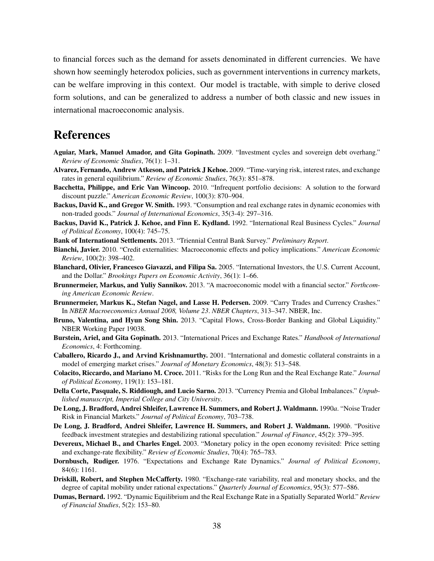to financial forces such as the demand for assets denominated in different currencies. We have shown how seemingly heterodox policies, such as government interventions in currency markets, can be welfare improving in this context. Our model is tractable, with simple to derive closed form solutions, and can be generalized to address a number of both classic and new issues in international macroeconomic analysis.

# References

- <span id="page-38-7"></span>Aguiar, Mark, Manuel Amador, and Gita Gopinath. 2009. "Investment cycles and sovereign debt overhang." *Review of Economic Studies*, 76(1): 1–31.
- <span id="page-38-10"></span>Alvarez, Fernando, Andrew Atkeson, and Patrick J Kehoe. 2009. "Time-varying risk, interest rates, and exchange rates in general equilibrium." *Review of Economic Studies*, 76(3): 851–878.
- <span id="page-38-8"></span>Bacchetta, Philippe, and Eric Van Wincoop. 2010. "Infrequent portfolio decisions: A solution to the forward discount puzzle." *American Economic Review*, 100(3): 870–904.
- <span id="page-38-4"></span>Backus, David K., and Gregor W. Smith. 1993. "Consumption and real exchange rates in dynamic economies with non-traded goods." *Journal of International Economics*, 35(3-4): 297–316.
- <span id="page-38-1"></span>Backus, David K., Patrick J. Kehoe, and Finn E. Kydland. 1992. "International Real Business Cycles." *Journal of Political Economy*, 100(4): 745–75.

<span id="page-38-15"></span>Bank of International Settlements. 2013. "Triennial Central Bank Survey." *Preliminary Report*.

- <span id="page-38-19"></span>Bianchi, Javier. 2010. "Credit externalities: Macroeconomic effects and policy implications." *American Economic Review*, 100(2): 398–402.
- <span id="page-38-6"></span>Blanchard, Olivier, Francesco Giavazzi, and Filipa Sa. 2005. "International Investors, the U.S. Current Account, and the Dollar." *Brookings Papers on Economic Activity*, 36(1): 1–66.
- <span id="page-38-11"></span>Brunnermeier, Markus, and Yuliy Sannikov. 2013. "A macroeconomic model with a financial sector." *Forthcoming American Economic Review*.
- <span id="page-38-20"></span>Brunnermeier, Markus K., Stefan Nagel, and Lasse H. Pedersen. 2009. "Carry Trades and Currency Crashes." In *NBER Macroeconomics Annual 2008, Volume 23*. *NBER Chapters*, 313–347. NBER, Inc.
- <span id="page-38-9"></span>Bruno, Valentina, and Hyun Song Shin. 2013. "Capital Flows, Cross-Border Banking and Global Liquidity." NBER Working Paper 19038.
- <span id="page-38-18"></span>Burstein, Ariel, and Gita Gopinath. 2013. "International Prices and Exchange Rates." *Handbook of International Economics*, 4: Forthcoming.
- <span id="page-38-12"></span>Caballero, Ricardo J., and Arvind Krishnamurthy. 2001. "International and domestic collateral constraints in a model of emerging market crises." *Journal of Monetary Economics*, 48(3): 513–548.
- <span id="page-38-3"></span>Colacito, Riccardo, and Mariano M. Croce. 2011. "Risks for the Long Run and the Real Exchange Rate." *Journal of Political Economy*, 119(1): 153–181.
- <span id="page-38-16"></span>Della Corte, Pasquale, S. Riddiough, and Lucio Sarno. 2013. "Currency Premia and Global Imbalances." *Unpublished manuscript, Imperial College and City University*.
- <span id="page-38-13"></span>De Long, J. Bradford, Andrei Shleifer, Lawrence H. Summers, and Robert J. Waldmann. 1990*a*. "Noise Trader Risk in Financial Markets." *Journal of Political Economy*, 703–738.
- <span id="page-38-14"></span>De Long, J. Bradford, Andrei Shleifer, Lawrence H. Summers, and Robert J. Waldmann. 1990*b*. "Positive feedback investment strategies and destabilizing rational speculation." *Journal of Finance*, 45(2): 379–395.
- <span id="page-38-17"></span>Devereux, Michael B., and Charles Engel. 2003. "Monetary policy in the open economy revisited: Price setting and exchange-rate flexibility." *Review of Economic Studies*, 70(4): 765–783.
- <span id="page-38-0"></span>Dornbusch, Rudiger. 1976. "Expectations and Exchange Rate Dynamics." *Journal of Political Economy*, 84(6): 1161.
- <span id="page-38-5"></span>Driskill, Robert, and Stephen McCafferty. 1980. "Exchange-rate variability, real and monetary shocks, and the degree of capital mobility under rational expectations." *Quarterly Journal of Economics*, 95(3): 577–586.
- <span id="page-38-2"></span>Dumas, Bernard. 1992. "Dynamic Equilibrium and the Real Exchange Rate in a Spatially Separated World." *Review of Financial Studies*, 5(2): 153–80.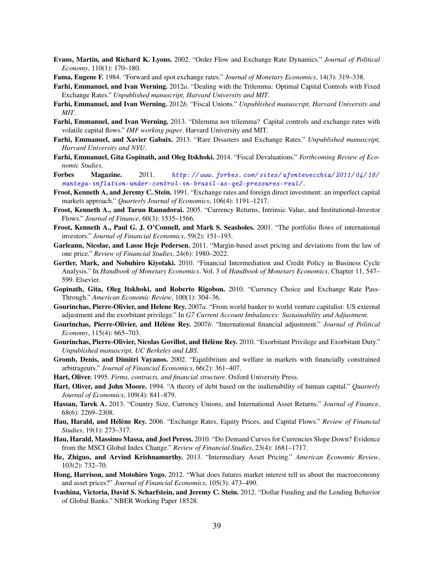- <span id="page-39-5"></span>Evans, Martin, and Richard K. Lyons. 2002. "Order Flow and Exchange Rate Dynamics." *Journal of Political Economy*, 110(1): 170–180.
- <span id="page-39-22"></span>Fama, Eugene F. 1984. "Forward and spot exchange rates." *Journal of Monetary Economics*, 14(3): 319–338.
- <span id="page-39-3"></span>Farhi, Emmanuel, and Ivan Werning. 2012*a*. "Dealing with the Trilemma: Optimal Capital Controls with Fixed Exchange Rates." *Unpublished manuscript, Harvard University and MIT*.
- <span id="page-39-4"></span>Farhi, Emmanuel, and Ivan Werning. 2012*b*. "Fiscal Unions." *Unpublished manuscript, Harvard University and MIT*.
- <span id="page-39-21"></span>Farhi, Emmanuel, and Ivan Werning. 2013. "Dilemma not trilemma? Capital controls and exchange rates with volatile capital flows." *IMF working paper*. Harvard University and MIT.
- <span id="page-39-1"></span>Farhi, Emmanuel, and Xavier Gabaix. 2013. "Rare Disasters and Exchange Rates." *Unpublished manuscript, Harvard University and NYU*.
- <span id="page-39-2"></span>Farhi, Emmanuel, Gita Gopinath, and Oleg Itskhoki. 2014. "Fiscal Devaluations." *Forthcoming Review of Economic Studies*.
- <span id="page-39-19"></span>Forbes Magazine. 2011. [http: // www. forbes. com/ sites/ afontevecchia/ 2011/ 04/ 18/](http://www.forbes.com/sites/afontevecchia/2011/04/18/mantega-inflation-under-control-in-brazil-as-qe2-pressures-real/) [mantega-inflation-under-control-in-brazil-as-qe2-pressures-real/](http://www.forbes.com/sites/afontevecchia/2011/04/18/mantega-inflation-under-control-in-brazil-as-qe2-pressures-real/) .
- Froot, Kenneth A, and Jeremy C. Stein. 1991. "Exchange rates and foreign direct investment: an imperfect capital markets approach." *Quarterly Journal of Economics*, 106(4): 1191–1217.
- <span id="page-39-16"></span>Froot, Kenneth A., and Tarun Ramadorai. 2005. "Currency Returns, Intrinsic Value, and Institutional-Investor Flows." *Journal of Finance*, 60(3): 1535–1566.
- Froot, Kenneth A., Paul G. J. O'Connell, and Mark S. Seasholes. 2001. "The portfolio flows of international investors." *Journal of Financial Economics*, 59(2): 151–193.
- <span id="page-39-7"></span>Garleanu, Nicolae, and Lasse Heje Pedersen. 2011. "Margin-based asset pricing and deviations from the law of one price." *Review of Financial Studies*, 24(6): 1980–2022.
- <span id="page-39-10"></span>Gertler, Mark, and Nobuhiro Kiyotaki. 2010. "Financial Intermediation and Credit Policy in Business Cycle Analysis." In *Handbook of Monetary Economics*. Vol. 3 of *Handbook of Monetary Economics*, Chapter 11, 547– 599. Elsevier.
- <span id="page-39-20"></span>Gopinath, Gita, Oleg Itskhoki, and Roberto Rigobon. 2010. "Currency Choice and Exchange Rate Pass-Through." *American Economic Review*, 100(1): 304–36.
- <span id="page-39-18"></span>Gourinchas, Pierre-Olivier, and Helene Rey. 2007*a*. "From world banker to world venture capitalist: US external adjustment and the exorbitant privilege." In *G7 Current Account Imbalances: Sustainability and Adjustment*.
- <span id="page-39-14"></span>Gourinchas, Pierre-Olivier, and Hélène Rey. 2007*b*. "International financial adjustment." *Journal of Political Economy*, 115(4): 665–703.
- <span id="page-39-15"></span>Gourinchas, Pierre-Olivier, Nicolas Govillot, and Hélène Rey. 2010. "Exorbitant Privilege and Exorbitant Duty." *Unpublished manuscript, UC Berkeley and LBS*.
- <span id="page-39-9"></span>Gromb, Denis, and Dimitri Vayanos. 2002. "Equilibrium and welfare in markets with financially constrained arbitrageurs." *Journal of Financial Economics*, 66(2): 361–407.
- <span id="page-39-12"></span>Hart, Oliver. 1995. *Firms, contracts, and financial structure.* Oxford University Press.
- <span id="page-39-11"></span>Hart, Oliver, and John Moore. 1994. "A theory of debt based on the inalienability of human capital." *Quarterly Journal of Economics*, 109(4): 841–879.
- <span id="page-39-0"></span>Hassan, Tarek A. 2013. "Country Size, Currency Unions, and International Asset Returns." *Journal of Finance*, 68(6): 2269–2308.
- <span id="page-39-6"></span>Hau, Harald, and Hélène Rey. 2006. "Exchange Rates, Equity Prices, and Capital Flows." *Review of Financial Studies*, 19(1): 273–317.
- <span id="page-39-13"></span>Hau, Harald, Massimo Massa, and Joel Peress. 2010. "Do Demand Curves for Currencies Slope Down? Evidence from the MSCI Global Index Change." *Review of Financial Studies*, 23(4): 1681–1717.
- <span id="page-39-8"></span>He, Zhiguo, and Arvind Krishnamurthy. 2013. "Intermediary Asset Pricing." *American Economic Review*, 103(2): 732–70.
- <span id="page-39-17"></span>Hong, Harrison, and Motohiro Yogo. 2012. "What does futures market interest tell us about the macroeconomy and asset prices?" *Journal of Financial Economics*, 105(3): 473–490.
- Ivashina, Victoria, David S. Scharfstein, and Jeremy C. Stein. 2012. "Dollar Funding and the Lending Behavior of Global Banks." NBER Working Paper 18528.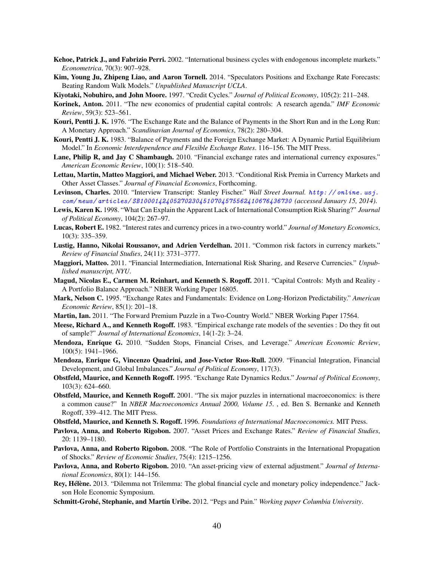- <span id="page-40-11"></span>Kehoe, Patrick J., and Fabrizio Perri. 2002. "International business cycles with endogenous incomplete markets." *Econometrica*, 70(3): 907–928.
- <span id="page-40-18"></span>Kim, Young Ju, Zhipeng Liao, and Aaron Tornell. 2014. "Speculators Positions and Exchange Rate Forecasts: Beating Random Walk Models." *Unpublished Manuscript UCLA*.
- <span id="page-40-12"></span>Kiyotaki, Nobuhiro, and John Moore. 1997. "Credit Cycles." *Journal of Political Economy*, 105(2): 211–248.
- <span id="page-40-23"></span>Korinek, Anton. 2011. "The new economics of prudential capital controls: A research agenda." *IMF Economic Review*, 59(3): 523–561.
- <span id="page-40-0"></span>Kouri, Pentti J. K. 1976. "The Exchange Rate and the Balance of Payments in the Short Run and in the Long Run: A Monetary Approach." *Scandinavian Journal of Economics*, 78(2): 280–304.
- <span id="page-40-5"></span>Kouri, Pentti J. K. 1983. "Balance of Payments and the Foreign Exchange Market: A Dynamic Partial Equilibrium Model." In *Economic Interdependence and Flexible Exchange Rates*. 116–156. The MIT Press.
- <span id="page-40-20"></span>Lane, Philip R, and Jay C Shambaugh. 2010. "Financial exchange rates and international currency exposures." *American Economic Review*, 100(1): 518–540.
- <span id="page-40-26"></span>Lettau, Martin, Matteo Maggiori, and Michael Weber. 2013. "Conditional Risk Premia in Currency Markets and Other Asset Classes." *Journal of Financial Economics*, Forthcoming.
- <span id="page-40-24"></span>Levinson, Charles. 2010. "Interview Transcript: Stanley Fischer." *Wall Street Journal.* [http: // online. wsj.](http://online.wsj.com/news/articles/SB10001424052702304510704575562410676436730) [com/ news/ articles/ SB10001424052702304510704575562410676436730](http://online.wsj.com/news/articles/SB10001424052702304510704575562410676436730) *(accessed January 15, 2014)*.
- <span id="page-40-3"></span>Lewis, Karen K. 1998. "What Can Explain the Apparent Lack of International Consumption Risk Sharing?" *Journal of Political Economy*, 104(2): 267–97.
- <span id="page-40-2"></span>Lucas, Robert E. 1982. "Interest rates and currency prices in a two-country world." *Journal of Monetary Economics*, 10(3): 335–359.
- <span id="page-40-25"></span>Lustig, Hanno, Nikolai Roussanov, and Adrien Verdelhan. 2011. "Common risk factors in currency markets." *Review of Financial Studies*, 24(11): 3731–3777.
- <span id="page-40-10"></span>Maggiori, Matteo. 2011. "Financial Intermediation, International Risk Sharing, and Reserve Currencies." *Unpublished manuscript, NYU*.
- <span id="page-40-22"></span>Magud, Nicolas E., Carmen M. Reinhart, and Kenneth S. Rogoff. 2011. "Capital Controls: Myth and Reality - A Portfolio Balance Approach." NBER Working Paper 16805.
- <span id="page-40-17"></span>Mark, Nelson C. 1995. "Exchange Rates and Fundamentals: Evidence on Long-Horizon Predictability." *American Economic Review*, 85(1): 201–18.
- <span id="page-40-6"></span>Martin, Ian. 2011. "The Forward Premium Puzzle in a Two-Country World." NBER Working Paper 17564.
- <span id="page-40-15"></span>Meese, Richard A., and Kenneth Rogoff. 1983. "Empirical exchange rate models of the seventies : Do they fit out of sample?" *Journal of International Economics*, 14(1-2): 3–24.
- <span id="page-40-14"></span>Mendoza, Enrique G. 2010. "Sudden Stops, Financial Crises, and Leverage." *American Economic Review*, 100(5): 1941–1966.
- <span id="page-40-13"></span>Mendoza, Enrique G, Vincenzo Quadrini, and Jose-Vıctor Rıos-Rull. 2009. "Financial Integration, Financial Development, and Global Imbalances." *Journal of Political Economy*, 117(3).
- <span id="page-40-1"></span>Obstfeld, Maurice, and Kenneth Rogoff. 1995. "Exchange Rate Dynamics Redux." *Journal of Political Economy*, 103(3): 624–660.
- <span id="page-40-16"></span>Obstfeld, Maurice, and Kenneth Rogoff. 2001. "The six major puzzles in international macroeconomics: is there a common cause?" In *NBER Macroeconomics Annual 2000, Volume 15*. , ed. Ben S. Bernanke and Kenneth Rogoff, 339–412. The MIT Press.
- <span id="page-40-19"></span>Obstfeld, Maurice, and Kenneth S. Rogoff. 1996. *Foundations of International Macroeconomics.* MIT Press.
- <span id="page-40-4"></span>Pavlova, Anna, and Roberto Rigobon. 2007. "Asset Prices and Exchange Rates." *Review of Financial Studies*, 20: 1139–1180.
- <span id="page-40-7"></span>Pavlova, Anna, and Roberto Rigobon. 2008. "The Role of Portfolio Constraints in the International Propagation of Shocks." *Review of Economic Studies*, 75(4): 1215–1256.
- <span id="page-40-8"></span>Pavlova, Anna, and Roberto Rigobon. 2010. "An asset-pricing view of external adjustment." *Journal of International Economics*, 80(1): 144–156.
- <span id="page-40-21"></span>Rey, Hélène. 2013. "Dilemma not Trilemma: The global financial cycle and monetary policy independence." Jackson Hole Economic Symposium.
- <span id="page-40-9"></span>Schmitt-Grohé, Stephanie, and Martín Uribe. 2012. "Pegs and Pain." *Working paper Columbia University*.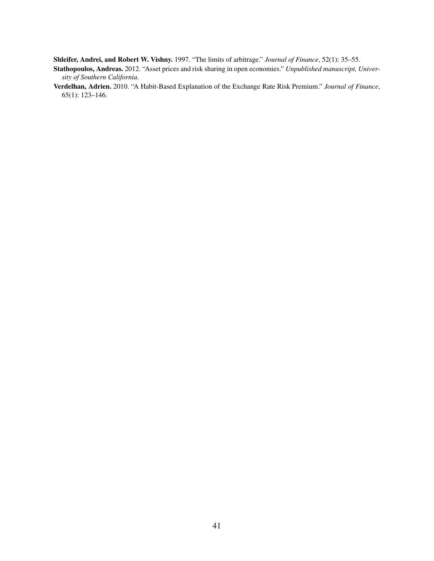<span id="page-41-2"></span>Shleifer, Andrei, and Robert W. Vishny. 1997. "The limits of arbitrage." *Journal of Finance*, 52(1): 35–55.

- <span id="page-41-1"></span>Stathopoulos, Andreas. 2012. "Asset prices and risk sharing in open economies." *Unpublished manuscript, University of Southern California*.
- <span id="page-41-0"></span>Verdelhan, Adrien. 2010. "A Habit-Based Explanation of the Exchange Rate Risk Premium." *Journal of Finance*, 65(1): 123–146.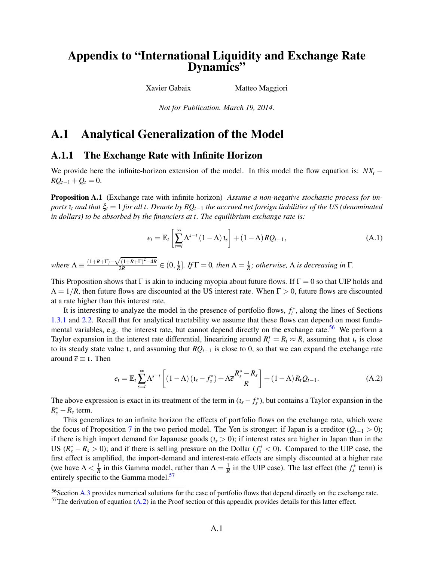# Appendix to "International Liquidity and Exchange Rate Dynamics"

Xavier Gabaix Matteo Maggiori

*Not for Publication. March 19, 2014.*

# A.1 Analytical Generalization of the Model

### A.1.1 The Exchange Rate with Infinite Horizon

We provide here the infinite-horizon extension of the model. In this model the flow equation is:  $NX<sub>t</sub>$  −  $RQ_{t-1} + Q_t = 0.$ 

Proposition A.1 (Exchange rate with infinite horizon) *Assume a non-negative stochastic process for imports*  $\iota_t$  *and that*  $\xi_t = 1$  *for all t. Denote by RQ*<sub>*t*−1</sub> *the accrued net foreign liabilities of the US (denominated in dollars) to be absorbed by the financiers at t. The equilibrium exchange rate is:*

$$
e_{t} = \mathbb{E}_{t} \left[ \sum_{s=t}^{\infty} \Lambda^{s-t} \left( 1 - \Lambda \right) t_{s} \right] + \left( 1 - \Lambda \right) R Q_{t-1}, \tag{A.1}
$$

*where*  $\Lambda \equiv \frac{(1+R+\Gamma)-1}{2}$ √  $(1+R+\Gamma)^2-4R$  $\frac{2}{2R}$   $\frac{(1+R+1)^2-4R}{2R}$   $\in (0, \frac{1}{R}]$ *. If*  $\Gamma = 0$ *, then*  $\Lambda = \frac{1}{R}$ *; otherwise,*  $\Lambda$  *is decreasing in*  $\Gamma$ *.* 

This Proposition shows that Γ is akin to inducing myopia about future flows. If  $\Gamma = 0$  so that UIP holds and  $\Lambda = 1/R$ , then future flows are discounted at the US interest rate. When  $\Gamma > 0$ , future flows are discounted at a rate higher than this interest rate.

It is interesting to analyze the model in the presence of portfolio flows,  $f_t^*$ , along the lines of Sections [1.3.1](#page-15-2) and [2.2.](#page-22-0) Recall that for analytical tractability we assume that these flows can depend on most funda-mental variables, e.g. the interest rate, but cannot depend directly on the exchange rate.<sup>[56](#page-42-0)</sup> We perform a Taylor expansion in the interest rate differential, linearizing around  $R_t^* = R_t \approx R$ , assuming that  $t_t$  is close to its steady state value *t*, and assuming that  $RQ$ <sub>*t*−1</sub> is close to 0, so that we can expand the exchange rate around  $\bar{e} \equiv i$ . Then

$$
e_{t} = \mathbb{E}_{t} \sum_{s=t}^{\infty} \Lambda^{s-t} \left[ (1-\Lambda) \left( t_{s} - f_{s}^{*} \right) + \Lambda \overline{e} \frac{R_{s}^{*} - R_{s}}{R} \right] + (1-\Lambda) R_{t} Q_{t-1}.
$$
 (A.2)

The above expression is exact in its treatment of the term in  $(t_s - f_s^*)$ , but contains a Taylor expansion in the  $R_s^* - R_s$  term.

This generalizes to an infinite horizon the effects of portfolio flows on the exchange rate, which were the focus of Proposition [7](#page-24-2) in the two period model. The Yen is stronger: if Japan is a creditor  $(Q_{t-1} > 0)$ ; if there is high import demand for Japanese goods  $(i_s > 0)$ ; if interest rates are higher in Japan than in the US  $(R_s^* - R_s > 0)$ ; and if there is selling pressure on the Dollar  $(f_s^* < 0)$ . Compared to the UIP case, the first effect is amplified, the import-demand and interest-rate effects are simply discounted at a higher rate (we have  $\Lambda < \frac{1}{R}$  in this Gamma model, rather than  $\Lambda = \frac{1}{R}$  in the UIP case). The last effect (the  $f_s^*$  term) is entirely specific to the Gamma model.<sup>[57](#page-42-1)</sup>

<span id="page-42-0"></span><sup>&</sup>lt;sup>56</sup>Section [A.3](#page-25-0) provides numerical solutions for the case of portfolio flows that depend directly on the exchange rate.

<span id="page-42-1"></span> $57$ The derivation of equation [\(A.2\)](#page-5-4) in the Proof section of this appendix provides details for this latter effect.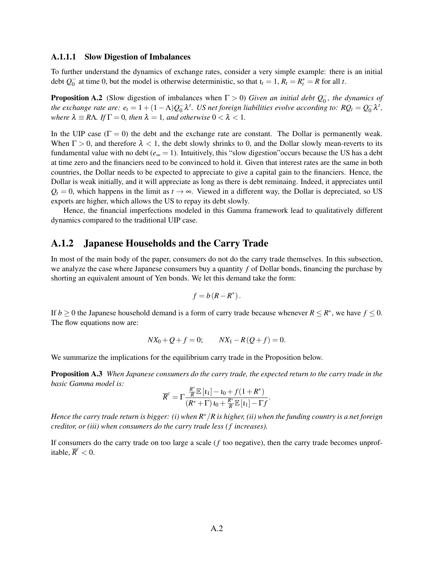#### A.1.1.1 Slow Digestion of Imbalances

To further understand the dynamics of exchange rates, consider a very simple example: there is an initial debt *Q* −  $\overline{0}$  at time 0, but the model is otherwise deterministic, so that  $\overline{t}_t = 1$ ,  $R_t = R_t^* = R$  for all *t*.

**Proposition A.2** (Slow digestion of imbalances when  $\Gamma > 0$ ) *Given an initial debt*  $Q_0^-$ , the dynamics of *the exchange rate are:*  $e_t = 1 + (1 - \Lambda)Q_0$  $\frac{1}{0} \lambda^t$ . US net foreign liabilities evolve according to: R $Q_t = Q_0^{-t}$  $\frac{1}{0}\lambda^t$ , *where*  $\lambda \equiv R\Lambda$ *. If*  $\Gamma = 0$ *, then*  $\lambda = 1$ *, and otherwise*  $0 < \lambda < 1$ *.* 

In the UIP case  $(\Gamma = 0)$  the debt and the exchange rate are constant. The Dollar is permanently weak. When  $\Gamma > 0$ , and therefore  $\lambda < 1$ , the debt slowly shrinks to 0, and the Dollar slowly mean-reverts to its fundamental value with no debt (*e*<sup>∞</sup> = 1). Intuitively, this "slow digestion"occurs because the US has a debt at time zero and the financiers need to be convinced to hold it. Given that interest rates are the same in both countries, the Dollar needs to be expected to appreciate to give a capital gain to the financiers. Hence, the Dollar is weak initially, and it will appreciate as long as there is debt reminaing. Indeed, it appreciates until  $Q_t = 0$ , which happens in the limit as  $t \to \infty$ . Viewed in a different way, the Dollar is depreciated, so US exports are higher, which allows the US to repay its debt slowly.

Hence, the financial imperfections modeled in this Gamma framework lead to qualitatively different dynamics compared to the traditional UIP case.

### A.1.2 Japanese Households and the Carry Trade

In most of the main body of the paper, consumers do not do the carry trade themselves. In this subsection, we analyze the case where Japanese consumers buy a quantity *f* of Dollar bonds, financing the purchase by shorting an equivalent amount of Yen bonds. We let this demand take the form:

$$
f = b(R - R^*).
$$

If *b*  $\geq$  0 the Japanese household demand is a form of carry trade because whenever  $R \leq R^*$ , we have  $f \leq 0$ . The flow equations now are:

$$
NX_0 + Q + f = 0; \qquad NX_1 - R(Q + f) = 0.
$$

We summarize the implications for the equilibrium carry trade in the Proposition below.

Proposition A.3 *When Japanese consumers do the carry trade, the expected return to the carry trade in the basic Gamma model is:*

$$
\overline{R}^c = \Gamma \frac{\frac{R^*}{R} \mathbb{E}[t_1] - t_0 + f(1 + R^*)}{(R^* + \Gamma) t_0 + \frac{R^*}{R} \mathbb{E}[t_1] - \Gamma f}.
$$

*Hence the carry trade return is bigger: (i) when R*∗/*R is higher, (ii) when the funding country is a net foreign creditor, or (iii) when consumers do the carry trade less ( f increases).*

If consumers do the carry trade on too large a scale (*f* too negative), then the carry trade becomes unprofitable,  $\overline{R}^c < 0$ .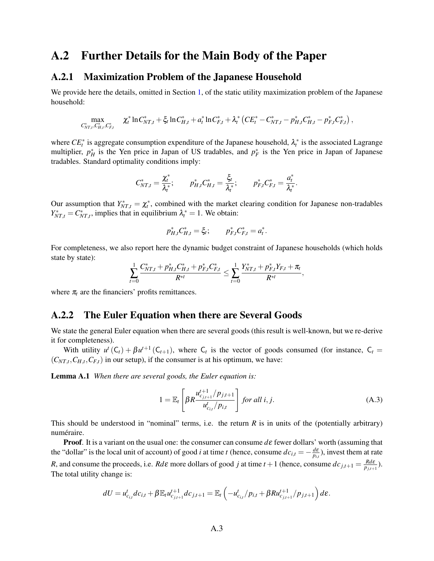# A.2 Further Details for the Main Body of the Paper

#### A.2.1 Maximization Problem of the Japanese Household

We provide here the details, omitted in Section [1,](#page-4-2) of the static utility maximization problem of the Japanese household:

<span id="page-44-0"></span>
$$
\max_{C_{NT,t}^*, C_{H,t}^*, C_{F,t}^*} \quad \chi_t^* \ln C_{NT,t}^* + \xi_t \ln C_{H,t}^* + a_t^* \ln C_{F,t}^* + \lambda_t^* \left( C E_t^* - C_{NT,t}^* - p_{H,t}^* C_{H,t}^* - p_{F,t}^* C_{F,t}^* \right),
$$

where  $CE_t^*$  is aggregate consumption expenditure of the Japanese household,  $\lambda_t^*$  is the associated Lagrange multiplier,  $p_H^*$  is the Yen price in Japan of US tradables, and  $p_F^*$  is the Yen price in Japan of Japanese tradables. Standard optimality conditions imply:

$$
C_{NT,t}^* = \frac{\chi_t^*}{\lambda_t^*}; \qquad p_{H,t}^* C_{H,t}^* = \frac{\xi_t}{\lambda_t^*}; \qquad p_{F,t}^* C_{F,t}^* = \frac{a_t^*}{\lambda_t^*}.
$$

Our assumption that  $Y_{NT,t}^* = \chi_t^*$ , combined with the market clearing condition for Japanese non-tradables  $Y_{NT,t}^* = C_{NT,t}^*$ , implies that in equilibrium  $\lambda_t^* = 1$ . We obtain:

$$
p_{H,t}^* C_{H,t}^* = \xi_t; \qquad p_{F,t}^* C_{F,t}^* = a_t^*.
$$

For completeness, we also report here the dynamic budget constraint of Japanese households (which holds state by state):

$$
\sum_{t=0}^1 \frac{C^*_{NT,t} + p^*_{H,t}C^*_{H,t} + p^*_{F,t}C^*_{F,t}}{R^{*t}} \leq \sum_{t=0}^1 \frac{Y^*_{NT,t} + p^*_{F,t}Y_{F,t} + \pi_t}{R^{*t}},
$$

where  $\pi_t$  are the financiers' profits remittances.

#### A.2.2 The Euler Equation when there are Several Goods

We state the general Euler equation when there are several goods (this result is well-known, but we re-derive it for completeness).

With utility  $u^t(C_t) + \beta u^{t+1}(C_{t+1})$ , where  $C_t$  is the vector of goods consumed (for instance,  $C_t$  $(C_{NT,t}, C_{H,t}, C_{F,t})$  in our setup), if the consumer is at his optimum, we have:

Lemma A.1 *When there are several goods, the Euler equation is:*

$$
1 = \mathbb{E}_{t} \left[ \beta R \frac{u_{c_{j,t+1}}^{t+1} / p_{j,t+1}}{u_{c_{i,t}}^{t} / p_{i,t}} \right] \text{ for all } i, j.
$$
 (A.3)

This should be understood in "nominal" terms, i.e. the return  $R$  is in units of the (potentially arbitrary) numéraire.

Proof. It is a variant on the usual one: the consumer can consume *d*ε fewer dollars' worth (assuming that the "dollar" is the local unit of account) of good *i* at time *t* (hence, consume  $dc_{i,t} = -\frac{d\epsilon}{dt}$  $\frac{d\mathcal{E}}{p_{i,t}}$ ), invest them at rate *R*, and consume the proceeds, i.e. *Rd*ε more dollars of good *j* at time  $t+1$  (hence, consume  $dc_{j,t+1} = \frac{Rd\epsilon}{R_{j,t+1}}$  $\frac{Rd\mathcal{E}}{p_{j,t+1}}$ ). The total utility change is:

$$
dU = u_{c_{i,t}}^t dc_{i,t} + \beta \mathbb{E}_t u_{c_{j,t+1}}^{t+1} dc_{j,t+1} = \mathbb{E}_t \left( -u_{c_{i,t}}^t / p_{i,t} + \beta R u_{c_{j,t+1}}^{t+1} / p_{j,t+1} \right) d\varepsilon.
$$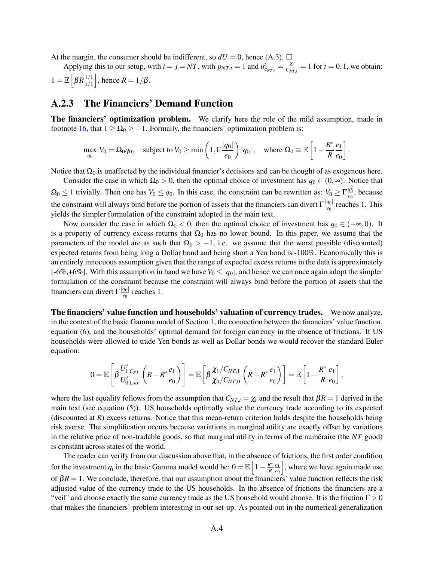At the margin, the consumer should be indifferent, so  $dU = 0$ , hence [\(A.3\)](#page-44-0).  $\Box$ 

Applying this to our setup, with  $i = j = NT$ , with  $p_{NT,t} = 1$  and  $u_{c_{NT,t}}^t = \frac{\chi_t}{C_{NT}}$  $\frac{\chi_t}{C_{NT,t}} = 1$  for  $t = 0, 1$ , we obtain:  $1 = \mathbb{E} \left[ \beta R \frac{1/1}{1/1} \right]$  $\frac{1/1}{1/1}$ , hence  $R = 1/\beta$ .

### A.2.3 The Financiers' Demand Function

The financiers' optimization problem. We clarify here the role of the mild assumption, made in footnote [16,](#page-10-0) that  $1 \ge \Omega_0 \ge -1$ . Formally, the financiers' optimization problem is:

$$
\max_{q_0} V_0 = \Omega_0 q_0, \quad \text{subject to } V_0 \ge \min\left(1, \Gamma \frac{|q_0|}{e_0}\right) |q_0|, \quad \text{where } \Omega_0 \equiv \mathbb{E}\left[1 - \frac{R^*}{R} \frac{e_1}{e_0}\right].
$$

Notice that  $Ω<sub>0</sub>$  is unaffected by the individual financier's decisions and can be thought of as exogenous here.

Consider the case in which  $\Omega_0 > 0$ , then the optimal choice of investment has  $q_0 \in (0, \infty)$ . Notice that  $\Omega_0 \le 1$  trivially. Then one has  $V_0 \le q_0$ . In this case, the constraint can be rewritten as:  $V_0 \ge \Gamma \frac{q_0^2}{e_0}$ , because the constraint will always bind before the portion of assets that the financiers can divert  $\Gamma_{\frac{q_0}{q_0}}$  $\frac{q_{01}}{e_0}$  reaches 1. This yields the simpler formulation of the constraint adopted in the main text.

Now consider the case in which  $\Omega_0 < 0$ , then the optimal choice of investment has  $q_0 \in (-\infty, 0)$ . It is a property of currency excess returns that  $\Omega_0$  has no lower bound. In this paper, we assume that the parameters of the model are as such that  $\Omega_0 > -1$ , i.e. we assume that the worst possible (discounted) expected returns from being long a Dollar bond and being short a Yen bond is -100%. Economically this is an entirely innocuous assumption given that the range of expected excess returns in the data is approximately [-6%,+6%]. With this assumption in hand we have  $V_0 \le |q_0|$ , and hence we can once again adopt the simpler formulation of the constraint because the constraint will always bind before the portion of assets that the financiers can divert Γ |*q*0|  $\frac{q_{01}}{e_0}$  reaches 1.

The financiers' value function and households' valuation of currency trades. We now analyze, in the context of the basic Gamma model of Section [1,](#page-4-2) the connection between the financiers' value function, equation [\(6\)](#page-9-3), and the households' optimal demand for foreign currency in the absence of frictions. If US households were allowed to trade Yen bonds as well as Dollar bonds we would recover the standard Euler equation:

$$
0 = \mathbb{E}\left[\beta \frac{U'_{1,C_{NT}}}{U'_{0,C_{NT}}}\left(R - R^*\frac{e_1}{e_0}\right)\right] = \mathbb{E}\left[\beta \frac{\chi_1/C_{NT,1}}{\chi_0/C_{NT,0}}\left(R - R^*\frac{e_1}{e_0}\right)\right] = \mathbb{E}\left[1 - \frac{R^*}{R}\frac{e_1}{e_0}\right],
$$

where the last equality follows from the assumption that  $C_{NT,t} = \chi_t$  and the result that  $\beta R = 1$  derived in the main text (see equation [\(5\)](#page-7-4)). US households optimally value the currency trade according to its expected (discounted at *R*) excess returns. Notice that this mean-return criterion holds despite the households being risk averse. The simplification occurs because variations in marginal utility are exactly offset by variations in the relative price of non-tradable goods, so that marginal utility in terms of the numéraire (the *NT* good) is constant across states of the world.

The reader can verify from our discussion above that, in the absence of frictions, the first order condition for the investment  $q_t$  in the basic Gamma model would be:  $0 = \mathbb{E}\left[1 - \frac{R^*}{R}\right]$ *R e*1 *e*0 , where we have again made use of  $βR = 1$ . We conclude, therefore, that our assumption about the financiers' value function reflects the risk adjusted value of the currency trade to the US households. In the absence of frictions the financiers are a "veil" and choose exactly the same currency trade as the US household would choose. It is the friction  $\Gamma > 0$ that makes the financiers' problem interesting in our set-up. As pointed out in the numerical generalization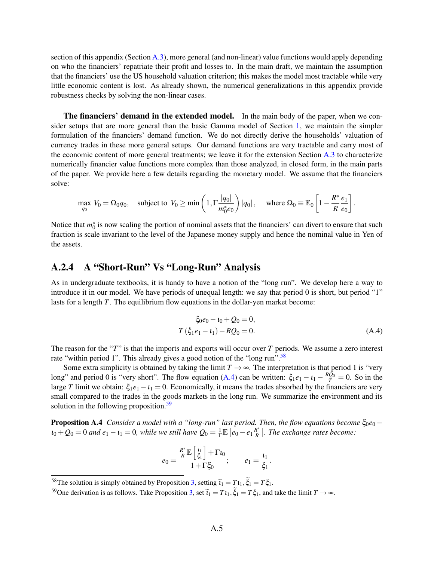section of this appendix (Section [A.3\)](#page-25-0), more general (and non-linear) value functions would apply depending on who the financiers' repatriate their profit and losses to. In the main draft, we maintain the assumption that the financiers' use the US household valuation criterion; this makes the model most tractable while very little economic content is lost. As already shown, the numerical generalizations in this appendix provide robustness checks by solving the non-linear cases.

The financiers' demand in the extended model. In the main body of the paper, when we consider setups that are more general than the basic Gamma model of Section [1,](#page-4-2) we maintain the simpler formulation of the financiers' demand function. We do not directly derive the households' valuation of currency trades in these more general setups. Our demand functions are very tractable and carry most of the economic content of more general treatments; we leave it for the extension Section [A.3](#page-25-0) to characterize numerically financier value functions more complex than those analyzed, in closed form, in the main parts of the paper. We provide here a few details regarding the monetary model. We assume that the financiers solve:

$$
\max_{q_0} V_0 = \Omega_0 q_0, \quad \text{subject to} \ \ V_0 \ge \min\left(1, \Gamma \frac{|q_0|}{m_0^* e_0}\right) |q_0|, \quad \text{ where } \Omega_0 \equiv \mathbb{E}_0 \left[1 - \frac{R^*}{R} \frac{e_1}{e_0}\right].
$$

Notice that  $m_0^*$  is now scaling the portion of nominal assets that the financiers' can divert to ensure that such fraction is scale invariant to the level of the Japanese money supply and hence the nominal value in Yen of the assets.

## A.2.4 A "Short-Run" Vs "Long-Run" Analysis

As in undergraduate textbooks, it is handy to have a notion of the "long run". We develop here a way to introduce it in our model. We have periods of unequal length: we say that period 0 is short, but period "1" lasts for a length *T*. The equilibrium flow equations in the dollar-yen market become:

<span id="page-46-1"></span>
$$
\xi_0 e_0 - t_0 + Q_0 = 0,
$$
  
\n
$$
T(\xi_1 e_1 - t_1) - RQ_0 = 0.
$$
\n(A.4)

The reason for the "*T*" is that the imports and exports will occur over *T* periods. We assume a zero interest rate "within period 1". This already gives a good notion of the "long run".<sup>[58](#page-46-0)</sup>

Some extra simplicity is obtained by taking the limit  $T \rightarrow \infty$ . The interpretation is that period 1 is "very long" and period 0 is "very short". The flow equation [\(A.4\)](#page-46-1) can be written:  $\xi_1e_1 - i_1 - \frac{RQ_0}{T} = 0$ . So in the large *T* limit we obtain:  $\xi_1e_1 - \iota_1 = 0$ . Economically, it means the trades absorbed by the financiers are very small compared to the trades in the goods markets in the long run. We summarize the environment and its solution in the following proposition.<sup>[59](#page-46-2)</sup>

**Proposition A.4** *Consider a model with a "long-run" last period. Then, the flow equations become*  $\xi_{0}e_{0}$  −  $u_0+Q_0=0$  and  $e_1-t_1=0$ , while we still have  $Q_0=\frac{1}{\Gamma}$  $\frac{1}{\Gamma} \mathbb{E} \left[ e_0 - e_1 \frac{R^*}{R} \right]$  $\frac{R^*}{R}$ . The exchange rates become:

$$
e_0 = \frac{\frac{R^*}{R}\mathbb{E}\left[\frac{t_1}{\xi_1}\right] + \Gamma t_0}{1 + \Gamma \xi_0}; \qquad e_1 = \frac{t_1}{\xi_1}.
$$

<span id="page-46-0"></span><sup>58</sup>The solution is simply obtained by Proposition [3,](#page-14-0) setting  $\tilde{i}_1 = T i_1$ ,  $\xi_1 = T \xi_1$ .

<span id="page-46-2"></span><sup>&</sup>lt;sup>59</sup>One derivation is as follows. Take Proposition [3,](#page-14-0) set  $\tilde{t}_1 = T t_1$ ,  $\tilde{\xi}_1 = T \xi_1$ , and take the limit  $T \to \infty$ .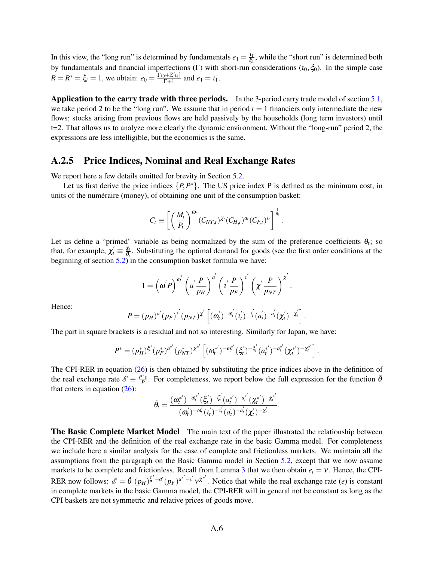In this view, the "long run" is determined by fundamentals  $e_1 = \frac{l_1}{\xi_1}$  $\frac{l_1}{\xi_1}$ , while the "short run" is determined both by fundamentals and financial imperfections (Γ) with short-run considerations ( $t_0, \xi_0$ ). In the simple case  $R = R^* = \xi_t = 1$ , we obtain:  $e_0 = \frac{\Gamma_{t_0 + \mathbb{E}[t_1]} }{\Gamma_{t_0}}$  $\frac{p_1 + p_2[i_1]}{r_1 + 1}$  and  $e_1 = i_1$ .

**Application to the carry trade with three periods.** In the 3-period carry trade model of section  $5.1$ , we take period 2 to be the "long run". We assume that in period  $t = 1$  financiers only intermediate the new flows; stocks arising from previous flows are held passively by the households (long term investors) until t=2. That allows us to analyze more clearly the dynamic environment. Without the "long-run" period 2, the expressions are less intelligible, but the economics is the same.

### A.2.5 Price Indices, Nominal and Real Exchange Rates

We report here a few details omitted for brevity in Section [5.2.](#page-36-0)

Let us first derive the price indices  $\{P, P^*\}$ . The US price index P is defined as the minimum cost, in units of the numéraire (money), of obtaining one unit of the consumption basket:

$$
C_t \equiv \left[ \left( \frac{M_t}{P_t} \right)^{\omega_t} (C_{NT,t})^{\chi_t} (C_{H,t})^{a_t} (C_{F,t})^{a_t} \right]^{\frac{1}{\theta_t}}.
$$

Let us define a "primed" variable as being normalized by the sum of the preference coefficients  $\theta_t$ ; so that, for example,  $\chi_t' \equiv \frac{\chi_t}{\theta_t}$  $\frac{\lambda t}{\theta_t}$ . Substituting the optimal demand for goods (see the first order conditions at the beginning of section [5.2\)](#page-36-0) in the consumption basket formula we have:

$$
1 = \left(\omega^{'}P\right)^{\omega^{'}} \left(a^{'}\frac{P}{p_{H}}\right)^{a^{'}} \left(t^{'}\frac{P}{p_{F}}\right)^{t^{'}} \left(\chi^{'}\frac{P}{p_{NT}}\right)^{\chi^{'}}.
$$

Hence:

$$
P = (p_H)^{a'} (p_F)^{i'} (p_{NT})^{\chi'} \left[ (\omega'_t)^{-\omega'_t} (t'_t)^{-t'_t} (\alpha'_t)^{-a'_t} (\chi'_t)^{-\chi'_t} \right].
$$

The part in square brackets is a residual and not so interesting. Similarly for Japan, we have:

$$
P^* = (p_H^*)^{\xi'} (p_F^*)^{a^{*'}} (p_{NT}^*)^{\chi^{*'}} \left[ (\omega_t^{*'})^{-\omega_t^{*'}} (\xi_t')^{-\xi_t'} (\omega_t^{*'})^{-a_t^{*'}} (\chi_t^{*'})^{-\chi_t^{*'}} \right].
$$

The CPI-RER in equation [\(26\)](#page-35-2) is then obtained by substituting the price indices above in the definition of the real exchange rate  $\mathscr{E} \equiv \frac{P^*e}{P}$  $\frac{p^*e}{P}$ . For completeness, we report below the full expression for the function  $\tilde{\theta}$ that enters in equation  $(26)$ :

$$
\tilde{\theta}_t = \frac{(\pmb{\omega}_t^{*^{\prime}})^{-\pmb{\omega}_t^{*^{\prime}}}(\xi_t^{\prime})^{-\xi_t^{\prime}}(a_t^{*^{\prime}})^{-a_t^{*^{\prime}}}(\pmb{\chi}_t^{*^{\prime}})^{-\pmb{\chi}_t^{*^{\prime}}}}{(\pmb{\omega}_t^{\prime})^{-\pmb{\omega}_t^{\prime}}( \pmb{\iota}_t^{\prime})^{-\pmb{\iota}_t^{\prime}}(a_t^{\prime})^{-a_t^{\prime}}(\pmb{\chi}_t^{\prime})^{-\pmb{\chi}_t^{\prime}}}
$$

.

**The Basic Complete Market Model** The main text of the paper illustrated the relationship between the CPI-RER and the definition of the real exchange rate in the basic Gamma model. For completeness we include here a similar analysis for the case of complete and frictionless markets. We maintain all the assumptions from the paragraph on the Basic Gamma model in Section [5.2,](#page-36-0) except that we now assume markets to be complete and frictionless. Recall from Lemma [3](#page-17-2) that we then obtain  $e_t = v$ . Hence, the CPI-RER now follows:  $\mathscr{E} = \tilde{\theta} (p_H)^{\xi'-a'} (p_F)^{a^{*'}-i'} v^{\chi^{*'}}$ . Notice that while the real exchange rate (*e*) is constant in complete markets in the basic Gamma model, the CPI-RER will in general not be constant as long as the CPI baskets are not symmetric and relative prices of goods move.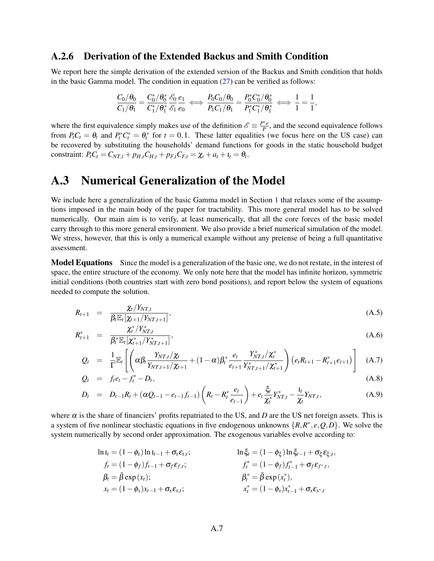### A.2.6 Derivation of the Extended Backus and Smith Condition

We report here the simple derivation of the extended version of the Backus and Smith condition that holds in the basic Gamma model. The condition in equation  $(27)$  can be verified as follows:

$$
\frac{C_0/\theta_0}{C_1/\theta_1} = \frac{C_0^*/\theta_0^* \mathscr{E}_0}{C_1^*/\theta_1^* \mathscr{E}_1 \mathscr{E}_0} \iff \frac{P_0C_0/\theta_0}{P_1C_1/\theta_1} = \frac{P_0^*C_0^*/\theta_0^*}{P_1^*C_1^*/\theta_1^*} \iff \frac{1}{1} = \frac{1}{1},
$$

where the first equivalence simply makes use of the definition  $\mathscr{E} \equiv \frac{P^*e}{P}$  $\frac{P_e}{P}$ , and the second equivalence follows from  $P_t C_t = \theta_t$  and  $P_t^* C_t^* = \theta_t^*$  for  $t = 0, 1$ . These latter equalities (we focus here on the US case) can be recovered by substituting the households' demand functions for goods in the static household budget constraint:  $P_t C_t = C_{NT,t} + p_{H,t} C_{H,t} + p_{F,t} C_{F,t} = \chi_t + a_t + t_t = \theta_t$ .

# A.3 Numerical Generalization of the Model

We include here a generalization of the basic Gamma model in Section [1](#page-4-2) that relaxes some of the assumptions imposed in the main body of the paper for tractability. This more general model has to be solved numerically. Our main aim is to verify, at least numerically, that all the core forces of the basic model carry through to this more general environment. We also provide a brief numerical simulation of the model. We stress, however, that this is only a numerical example without any pretense of being a full quantitative assessment.

Model Equations Since the model is a generalization of the basic one, we do not restate, in the interest of space, the entire structure of the economy. We only note here that the model has infinite horizon, symmetric initial conditions (both countries start with zero bond positions), and report below the system of equations needed to compute the solution.

$$
R_{t+1} = \frac{\chi_t/Y_{NT,t}}{\beta_t \mathbb{E}_t[\chi_{t+1}/Y_{NT,t+1}]},
$$
\n(A.5)

$$
R_{t+1}^* = \frac{\chi_t^* / Y_{NT,t}^*}{\beta_t^* \mathbb{E}_t[\chi_{t+1}^* / Y_{NT,t+1}^*]},
$$
\n(A.6)

$$
Q_t = \frac{1}{\Gamma} \mathbb{E}_t \left[ \left( \alpha \beta_t \frac{Y_{NT,t}/\chi_t}{Y_{NT,t+1}/\chi_{t+1}} + (1-\alpha) \beta_t^* \frac{e_t}{e_{t+1}} \frac{Y_{NT,t}^*/\chi_t^*}{Y_{NT,t+1}/\chi_{t+1}^*} \right) \left( e_t R_{t+1} - R_{t+1}^* e_{t+1} \right) \right]
$$
(A.7)

$$
Q_t = f_t e_t - f_t^* - D_t, \tag{A.8}
$$

$$
D_t = D_{t-1}R_t + (\alpha Q_{t-1} - e_{t-1}f_{t-1})\left(R_t - R_t^* \frac{e_t}{e_{t-1}}\right) + e_t \frac{\xi_t}{\chi_t^*} Y_{NT,t}^* - \frac{\iota_t}{\chi_t} Y_{NT,t}, \tag{A.9}
$$

where  $\alpha$  is the share of financiers' profits repatriated to the US, and *D* are the US net foreign assets. This is a system of five nonlinear stochastic equations in five endogenous unknowns  $\{R, R^*, e, Q, D\}$ . We solve the system numerically by second order approximation. The exogenous variables evolve according to:

$$
\ln t_{t} = (1 - \phi_{t}) \ln t_{t-1} + \sigma_{t} \varepsilon_{t,t}; \qquad \ln \xi_{t} = (1 - \phi_{\xi}) \ln \xi_{t-1} + \sigma_{\xi} \varepsilon_{\xi,t}, \nf_{t} = (1 - \phi_{f}) f_{t-1} + \sigma_{f} \varepsilon_{f,t}; \qquad f_{t}^{*} = (1 - \phi_{f}) f_{t-1}^{*} + \sigma_{f} \varepsilon_{f^{*},t}, \n\beta_{t} = \bar{\beta} \exp(x_{t}); \qquad \beta_{t}^{*} = \bar{\beta} \exp(x_{t}^{*}), \nx_{t} = (1 - \phi_{x}) x_{t-1} + \sigma_{x} \varepsilon_{x,t}; \qquad x_{t}^{*} = (1 - \phi_{x}) x_{t-1}^{*} + \sigma_{x} \varepsilon_{x^{*},t}
$$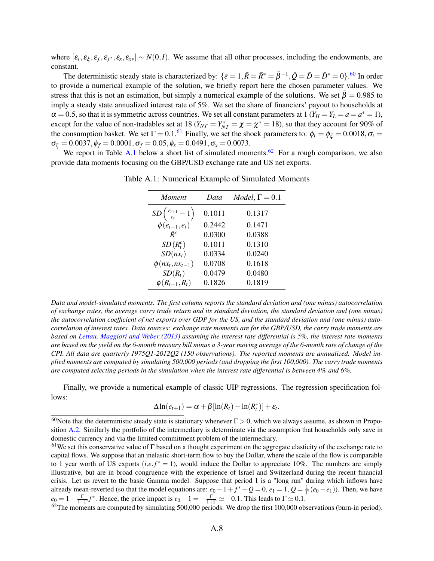where  $[\varepsilon_t, \varepsilon_{\xi}, \varepsilon_f, \varepsilon_f, \varepsilon_x, \varepsilon_{xx}] \sim N(0, I)$ . We assume that all other processes, including the endowments, are constant.

The deterministic steady state is characterized by:  $\{\bar{e} = 1, \bar{R} = \bar{R}^* = \bar{\beta}^{-1}, \bar{Q} = \bar{D} = \bar{D}^* = 0\}$ .<sup>[60](#page-49-0)</sup> In order to provide a numerical example of the solution, we briefly report here the chosen parameter values. We stress that this is not an estimation, but simply a numerical example of the solutions. We set  $\bar{\beta} = 0.985$  to imply a steady state annualized interest rate of 5%. We set the share of financiers' payout to households at  $\alpha = 0.5$ , so that it is symmetric across countries. We set all constant parameters at 1 ( $Y_H = Y_L = a = a^* = 1$ ), except for the value of non-tradables set at 18 ( $Y_{NT} = Y_{NT}^* = \chi = \chi^* = 18$ ), so that they account for 90% of the consumption basket. We set  $\Gamma = 0.1$ .<sup>[61](#page-49-1)</sup> Finally, we set the shock parameters to:  $\phi_t = \phi_{\xi} = 0.0018$ ,  $\sigma_t =$  $\sigma_{\xi} = 0.0037, \phi_f = 0.0001, \sigma_f = 0.05, \phi_x = 0.0491, \sigma_x = 0.0073.$ 

<span id="page-49-2"></span>We report in Table [A.1](#page-49-2) below a short list of simulated moments.<sup>[62](#page-49-3)</sup> For a rough comparison, we also provide data moments focusing on the GBP/USD exchange rate and US net exports.

| Moment                                 | Data   | $Model, \Gamma = 0.1$ |
|----------------------------------------|--------|-----------------------|
| $SD\left(\frac{e_{t+1}}{e_t}-1\right)$ | 0.1011 | 0.1317                |
| $\phi(e_{t+1},e_t)$                    | 0.2442 | 0.1471                |
| $\bar{R}^c$                            | 0.0300 | 0.0388                |
| $SD(R_t^c)$                            | 0.1011 | 0.1310                |
| $SD(nx_t)$                             | 0.0334 | 0.0240                |
| $\phi(nx_t, nx_{t-1})$                 | 0.0708 | 0.1618                |
| $SD(R_t)$                              | 0.0479 | 0.0480                |
| $\phi(R_{t+1},R_t)$                    | 0.1826 | 0.1819                |

Table A.1: Numerical Example of Simulated Moments

*Data and model-simulated moments. The first column reports the standard deviation and (one minus) autocorrelation of exchange rates, the average carry trade return and its standard deviation, the standard deviation and (one minus) the autocorrelation coefficient of net exports over GDP for the US, and the standard deviation and (one minus) autocorrelation of interest rates. Data sources: exchange rate moments are for the GBP/USD, the carry trade moments are based on [Lettau, Maggiori and Weber](#page-40-26) [\(2013\)](#page-40-26) assuming the interest rate differential is 5%, the interest rate moments are based on the yield on the 6-month treasury bill minus a 3-year moving average of the 6-month rate of change of the CPI. All data are quarterly 1975Q1-2012Q2 (150 observations). The reported moments are annualized. Model implied moments are computed by simulating 500,000 periods (and dropping the first 100,000). The carry trade moments are computed selecting periods in the simulation when the interest rate differential is between 4% and 6%.*

Finally, we provide a numerical example of classic UIP regressions. The regression specification follows:

$$
\Delta \ln(e_{t+1}) = \alpha + \beta [\ln(R_t) - \ln(R_t^*)] + \varepsilon_t.
$$

<span id="page-49-0"></span><sup>&</sup>lt;sup>60</sup>Note that the deterministic steady state is stationary whenever  $\Gamma > 0$ , which we always assume, as shown in Proposition [A.2.](#page-14-1) Similarly the portfolio of the intermediary is determinate via the assumption that households only save in domestic currency and via the limited commitment problem of the intermediary.

<span id="page-49-1"></span><sup>&</sup>lt;sup>61</sup>We set this conservative value of  $\Gamma$  based on a thought experiment on the aggregate elasticity of the exchange rate to capital flows. We suppose that an inelastic short-term flow to buy the Dollar, where the scale of the flow is comparable to 1 year worth of US exports  $(i.e.f^*) = 1$ , would induce the Dollar to appreciate 10%. The numbers are simply illustrative, but are in broad congruence with the experience of Israel and Switzerland during the recent financial crisis. Let us revert to the basic Gamma model. Suppose that period 1 is a "long run" during which inflows have already mean-reverted (so that the model equations are:  $e_0 - 1 + f^* + Q = 0$ ,  $e_1 = 1$ ,  $Q = \frac{1}{\Gamma}(e_0 - e_1)$ ). Then, we have  $e_0 = 1 - \frac{\Gamma}{1+\Gamma} f^*$ . Hence, the price impact is  $e_0 - 1 = -\frac{\Gamma}{1+\Gamma} \simeq -0.1$ . This leads to  $\Gamma \simeq 0.1$ .

<span id="page-49-3"></span> $62$ The moments are computed by simulating 500,000 periods. We drop the first 100,000 observations (burn-in period).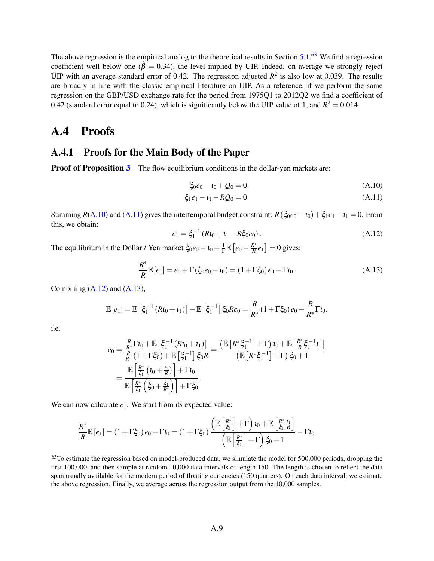The above regression is the empirical analog to the theoretical results in Section [5.1.](#page-33-0)<sup>[63](#page-50-0)</sup> We find a regression coefficient well below one ( $\hat{\beta} = 0.34$ ), the level implied by UIP. Indeed, on average we strongly reject UIP with an average standard error of 0.42. The regression adjusted  $R^2$  is also low at 0.039. The results are broadly in line with the classic empirical literature on UIP. As a reference, if we perform the same regression on the GBP/USD exchange rate for the period from 1975Q1 to 2012Q2 we find a coefficient of 0.42 (standard error equal to 0.24), which is significantly below the UIP value of 1, and  $R^2 = 0.014$ .

# A.4 Proofs

## A.4.1 Proofs for the Main Body of the Paper

**Proof of Proposition [3](#page-14-0)** The flow equilibrium conditions in the dollar-yen markets are:

<span id="page-50-2"></span><span id="page-50-1"></span>
$$
\xi_0 e_0 - t_0 + Q_0 = 0,\tag{A.10}
$$

$$
\xi_1 e_1 - t_1 - RQ_0 = 0. \tag{A.11}
$$

Summing  $R(A.10)$  $R(A.10)$  and  $(A.11)$  gives the intertemporal budget constraint:  $R(\xi_0e_0 - t_0) + \xi_1e_1 - t_1 = 0$ . From this, we obtain:

<span id="page-50-3"></span>
$$
e_1 = \xi_1^{-1} (R i_0 + i_1 - R \xi_0 e_0).
$$
 (A.12)

The equilibrium in the Dollar / Yen market  $\xi_0e_0 - t_0 + \frac{1}{\Gamma}$  $\frac{1}{\Gamma}\mathbb{E}\left[e_0 - \frac{R^*}{R}\right]$  $\frac{R^*}{R}e_1$  = 0 gives:

<span id="page-50-4"></span>
$$
\frac{R^*}{R}\mathbb{E}\left[e_1\right] = e_0 + \Gamma\left(\xi_0 e_0 - \mathbf{1}_0\right) = \left(1 + \Gamma\xi_0\right)e_0 - \Gamma\mathbf{1}_0.
$$
\n(A.13)

Combining  $(A.12)$  and  $(A.13)$ ,

$$
\mathbb{E}[e_1] = \mathbb{E}\left[\xi_1^{-1}(Rt_0 + t_1)\right] - \mathbb{E}\left[\xi_1^{-1}\right]\xi_0 Re_0 = \frac{R}{R^*}(1 + \Gamma\xi_0)e_0 - \frac{R}{R^*}\Gamma t_0,
$$

i.e.

$$
e_0 = \frac{\frac{R}{R^*} \Gamma t_0 + \mathbb{E}\left[\xi_1^{-1} \left(Rt_0 + t_1\right)\right]}{\frac{R}{R^*} \left(1 + \Gamma \xi_0\right) + \mathbb{E}\left[\xi_1^{-1}\right] \xi_0 R} = \frac{\left(\mathbb{E}\left[R^* \xi_1^{-1}\right] + \Gamma\right) t_0 + \mathbb{E}\left[\frac{R^*}{R} \xi_1^{-1} t_1\right]}{\left(\mathbb{E}\left[R^* \xi_1^{-1}\right] + \Gamma\right) \xi_0 + 1}
$$

$$
= \frac{\mathbb{E}\left[\frac{R^*}{\xi_1} \left(t_0 + \frac{t_1}{R}\right)\right] + \Gamma t_0}{\mathbb{E}\left[\frac{R^*}{\xi_1} \left(\xi_0 + \frac{\xi_1}{R^*}\right)\right] + \Gamma \xi_0}.
$$

We can now calculate  $e_1$ . We start from its expected value:

$$
\frac{R^*}{R}\mathbb{E}\left[e_1\right] = \left(1 + \Gamma \xi_0\right)e_0 - \Gamma t_0 = \left(1 + \Gamma \xi_0\right)\frac{\left(\mathbb{E}\left[\frac{R^*}{\xi_1}\right] + \Gamma\right)\iota_0 + \mathbb{E}\left[\frac{R^*}{\xi_1}\frac{\iota_1}{R}\right]}{\left(\mathbb{E}\left[\frac{R^*}{\xi_1}\right] + \Gamma\right)\xi_0 + 1} - \Gamma t_0
$$

<span id="page-50-0"></span> $63$ To estimate the regression based on model-produced data, we simulate the model for 500,000 periods, dropping the first 100,000, and then sample at random 10,000 data intervals of length 150. The length is chosen to reflect the data span usually available for the modern period of floating currencies (150 quarters). On each data interval, we estimate the above regression. Finally, we average across the regression output from the 10,000 samples.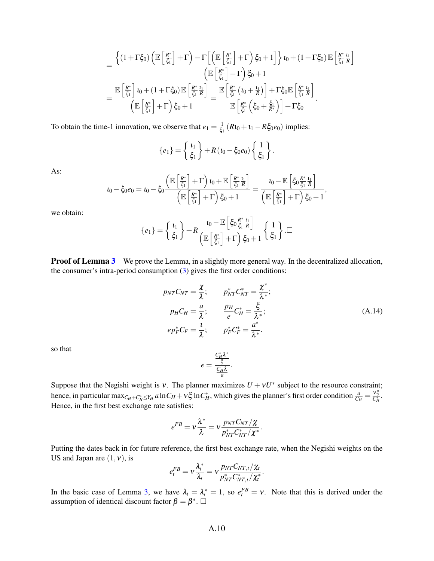$$
=\frac{\left\{(1+\Gamma\xi_0)\left(\mathbb E\left[\frac{R^*}{\xi_1}\right]+\Gamma\right)-\Gamma\left[\left(\mathbb E\left[\frac{R^*}{\xi_1}\right]+\Gamma\right)\xi_0+1\right]\right\}t_0+(1+\Gamma\xi_0)\mathbb E\left[\frac{R^*}{\xi_1}\frac{t_1}{R}\right]}{\left(\mathbb E\left[\frac{R^*}{\xi_1}\right]+\Gamma\right)\xi_0+1}\\=\frac{\mathbb E\left[\frac{R^*}{\xi_1}\right]t_0+(1+\Gamma\xi_0)\mathbb E\left[\frac{R^*}{\xi_1}\frac{t_1}{R}\right]}{\left(\mathbb E\left[\frac{R^*}{\xi_1}\right]+\Gamma\right)\xi_0+1}=\frac{\mathbb E\left[\frac{R^*}{\xi_1}\left(t_0+\frac{t_1}{R}\right)\right]+\Gamma\xi_0\mathbb E\left[\frac{R^*}{\xi_1}\frac{t_1}{R}\right]}{\mathbb E\left[\frac{R^*}{\xi_1}\left(\xi_0+\frac{\xi_1}{R^*}\right)\right]+\Gamma\xi_0}.
$$

To obtain the time-1 innovation, we observe that  $e_1 = \frac{1}{\xi_1}$  $\frac{1}{\xi_1}$  ( $Rt_0 + t_1 - R\xi_0e_0$ ) implies:

$$
\{e_1\} = \left\{\frac{\iota_1}{\xi_1}\right\} + R(\iota_0 - \xi_0 e_0) \left\{\frac{1}{\xi_1}\right\}.
$$

As:

$$
\iota_0-\xi_0e_0=\iota_0-\xi_0\frac{\left(\mathbb{E}\left[\frac{R^*}{\xi_1}\right]+\Gamma\right)\iota_0+\mathbb{E}\left[\frac{R^*}{\xi_1}\frac{\iota_1}{R}\right]}{\left(\mathbb{E}\left[\frac{R^*}{\xi_1}\right]+\Gamma\right)\xi_0+1}=\frac{\iota_0-\mathbb{E}\left[\xi_0\frac{R^*}{\xi_1}\frac{\iota_1}{R}\right]}{\left(\mathbb{E}\left[\frac{R^*}{\xi_1}\right]+\Gamma\right)\xi_0+1},
$$

we obtain:

$$
\{e_1\} = \left\{\frac{t_1}{\xi_1}\right\} + R \frac{t_0 - \mathbb{E}\left[\xi_0 \frac{R^*}{\xi_1} \frac{t_1}{R}\right]}{\left(\mathbb{E}\left[\frac{R^*}{\xi_1}\right] + \Gamma\right) \xi_0 + 1} \left\{\frac{1}{\xi_1}\right\}.\Box
$$

**Proof of Lemma [3](#page-17-2)** We prove the Lemma, in a slightly more general way. In the decentralized allocation, the consumer's intra-period consumption [\(3\)](#page-6-2) gives the first order conditions:

$$
p_{NT}C_{NT} = \frac{\chi}{\lambda}; \qquad p_{NT}^*C_{NT}^* = \frac{\chi^*}{\lambda^*};
$$
  
\n
$$
p_{H}C_{H} = \frac{a}{\lambda}; \qquad \frac{p_{H}}{e}C_{H}^* = \frac{\xi}{\lambda^*};
$$
  
\n
$$
ep_F^*C_F = \frac{1}{\lambda}; \qquad p_F^*C_F^* = \frac{a^*}{\lambda^*}.
$$
\n(A.14)

<span id="page-51-0"></span>.

so that

$$
e = \frac{\frac{C_H^*\lambda^*}{\xi}}{\frac{C_H\lambda}{a}}.
$$

Suppose that the Negishi weight is v. The planner maximizes  $U + vU^*$  subject to the resource constraint; hence, in particular  $\max_{C_H+C_H^* \le Y_H} a \ln C_H + v \xi \ln C_H^*$ , which gives the planner's first order condition  $\frac{a}{C_H} = \frac{v \xi}{C_H}$  $\frac{v\varsigma}{C_H^*}$ . Hence, in the first best exchange rate satisfies:

$$
e^{FB} = \mathsf{v}\frac{\lambda^*}{\lambda} = \mathsf{v}\frac{p_{NT}C_{NT}/\chi}{p^*_{NT}C^*_{NT}/\chi^*}
$$

Putting the dates back in for future reference, the first best exchange rate, when the Negishi weights on the US and Japan are  $(1, v)$ , is

$$
e_t^{FB} = v \frac{\lambda_t^*}{\lambda_t} = v \frac{p_{NT} C_{NT,t}/\chi_t}{p_{NT}^* C_{NT,t}^*/\chi_t^*}.
$$

In the basic case of Lemma [3,](#page-17-2) we have  $\lambda_t = \lambda_t^* = 1$ , so  $e_t^{FB} = v$ . Note that this is derived under the assumption of identical discount factor  $\beta = \beta^*$ .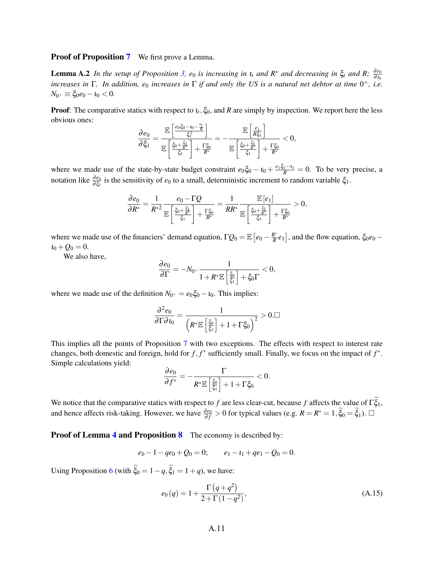#### **Proof of Proposition [7](#page-24-2)** We first prove a Lemma.

**Lemma A.2** *In the setup of Proposition* [3,](#page-14-0)  $e_0$  *is increasing in*  $\iota_t$  *and*  $R^*$  *and decreasing in*  $\xi_t$  *and*  $R$ ;  $\frac{\partial e_0}{\partial \iota_0}$ *increases in*  $\Gamma$ . In addition,  $e_0$  *increases in*  $\Gamma$  *if and only the US is a natural net debtor at time*  $0^+$ , *i.e.*  $N_{0^+} \equiv \xi_0 e_0 - i_0 < 0.$ 

**Proof**: The comparative statics with respect to  $\iota_t$ ,  $\xi_0$ , and R are simply by inspection. We report here the less obvious ones:  $\overline{11}$ 

$$
\frac{\partial e_0}{\partial \xi_1} = \frac{\mathbb{E}\left[\frac{e_0\xi_0 - t_0 - \frac{\epsilon_1}{R}}{\xi_1^2}\right]}{\mathbb{E}\left[\frac{\xi_0 + \frac{\xi_1}{R^*}}{\xi_1}\right] + \frac{\Gamma \xi_0}{R^*}} = -\frac{\mathbb{E}\left[\frac{e_1}{R \xi_1}\right]}{\mathbb{E}\left[\frac{\xi_0 + \frac{\xi_1}{R^*}}{\xi_1}\right] + \frac{\Gamma \xi_0}{R^*}} < 0,
$$

where we made use of the state-by-state budget constraint  $e_0 \xi_0 - i_0 + \frac{e_1 \xi_1 - i_1}{R} = 0$ . To be very precise, a notation like  $\frac{\partial e_0}{\partial \xi_1}$  is the sensitivity of  $e_0$  to a small, deterministic increment to random variable  $\xi_1$ .

$$
\frac{\partial e_0}{\partial R^*} = \frac{1}{R^{*2}} \frac{e_0 - \Gamma Q}{\mathbb{E}\left[\frac{\xi_0 + \frac{\xi_1}{R^*}}{\xi_1}\right] + \frac{\Gamma \xi_0}{R^*}} = \frac{1}{R R^*} \frac{\mathbb{E}\left[e_1\right]}{\mathbb{E}\left[\frac{\xi_0 + \frac{\xi_1}{R^*}}{\xi_1}\right] + \frac{\Gamma \xi_0}{R^*}} > 0,
$$

where we made use of the financiers' demand equation,  $\Gamma Q_0 = \mathbb{E}\left[e_0 - \frac{R^*}{R}\right]$  $\frac{R^*}{R}e_1$ , and the flow equation,  $\xi_0e_0$  –  $i_0 + Q_0 = 0.$ 

We also have,

$$
\frac{\partial e_0}{\partial \Gamma} = -N_{0^+} \frac{1}{1+R^* \mathbb{E}\left[\frac{\xi_0}{\xi_1}\right] + \xi_0 \Gamma} < 0,
$$

where we made use of the definition  $N_{0^+} = e_0 \xi_0 - i_0$ . This implies:

$$
\frac{\partial^2 e_0}{\partial \Gamma \partial \iota_0} = \frac{1}{\left( R^* \mathbb{E} \left[ \frac{\xi_0}{\xi_1} \right] + 1 + \Gamma \xi_0 \right)^2} > 0. \Box
$$

This implies all the points of Proposition [7](#page-24-2) with two exceptions. The effects with respect to interest rate changes, both domestic and foreign, hold for  $f, f^*$  sufficiently small. Finally, we focus on the impact of  $f^*$ . Simple calculations yield:

$$
\frac{\partial e_0}{\partial f^*} = -\frac{\Gamma}{R^* \mathbb{E}\left[\frac{\xi_0}{\xi_1}\right] + 1 + \Gamma \xi_0} < 0.
$$

We notice that the comparative statics with respect to *f* are less clear-cut, because *f* affects the value of  $\Gamma \xi_1$ , and hence affects risk-taking. However, we have  $\frac{\partial e_0}{\partial f} > 0$  for typical values (e.g.  $R = R^* = 1$ ,  $\tilde{\xi}_0 = \tilde{\xi}_1$ ). □

**Proof of Lemma [4](#page-28-2) and Proposition [8](#page-28-3)** The economy is described by:

$$
e_0-1-qe_0+Q_0=0; \qquad e_1-t_1+qe_1-Q_0=0.
$$

Using Proposition [6](#page-24-0) (with  $\xi_0 = 1 - q$ ,  $\xi_1 = 1 + q$ ), we have:

<span id="page-52-0"></span>
$$
e_0(q) = 1 + \frac{\Gamma(q + q^2)}{2 + \Gamma(1 - q^2)},
$$
\n(A.15)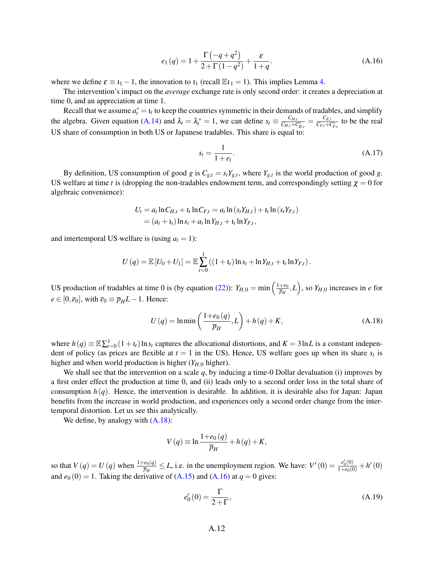$$
e_1(q) = 1 + \frac{\Gamma(-q+q^2)}{2+\Gamma(1-q^2)} + \frac{\varepsilon}{1+q}.
$$
\n(A.16)

where we define  $\varepsilon \equiv t_1 - 1$ , the innovation to  $t_1$  (recall  $\mathbb{E} t_1 = 1$ ). This implies Lemma [4.](#page-28-2)

The intervention's impact on the *average* exchange rate is only second order: it creates a depreciation at time 0, and an appreciation at time 1.

Recall that we assume  $a_t^* = \mathbf{1}_t$  to keep the countries symmetric in their demands of tradables, and simplify the algebra. Given equation [\(A.14\)](#page-51-0) and  $\lambda_t = \lambda_t^* = 1$ , we can define  $s_t \equiv \frac{C_{H,t}}{C_{H,t} + C_t}$  $\frac{C_{H,t}}{C_{H,t}+C_{H,t}^*} = \frac{C_{F,t}}{C_{F,t}+C_t}$  $\frac{C_{F,t}}{C_{F,t}+C_{F,t}^*}$  to be the real US share of consumption in both US or Japanese tradables. This share is equal to:

<span id="page-53-2"></span><span id="page-53-1"></span>
$$
s_t = \frac{1}{1 + e_t}.\tag{A.17}
$$

By definition, US consumption of good *g* is  $C_{g,t} = s_t Y_{g,t}$ , where  $Y_{g,t}$  is the world production of good *g*. US welfare at time *t* is (dropping the non-tradables endowment term, and correspondingly setting  $\chi = 0$  for algebraic convenience):

$$
U_t = a_t \ln C_{H,t} + t_t \ln C_{F,t} = a_t \ln (s_t Y_{H,t}) + t_t \ln (s_t Y_{F,t})
$$
  
=  $(a_t + t_t) \ln s_t + a_t \ln Y_{H,t} + t_t \ln Y_{F,t},$ 

and intertemporal US welfare is (using  $a_t = 1$ ):

$$
U(q) = \mathbb{E}[U_0 + U_1] = \mathbb{E}\sum_{t=0}^1 ((1 + \iota_t)\ln s_t + \ln Y_{H,t} + \iota_t \ln Y_{F,t}).
$$

US production of tradables at time 0 is (by equation [\(22\)](#page-25-1)):  $Y_{H,0} = \min \left( \frac{1+e_0}{\overline{p}_H} \right)$  $\left(\frac{+e_0}{\overline{p}_H}, L\right)$ , so  $Y_{H,0}$  increases in *e* for  $e \in [0, \overline{e}_0]$ , with  $\overline{e}_0 \equiv \overline{p}_H L - 1$ . Hence:

<span id="page-53-0"></span>
$$
U(q) = \ln \min\left(\frac{1+e_0(q)}{\overline{p}_H}, L\right) + h(q) + K,\tag{A.18}
$$

where  $h(q) \equiv \mathbb{E}\sum_{t=0}^{1} (1+t_t) \ln s_t$  captures the allocational distortions, and  $K = 3 \ln L$  is a constant independent of policy (as prices are flexible at  $t = 1$  in the US). Hence, US welfare goes up when its share  $s_t$  is higher and when world production is higher  $(Y_{H,0}$  higher).

We shall see that the intervention on a scale *q*, by inducing a time-0 Dollar devaluation (i) improves by a first order effect the production at time 0, and (ii) leads only to a second order loss in the total share of consumption *h*(*q*). Hence, the intervention is desirable. In addition, it is desirable also for Japan: Japan benefits from the increase in world production, and experiences only a second order change from the intertemporal distortion. Let us see this analytically.

We define, by analogy with  $(A.18)$ :

$$
V(q) \equiv \ln \frac{1 + e_0(q)}{\overline{p}_H} + h(q) + K,
$$

so that  $V(q) = U(q)$  when  $\frac{1 + e_0(q)}{\overline{p}_H} \le L$ , i.e. in the unemployment region. We have:  $V'(0) = \frac{e'_0(0)}{1 + e_0(0)} + h'(0)$ and  $e_0$  (0) = 1. Taking the derivative of [\(A.15\)](#page-52-0) and [\(A.16\)](#page-53-1) at  $q = 0$  gives:

<span id="page-53-3"></span>
$$
e'_0(0) = \frac{\Gamma}{2 + \Gamma},\tag{A.19}
$$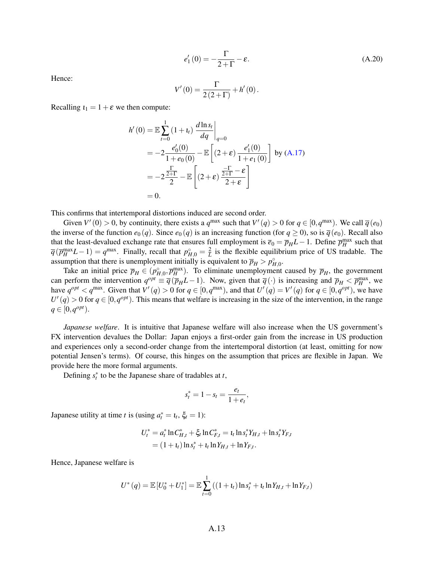<span id="page-54-0"></span>
$$
e'_1(0) = -\frac{\Gamma}{2+\Gamma} - \varepsilon.
$$
 (A.20)

Hence:

$$
V'(0) = \frac{\Gamma}{2(2+\Gamma)} + h'(0).
$$

Recalling  $t_1 = 1 + \varepsilon$  we then compute:

$$
h'(0) = \mathbb{E} \sum_{t=0}^{1} (1 + t_t) \left. \frac{d \ln s_t}{dq} \right|_{q=0}
$$
  
=  $-2 \frac{e'_0(0)}{1 + e_0(0)} - \mathbb{E} \left[ (2 + \varepsilon) \frac{e'_1(0)}{1 + e_1(0)} \right]$  by (A.17)  
=  $-2 \frac{\Gamma}{2 + \Gamma} - \mathbb{E} \left[ (2 + \varepsilon) \frac{\Gamma}{2 + \Gamma} - \varepsilon \frac{\Gamma}{2 + \varepsilon} \right]$   
= 0.

This confirms that intertemporal distortions induced are second order.

Given  $V'(0) > 0$ , by continuity, there exists a  $q^{\max}$  such that  $V'(q) > 0$  for  $q \in [0, q^{\max})$ . We call  $\overline{q}(e_0)$ the inverse of the function  $e_0(q)$ . Since  $e_0(q)$  is an increasing function (for  $q \ge 0$ ), so is  $\overline{q}(e_0)$ . Recall also that the least-devalued exchange rate that ensures full employment is  $\bar{e}_0 = \bar{p}_H L - 1$ . Define  $\bar{p}_H^{\text{max}}$  such that  $\overline{q}(\overline{p}_{H}^{\max}L-1)=q^{\max}$ . Finally, recall that  $p_{H,0}^{\circ}=\frac{2}{L}$  is the flexible equilibrium price of US tradable. The assumption that there is unemployment initially is equivalent to  $\bar{p}_H > p_{H,0}^{\circ}$ .

*H*, *H*, *p*<sup>2</sup> *H*, *H*, *H*, *H*, *H H* initial price  $\overline{p}_H \in (p_{H,0}^{\circ}, \overline{p}_H^{\text{max}})$ . To eliminate unemployment caused by  $\overline{p}_H$ , the government can perform the intervention  $q^{opt} \equiv \overline{q}(\overline{p}_H L - 1)$ . Now, given that  $\overline{q}(\cdot)$  is increasing and  $\overline{p}_H < \overline{p}_H^{max}$ , we have  $q^{opt} < q^{\text{max}}$ . Given that  $V'(q) > 0$  for  $q \in [0, q^{\text{max}})$ , and that  $U'(q) = V'(q)$  for  $q \in [0, q^{opt})$ , we have  $U'(q) > 0$  for  $q \in [0, q^{opt})$ . This means that welfare is increasing in the size of the intervention, in the range  $q \in [0, q^{opt}).$ 

*Japanese welfare*. It is intuitive that Japanese welfare will also increase when the US government's FX intervention devalues the Dollar: Japan enjoys a first-order gain from the increase in US production and experiences only a second-order change from the intertemporal distortion (at least, omitting for now potential Jensen's terms). Of course, this hinges on the assumption that prices are flexible in Japan. We provide here the more formal arguments.

Defining  $s_t^*$  to be the Japanese share of tradables at *t*,

$$
s_t^* = 1 - s_t = \frac{e_t}{1 + e_t},
$$

Japanese utility at time *t* is (using  $a_t^* = \mathbf{1}_t$ ,  $\xi_t = 1$ ):

$$
U_t^* = a_t^* \ln C_{H,t}^* + \xi_t \ln C_{F,t}^* = t_t \ln s_t^* Y_{H,t} + \ln s_t^* Y_{F,t}
$$
  
=  $(1 + t_t) \ln s_t^* + t_t \ln Y_{H,t} + \ln Y_{F,t}.$ 

Hence, Japanese welfare is

$$
U^*(q) = \mathbb{E}\left[U_0^* + U_1^*\right] = \mathbb{E}\sum_{t=0}^1 \left((1+t_t)\ln s_t^* + t_t\ln Y_{H,t} + \ln Y_{F,t}\right)
$$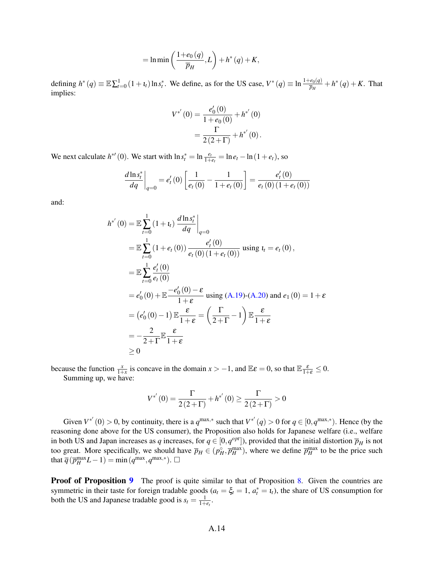$$
= \ln \min \left( \frac{1 + e_0(q)}{\overline{p}_H}, L \right) + h^*(q) + K,
$$

defining  $h^*(q) \equiv \mathbb{E}\sum_{t=0}^1 (1+t_t)\ln s_t^*$ . We define, as for the US case,  $V^*(q) \equiv \ln \frac{1+e_0(q)}{\overline{p}_H} + h^*(q) + K$ . That implies:

$$
V^{*'}(0) = \frac{e'_0(0)}{1 + e_0(0)} + h^{*'}(0)
$$
  
= 
$$
\frac{\Gamma}{2(2+\Gamma)} + h^{*'}(0).
$$

We next calculate  $h^{*'}(0)$ . We start with  $\ln s_t^* = \ln \frac{e_t}{1+e_t} = \ln e_t - \ln(1+e_t)$ , so

$$
\frac{d \ln s_t^*}{dq}\bigg|_{q=0} = e'_t(0) \left[ \frac{1}{e_t(0)} - \frac{1}{1 + e_t(0)} \right] = \frac{e'_t(0)}{e_t(0) (1 + e_t(0))}
$$

and:

$$
h^{*'}(0) = \mathbb{E} \sum_{t=0}^{1} (1 + t_t) \left. \frac{d \ln s_t^*}{dq} \right|_{q=0}
$$
  
\n
$$
= \mathbb{E} \sum_{t=0}^{1} (1 + e_t(0)) \left. \frac{e'_t(0)}{e_t(0) (1 + e_t(0))} \right| \text{ using } t_t = e_t(0),
$$
  
\n
$$
= \mathbb{E} \sum_{t=0}^{1} \frac{e'_t(0)}{e_t(0)}
$$
  
\n
$$
= e'_0(0) + \mathbb{E} \frac{-e'_0(0) - \varepsilon}{1 + \varepsilon} \text{ using (A.19)-(A.20) and } e_1(0) = 1 + \varepsilon
$$
  
\n
$$
= (e'_0(0) - 1) \mathbb{E} \frac{\varepsilon}{1 + \varepsilon} = \left( \frac{\Gamma}{2 + \Gamma} - 1 \right) \mathbb{E} \frac{\varepsilon}{1 + \varepsilon}
$$
  
\n
$$
= -\frac{2}{2 + \Gamma} \mathbb{E} \frac{\varepsilon}{1 + \varepsilon}
$$
  
\n
$$
\geq 0
$$

because the function  $\frac{x}{1+x}$  is concave in the domain  $x > -1$ , and  $\mathbb{E}\varepsilon = 0$ , so that  $\mathbb{E} \frac{\varepsilon}{1+\varepsilon} \leq 0$ . Summing up, we have:

$$
V^{*'}(0) = \frac{\Gamma}{2(2+\Gamma)} + h^{*'}(0) \ge \frac{\Gamma}{2(2+\Gamma)} > 0
$$

Given  $V^{*'}(0) > 0$ , by continuity, there is a  $q^{\max,*}$  such that  $V^{*'}(q) > 0$  for  $q \in [0, q^{\max,*})$ . Hence (by the reasoning done above for the US consumer), the Proposition also holds for Japanese welfare (i.e., welfare in both US and Japan increases as *q* increases, for  $q \in [0, q^{opt}]$ ), provided that the initial distortion  $\overline{p}_H$  is not too great. More specifically, we should have  $\overline{p}_H \in (p_H^{\circ}, \overline{p}_H^{\max})$ , where we define  $\overline{p}_H^{\max}$  to be the price such that  $\overline{q}(\overline{p}_{H}^{\max}L-1) = \min(q^{\max}, q^{\max,*})$ .  $\Box$ 

**Proof of Proposition [9](#page-31-1)** The proof is quite similar to that of Proposition [8.](#page-28-3) Given the countries are symmetric in their taste for foreign tradable goods  $(a_t = \xi_t = 1, a_t^* = \iota_t)$ , the share of US consumption for both the US and Japanese tradable good is  $s_t = \frac{1}{1 + e_t}$ .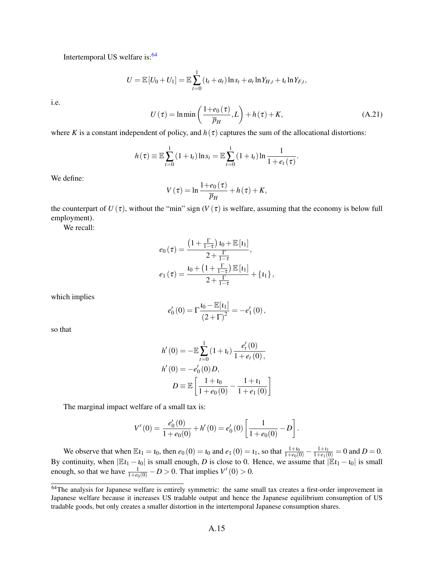Intertemporal US welfare is: $64$ 

$$
U = \mathbb{E}[U_0 + U_1] = \mathbb{E}\sum_{t=0}^{1} (t_t + a_t) \ln s_t + a_t \ln Y_{H,t} + t_t \ln Y_{F,t},
$$

i.e.

$$
U(\tau) = \ln \min \left( \frac{1 + e_0(\tau)}{\overline{p}_H}, L \right) + h(\tau) + K,
$$
\n(A.21)

.

where *K* is a constant independent of policy, and  $h(\tau)$  captures the sum of the allocational distortions:

$$
h(\tau) \equiv \mathbb{E}\sum_{t=0}^{1} (1+t_t) \ln s_t = \mathbb{E}\sum_{t=0}^{1} (1+t_t) \ln \frac{1}{1+e_t(\tau)}
$$

We define:

$$
V(\tau) = \ln \frac{1+e_0(\tau)}{\overline{p}_H} + h(\tau) + K,
$$

the counterpart of  $U(\tau)$ , without the "min" sign  $(V(\tau))$  is welfare, assuming that the economy is below full employment).

We recall:

$$
e_0(\tau) = \frac{\left(1 + \frac{\Gamma}{1-\tau}\right) \iota_0 + \mathbb{E}\left[\iota_1\right]}{2 + \frac{\Gamma}{1-\tau}},
$$
  

$$
e_1(\tau) = \frac{\iota_0 + \left(1 + \frac{\Gamma}{1-\tau}\right) \mathbb{E}\left[\iota_1\right]}{2 + \frac{\Gamma}{1-\tau}} + \left\{\iota_1\right\},
$$

which implies

$$
e_0'(0) = \Gamma \frac{\iota_0 - \mathbb{E}[ \iota_1 ]}{\left( 2 + \Gamma \right)^2} = -e_1'(0),
$$

so that

$$
h'(0) = -\mathbb{E}\sum_{t=0}^{1} (1+t_t) \frac{e'_t(0)}{1+e_t(0)},
$$
  
\n
$$
h'(0) = -e'_0(0)D,
$$
  
\n
$$
D \equiv \mathbb{E}\left[\frac{1+t_0}{1+e_0(0)} - \frac{1+t_1}{1+e_1(0)}\right]
$$

The marginal impact welfare of a small tax is:

$$
V'(0) = \frac{e'_0(0)}{1 + e_0(0)} + h'(0) = e'_0(0) \left[ \frac{1}{1 + e_0(0)} - D \right].
$$

We observe that when  $\mathbb{E}t_1 = t_0$ , then  $e_0(0) = t_0$  and  $e_1(0) = t_1$ , so that  $\frac{1+t_0}{1+e_0(0)} - \frac{1+t_1}{1+e_1(0)} = 0$  and  $D = 0$ . By continuity, when  $|E_1 - i_0|$  is small enough, *D* is close to 0. Hence, we assume that  $|E_1 - i_0|$  is small enough, so that we have  $\frac{1}{1+e_0(0)} - D > 0$ . That implies  $V'(0) > 0$ .

<span id="page-56-0"></span><sup>&</sup>lt;sup>64</sup>The analysis for Japanese welfare is entirely symmetric: the same small tax creates a first-order improvement in Japanese welfare because it increases US tradable output and hence the Japanese equilibrium consumption of US tradable goods, but only creates a smaller distortion in the intertemporal Japanese consumption shares.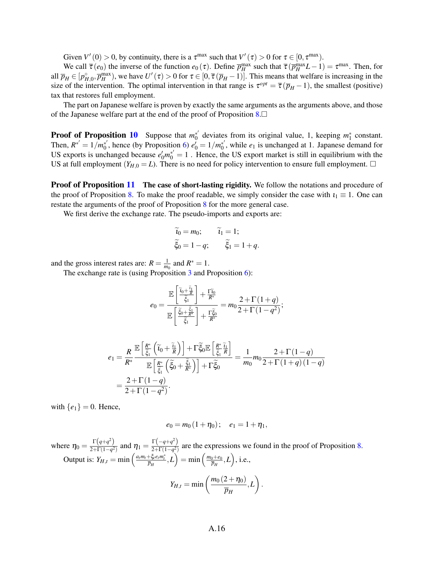Given  $V'(0) > 0$ , by continuity, there is a  $\tau^{\max}$  such that  $V'(\tau) > 0$  for  $\tau \in [0, \tau^{\max})$ .

We call  $\overline{\tau}(e_0)$  the inverse of the function  $e_0(\tau)$ . Define  $\overline{p}_H^{\max}$  such that  $\overline{\tau}(\overline{p}_H^{\max}L-1) = \tau^{\max}$ . Then, for all  $\overline{p}_H \in [p_{H,0}^{\circ}, \overline{p}_H^{\text{max}})$ , we have  $U'(\tau) > 0$  for  $\tau \in [0, \overline{\tau}(\overline{p}_H - 1)]$ . This means that welfare is increasing in the size of the intervention. The optimal intervention in that range is  $\tau^{opt} = \overline{\tau}(\overline{p}_H - 1)$ , the smallest (positive) tax that restores full employment.

The part on Japanese welfare is proven by exactly the same arguments as the arguments above, and those of the Japanese welfare part at the end of the proof of Proposition  $8.\square$  $8.\square$ 

**Proof of Proposition [10](#page-32-2)** Suppose that  $m_0^*$  $v_0^*$  deviates from its original value, 1, keeping  $m_1^*$  constant. Then,  $R^{*'} = 1/m_0^{*'}$  $e_0^*$ , hence (by Proposition [6\)](#page-24-0)  $e_0^{\prime} = 1/m_0^{*}$  $\chi_0^*$ , while  $e_1$  is unchanged at 1. Japanese demand for US exports is unchanged because  $e'_0m_0^{\ast'}=1$ . Hence, the US export market is still in equilibrium with the US at full employment  $(Y_{H,0} = L)$ . There is no need for policy intervention to ensure full employment.  $\Box$ 

**Proof of Proposition [11](#page-32-3)** The case of short-lasting rigidity. We follow the notations and procedure of the proof of Proposition [8.](#page-28-3) To make the proof readable, we simply consider the case with  $i_1 \equiv 1$ . One can restate the arguments of the proof of Proposition [8](#page-28-3) for the more general case.

We first derive the exchange rate. The pseudo-imports and exports are:

$$
\widetilde{t}_0 = m_0; \qquad \widetilde{t}_1 = 1; \n\widetilde{\xi}_0 = 1 - q; \qquad \widetilde{\xi}_1 = 1 + q.
$$

and the gross interest rates are:  $R = \frac{1}{m_0}$  and  $R^* = 1$ .

The exchange rate is (using Proposition [3](#page-14-0) and Proposition [6\)](#page-24-0):

<span id="page-57-0"></span>
$$
e_0 = \frac{\mathbb{E}\left[\frac{\widetilde{i}_0 + \widetilde{i}_1}{\widetilde{\xi}_1}\right] + \frac{\Gamma \widetilde{i}_0}{R^*}}{\mathbb{E}\left[\frac{\widetilde{\xi}_0 + \frac{\widetilde{\xi}_1}{R^*}}{\widetilde{\xi}_1}\right] + \frac{\Gamma \widetilde{\xi}_0}{R^*}} = m_0 \frac{2 + \Gamma(1+q)}{2 + \Gamma(1-q^2)};
$$

$$
e_1 = \frac{R}{R^*} \frac{\mathbb{E}\left[\frac{R^*}{\tilde{\xi}_1}\left(\tilde{\mathbf{u}}_0 + \frac{\tilde{\mathbf{u}}_1}{R}\right)\right] + \Gamma \tilde{\xi}_0 \mathbb{E}\left[\frac{R^*}{\tilde{\xi}_1}\tilde{\mathbf{h}}\right]}{\mathbb{E}\left[\frac{R^*}{\tilde{\xi}_1}\left(\tilde{\xi}_0 + \frac{\tilde{\xi}_1}{R^*}\right)\right] + \Gamma \tilde{\xi}_0} = \frac{1}{m_0} m_0 \frac{2 + \Gamma(1-q)}{2 + \Gamma(1+q)(1-q)}
$$

$$
= \frac{2 + \Gamma(1-q)}{2 + \Gamma(1-q^2)}.
$$

with  $\{e_1\} = 0$ . Hence,

$$
e_0 = m_0 (1 + \eta_0); \quad e_1 = 1 + \eta_1,
$$

where  $\eta_0 = \frac{\Gamma(q+q^2)}{2+\Gamma(1-q^2)}$  $\frac{\Gamma(q+q^2)}{2+\Gamma(1-q^2)}$  and  $\eta_1 = \frac{\Gamma(-q+q^2)}{2+\Gamma(1-q^2)}$  $\frac{2+\binom{q+q}{2}}{2+\Gamma(1-q^2)}$  are the expressions we found in the proof of Proposition [8.](#page-28-3) Output is:  $Y_{H,t} = \min\left(\frac{a_t m_t + \xi_t e_t m_t^*}{\overline{p}_H}, L\right) = \min\left(\frac{m_0 + e_0}{\overline{p}_H}\right)$  $\left(\frac{\partial H}{\partial H}+e_0\right), \text{ i.e., }$ 

$$
Y_{H,t} = \min\left(\frac{m_0(2+\eta_0)}{\overline{p}_H},L\right).
$$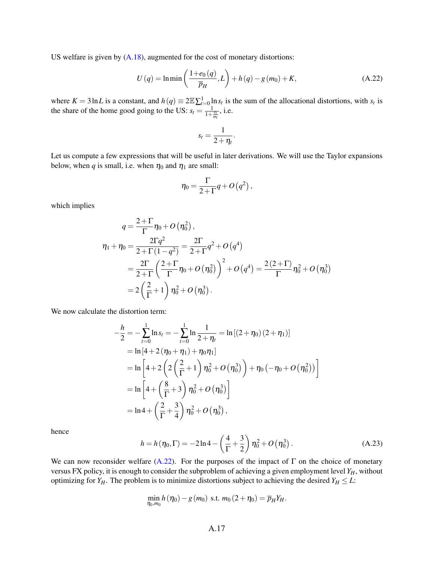US welfare is given by  $(A.18)$ , augmented for the cost of monetary distortions:

$$
U(q) = \ln \min \left( \frac{1 + e_0(q)}{\overline{p}_H}, L \right) + h(q) - g(m_0) + K,
$$
 (A.22)

where  $K = 3 \ln L$  is a constant, and  $h(q) \equiv 2 \mathbb{E} \sum_{t=0}^{1} \ln s_t$  is the sum of the allocational distortions, with  $s_t$  is the share of the home good going to the US:  $s_t = \frac{1}{1+t}$  $\frac{1}{1+\frac{e_t}{m_t}},$  i.e.

$$
s_t = \frac{1}{2 + \eta_t}.
$$

Let us compute a few expressions that will be useful in later derivations. We will use the Taylor expansions below, when *q* is small, i.e. when  $\eta_0$  and  $\eta_1$  are small:

$$
\eta_0 = \frac{\Gamma}{2+\Gamma} q + O\left(q^2\right),\,
$$

which implies

$$
q = \frac{2+\Gamma}{\Gamma} \eta_0 + O(\eta_0^2),
$$
  
\n
$$
\eta_1 + \eta_0 = \frac{2\Gamma q^2}{2+\Gamma(1-q^2)} = \frac{2\Gamma}{2+\Gamma} q^2 + O(q^4)
$$
  
\n
$$
= \frac{2\Gamma}{2+\Gamma} \left(\frac{2+\Gamma}{\Gamma} \eta_0 + O(\eta_0^2)\right)^2 + O(q^4) = \frac{2(2+\Gamma)}{\Gamma} \eta_0^2 + O(\eta_0^3)
$$
  
\n
$$
= 2\left(\frac{2}{\Gamma} + 1\right) \eta_0^2 + O(\eta_0^3).
$$

We now calculate the distortion term:

$$
-\frac{h}{2} = -\sum_{t=0}^{1} \ln s_t = -\sum_{t=0}^{1} \ln \frac{1}{2+\eta_t} = \ln [(2+\eta_0)(2+\eta_1)]
$$
  
=  $\ln [4+2(\eta_0+\eta_1)+\eta_0\eta_1]$   
=  $\ln [4+2(2(\frac{2}{\Gamma}+1)\eta_0^2+O(\eta_0^3))+\eta_0(-\eta_0+O(\eta_0^2))]$   
=  $\ln [4+(\frac{8}{\Gamma}+3)\eta_0^2+O(\eta_0^3)]$   
=  $\ln 4+(\frac{2}{\Gamma}+\frac{3}{4})\eta_0^2+O(\eta_0^3)$ ,

hence

$$
h = h(\eta_0, \Gamma) = -2\ln 4 - \left(\frac{4}{\Gamma} + \frac{3}{2}\right)\eta_0^2 + O(\eta_0^3). \tag{A.23}
$$

We can now reconsider welfare [\(A.22\)](#page-57-0). For the purposes of the impact of  $\Gamma$  on the choice of monetary versus FX policy, it is enough to consider the subproblem of achieving a given employment level *YH*, without optimizing for *Y<sub>H</sub>*. The problem is to minimize distortions subject to achieving the desired *Y<sub>H</sub>*  $\leq$  *L*:

$$
\min_{\eta_0,m_0} h(\eta_0) - g(m_0) \text{ s.t. } m_0(2+\eta_0) = \overline{p}_H Y_H.
$$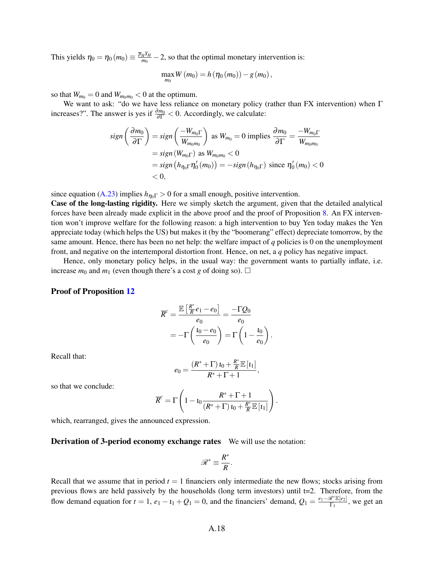This yields  $\eta_0 = \eta_0 (m_0) \equiv \frac{\overline{p}_H Y_H}{m_0}$  $\frac{H^{Y_H}}{m_0}$  – 2, so that the optimal monetary intervention is:

$$
\max_{m_0} W(m_0) = h(\eta_0(m_0)) - g(m_0),
$$

so that  $W_{m_0} = 0$  and  $W_{m_0 m_0} < 0$  at the optimum.

We want to ask: "do we have less reliance on monetary policy (rather than FX intervention) when Γ increases?". The answer is yes if  $\frac{\partial m_0}{\partial \Gamma}$  < 0. Accordingly, we calculate:

$$
sign\left(\frac{\partial m_0}{\partial \Gamma}\right) = sign\left(\frac{-W_{m_0\Gamma}}{W_{m_0m_0}}\right) \text{ as } W_{m_0} = 0 \text{ implies } \frac{\partial m_0}{\partial \Gamma} = \frac{-W_{m_0\Gamma}}{W_{m_0m_0}}
$$
  
= sign(W\_{m\_0\Gamma}) as W\_{m\_0m\_0} < 0  
= sign\left(h\_{\eta\_0\Gamma}\eta\_0'(m\_0)\right) = -sign\left(h\_{\eta\_0\Gamma}\right) \text{ since } \eta\_0'(m\_0) < 0  
< 0,

since equation [\(A.23\)](#page-30-1) implies  $h_{\eta_0\Gamma} > 0$  for a small enough, positive intervention.

Case of the long-lasting rigidity. Here we simply sketch the argument, given that the detailed analytical forces have been already made explicit in the above proof and the proof of Proposition [8.](#page-28-3) An FX intervention won't improve welfare for the following reason: a high intervention to buy Yen today makes the Yen appreciate today (which helps the US) but makes it (by the "boomerang" effect) depreciate tomorrow, by the same amount. Hence, there has been no net help: the welfare impact of *q* policies is 0 on the unemployment front, and negative on the intertemporal distortion front. Hence, on net, a *q* policy has negative impact.

Hence, only monetary policy helps, in the usual way: the government wants to partially inflate, i.e. increase  $m_0$  and  $m_1$  (even though there's a cost *g* of doing so).  $\Box$ 

#### Proof of Proposition [12](#page-33-1)

$$
\overline{R}^c = \frac{\mathbb{E}\left[\frac{R^*}{R}e_1 - e_0\right]}{e_0} = \frac{-\Gamma Q_0}{e_0}
$$

$$
= -\Gamma\left(\frac{t_0 - e_0}{e_0}\right) = \Gamma\left(1 - \frac{t_0}{e_0}\right)
$$

.

Recall that:

$$
e_0=\frac{(R^*+\Gamma) \iota_0+\frac{R^*}{R}\mathbb{E}\left[\iota_1\right]}{R^*+\Gamma+1},
$$

so that we conclude:

$$
\overline{R}^c = \Gamma \left( 1 - \iota_0 \frac{R^* + \Gamma + 1}{(R^* + \Gamma) \iota_0 + \frac{R^*}{R} \mathbb{E} \left[ \iota_1 \right]} \right).
$$

which, rearranged, gives the announced expression.

**Derivation of 3-period economy exchange rates** We will use the notation:

$$
\mathscr{R}^* \equiv \frac{R^*}{R}.
$$

Recall that we assume that in period  $t = 1$  financiers only intermediate the new flows; stocks arising from previous flows are held passively by the households (long term investors) until t=2. Therefore, from the flow demand equation for  $t = 1$ ,  $e_1 - i_1 + Q_1 = 0$ , and the financiers' demand,  $Q_1 = \frac{e_1 - \Re^* \mathbb{E}[e_2]}{\Gamma_1}$  $\frac{\mathscr{C} \mathbb{E}[e_2]}{\Gamma_1}$ , we get an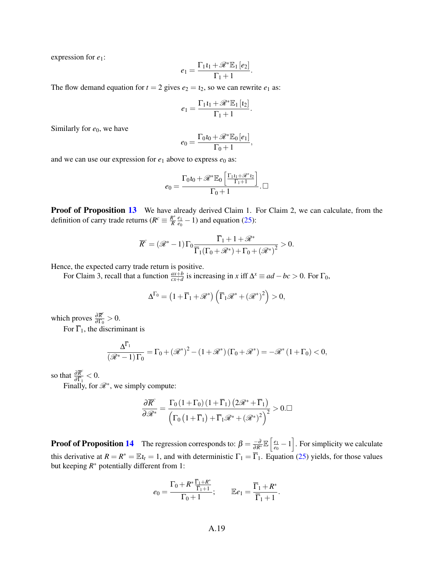expression for *e*1:

$$
e_1 = \frac{\Gamma_1 t_1 + \mathcal{R}^* \mathbb{E}_1[e_2]}{\Gamma_1 + 1}
$$

.

,

The flow demand equation for  $t = 2$  gives  $e_2 = t_2$ , so we can rewrite  $e_1$  as:

$$
e_1=\frac{\Gamma_1\iota_1+\mathscr{R}^*\mathbb{E}_1\left[\iota_2\right]}{\Gamma_1+1}.
$$

Similarly for  $e_0$ , we have

$$
e_0 = \frac{\Gamma_0 i_0 + \mathcal{R}^* \mathbb{E}_0 [e_1]}{\Gamma_0 + 1}
$$

and we can use our expression for  $e_1$  above to express  $e_0$  as:

$$
e_0 = \frac{\Gamma_0 i_0 + \mathscr{R}^* \mathbb{E}_0 \left[ \frac{\Gamma_1 i_1 + \mathscr{R}^* i_2}{\Gamma_1 + 1} \right]}{\Gamma_0 + 1} . \square
$$

**Proof of Proposition [13](#page-35-3)** We have already derived Claim 1. For Claim 2, we can calculate, from the definition of carry trade returns ( $R^c \equiv \frac{R^*}{R}$ *R e*1  $\frac{e_1}{e_0}$  – 1) and equation [\(25\)](#page-35-4):

$$
\overline{R}^c = (\mathscr{R}^* - 1) \Gamma_0 \frac{\overline{\Gamma}_1 + 1 + \mathscr{R}^*}{\overline{\Gamma}_1(\Gamma_0 + \mathscr{R}^*) + \Gamma_0 + (\mathscr{R}^*)^2} > 0.
$$

Hence, the expected carry trade return is positive.

For Claim 3, recall that a function  $\frac{ax+b}{cx+d}$  is increasing in *x* iff  $\Delta^x \equiv ad - bc > 0$ . For  $\Gamma_0$ ,

$$
\Delta^{\Gamma_0} = \left(1 + \overline{\Gamma}_1 + \mathscr{R}^* \right) \left( \overline{\Gamma}_1 \mathscr{R}^* + \left(\mathscr{R}^* \right)^2 \right) > 0,
$$

which proves  $\frac{\partial \overline{R}^c}{\partial \Gamma_c}$  $\frac{\partial R}{\partial \Gamma_0} > 0.$ 

For  $\overline{\Gamma}_1$ , the discriminant is

$$
\frac{\Delta^{\overline{\Gamma}_1}}{(\mathscr{R}^*-1)\Gamma_0} = \Gamma_0 + (\mathscr{R}^*)^2 - (1+\mathscr{R}^*) (\Gamma_0 + \mathscr{R}^*) = -\mathscr{R}^* (1+\Gamma_0) < 0,
$$

so that  $\frac{\partial \overline{R}^c}{\partial \overline{R}^c}$  $\frac{\partial K}{\partial \overline{\Gamma}_1} < 0.$ 

Finally, for  $\mathcal{R}^*$ , we simply compute:

$$
\frac{\partial \overline{R}^c}{\partial \mathscr{R}^*} = \frac{\Gamma_0 \left(1 + \Gamma_0 \right) \left(1 + \overline{\Gamma}_1 \right) \left(2 \mathscr{R}^* + \overline{\Gamma}_1 \right)}{\left(\Gamma_0 \left(1 + \overline{\Gamma}_1 \right) + \overline{\Gamma}_1 \mathscr{R}^* + \left(\mathscr{R}^* \right)^2 \right)^2} > 0. \Box
$$

**Proof of Proposition [14](#page-36-1)** The regression corresponds to:  $\beta = \frac{-\partial}{\partial R^*} \mathbb{E} \left[ \frac{e_1}{e_0} \right]$  $\left[\frac{e_1}{e_0} - 1\right]$ . For simplicity we calculate this derivative at  $R = R^* = \mathbb{E}t_t = 1$ , and with deterministic  $\Gamma_1 = \overline{\Gamma}_1$ . Equation [\(25\)](#page-35-4) yields, for those values but keeping *R* <sup>∗</sup> potentially different from 1:

$$
e_0 = \frac{\Gamma_0 + R^* \frac{\overline{\Gamma}_1 + R^*}{\overline{\Gamma}_1 + 1}}{\Gamma_0 + 1}; \qquad \mathbb{E}e_1 = \frac{\overline{\Gamma}_1 + R^*}{\overline{\Gamma}_1 + 1}.
$$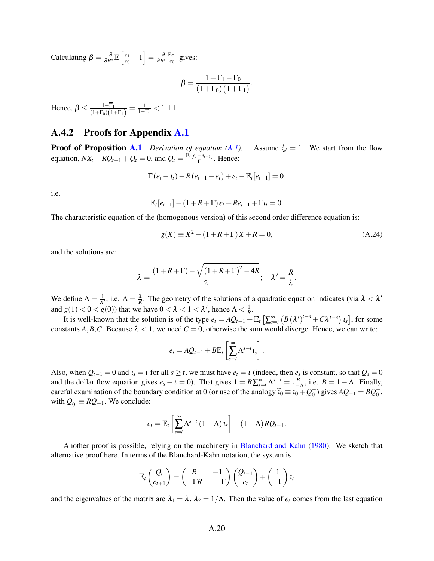Calculating  $\beta = \frac{-\partial}{\partial R^*}\mathbb{E}\left[\frac{e_1}{e_0}\right]$  $\left[\frac{e_1}{e_0}-1\right]=\frac{-\partial}{\partial R^*}$ E*e*<sup>1</sup>  $\frac{e_1}{e_0}$  gives:

$$
\beta = \frac{1 + \overline{\Gamma}_1 - \Gamma_0}{\left(1 + \Gamma_0\right)\left(1 + \overline{\Gamma}_1\right)}.
$$

Hence,  $\beta \leq \frac{1+\Gamma_1}{(1+\Gamma_0)(1+\Gamma_0)}$  $\frac{1+\Gamma_1}{(1+\Gamma_0)(1+\overline{\Gamma}_1)}=\frac{1}{1+\Gamma_0}< 1.$   $\Box$ 

## A.4.2 Proofs for Appendix [A.1](#page-4-2)

**Proof of Proposition [A.1](#page-13-0)** *Derivation of equation [\(A.1\)](#page-5-2).* Assume  $\xi_t = 1$ *.* We start from the flow equation,  $NX_t - RQ_{t-1} + Q_t = 0$ , and  $Q_t = \frac{\mathbb{E}_t[e_t - e_{t+1}]}{\Gamma}$  $\frac{-e_{t+1}}{\Gamma}$ . Hence:

$$
\Gamma(e_t - t_t) - R(e_{t-1} - e_t) + e_t - \mathbb{E}_t[e_{t+1}] = 0,
$$

i.e.

$$
\mathbb{E}_{t}[e_{t+1}] - (1 + R + \Gamma) e_t + Re_{t-1} + \Gamma t_t = 0.
$$

The characteristic equation of the (homogenous version) of this second order difference equation is:

<span id="page-61-0"></span>
$$
g(X) \equiv X^2 - (1 + R + \Gamma)X + R = 0,
$$
\n(A.24)

and the solutions are:

$$
\lambda = \frac{(1 + R + \Gamma) - \sqrt{(1 + R + \Gamma)^2 - 4R}}{2}; \quad \lambda' = \frac{R}{\lambda}.
$$

We define  $\Lambda = \frac{1}{\lambda}$  $\frac{1}{\lambda'}$ , i.e.  $\Lambda = \frac{\lambda}{R}$ . The geometry of the solutions of a quadratic equation indicates (via λ < λ' and  $g(1) < 0 < g(0)$ ) that we have  $0 < \lambda < 1 < \lambda'$ , hence  $\Lambda < \frac{1}{R}$ .

It is well-known that the solution is of the type  $e_t = AQ_{t-1} + \mathbb{E}_t \left[ \sum_{s=t}^{\infty} \left( B(\lambda')^{t-s} + C\lambda^{t-s} \right) t_s \right]$ , for some constants *A*, *B*, *C*. Because  $\lambda$  < 1, we need *C* = 0, otherwise the sum would diverge. Hence, we can write:

$$
e_t = AQ_{t-1} + B\mathbb{E}_t\left[\sum_{s=t}^{\infty} \Lambda^{s-t} \mathbf{1}_s\right].
$$

Also, when  $Q_{t-1} = 0$  and  $\iota_s = \iota$  for all  $s \geq t$ , we must have  $e_t = \iota$  (indeed, then  $e_s$  is constant, so that  $Q_s = 0$ and the dollar flow equation gives  $e_s - t = 0$ ). That gives  $1 = B \sum_{s=t}^{\infty} \Lambda^{s-t} = \frac{B}{1-\Lambda}$ , i.e.  $B = 1-\Lambda$ . Finally, careful examination of the boundary condition at 0 (or use of the analogy  $\tilde{t}_0 \equiv t_0 + Q_0^ \binom{1}{0}$  gives  $AQ_{-1} = BQ_0^-$ , with  $Q_0^ \equiv$  *RQ*<sub>−1</sub>. We conclude:

$$
e_{t} = \mathbb{E}_{t} \left[ \sum_{s=t}^{\infty} \Lambda^{s-t} \left( 1 - \Lambda \right) t_{s} \right] + \left( 1 - \Lambda \right) R Q_{t-1}.
$$

Another proof is possible, relying on the machinery in [Blanchard and Kahn](#page-63-0) [\(1980\)](#page-63-0). We sketch that alternative proof here. In terms of the Blanchard-Kahn notation, the system is

$$
\mathbb{E}_{t}\begin{pmatrix} Q_{t} \\ e_{t+1} \end{pmatrix} = \begin{pmatrix} R & -1 \\ -\Gamma R & 1+\Gamma \end{pmatrix} \begin{pmatrix} Q_{t-1} \\ e_{t} \end{pmatrix} + \begin{pmatrix} 1 \\ -\Gamma \end{pmatrix} t_{t}
$$

and the eigenvalues of the matrix are  $\lambda_1 = \lambda$ ,  $\lambda_2 = 1/\Lambda$ . Then the value of  $e_t$  comes from the last equation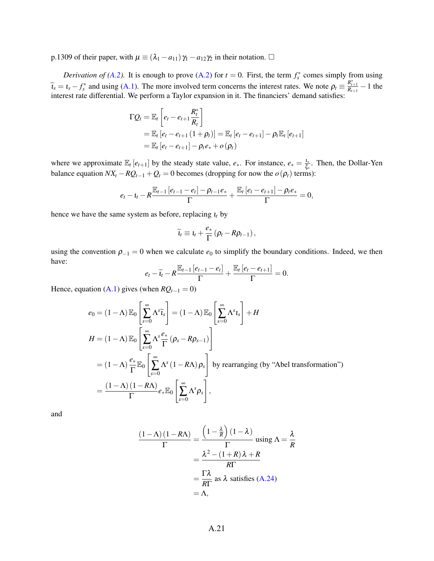p.1309 of their paper, with  $\mu \equiv (\lambda_1 - a_{11}) \gamma_1 - a_{12} \gamma_2$  in their notation.  $\Box$ 

*Derivation of [\(A.2\)](#page-5-4).* It is enough to prove (A.2) for  $t = 0$ . First, the term  $f_s^*$  comes simply from using  $\widetilde{I}_s = I_s - f_s^*$  and using [\(A.1\)](#page-5-2). The more involved term concerns the interest rates. We note  $\rho_t \equiv \frac{R_{t+1}^*}{R_{t+1}} - 1$  the interest rate differential. We perform a Taylor expansion in it. The financiers' demand satisfies:

$$
\Gamma Q_t = \mathbb{E}_t \left[ e_t - e_{t+1} \frac{R_t^*}{R_t} \right]
$$
  
=  $\mathbb{E}_t [e_t - e_{t+1} (1 + \rho_t)] = \mathbb{E}_t [e_t - e_{t+1}] - \rho_t \mathbb{E}_t [e_{t+1}]$   
=  $\mathbb{E}_t [e_t - e_{t+1}] - \rho_t e_* + o(\rho_t)$ 

where we approximate  $\mathbb{E}_t[e_{t+1}]$  by the steady state value,  $e_*,$  For instance,  $e_* = \frac{I_*}{\xi_*}$  $\frac{l_*}{\xi_*}$ . Then, the Dollar-Yen balance equation  $NX_t - RQ_{t-1} + Q_t = 0$  becomes (dropping for now the  $o(\rho_t)$  terms):

$$
e_{t}-t_{t}-R\frac{\mathbb{E}_{t-1}[e_{t-1}-e_{t}]-\rho_{t-1}e_{*}}{\Gamma}+\frac{\mathbb{E}_{t}[e_{t}-e_{t+1}]-\rho_{t}e_{*}}{\Gamma}=0,
$$

hence we have the same system as before, replacing ι*<sup>t</sup>* by

$$
\widetilde{\iota}_t \equiv \iota_t + \frac{e_*}{\Gamma} (\rho_t - R \rho_{t-1}),
$$

using the convention  $\rho_{-1} = 0$  when we calculate  $e_0$  to simplify the boundary conditions. Indeed, we then have:

$$
e_t - \widetilde{t}_t - R \frac{\mathbb{E}_{t-1} [e_{t-1} - e_t]}{\Gamma} + \frac{\mathbb{E}_t [e_t - e_{t+1}]}{\Gamma} = 0.
$$

Hence, equation [\(A.1\)](#page-5-2) gives (when  $RQ_{t-1} = 0$ )

$$
e_0 = (1 - \Lambda) \mathbb{E}_0 \left[ \sum_{s=0}^{\infty} \Lambda^s \widetilde{t}_s \right] = (1 - \Lambda) \mathbb{E}_0 \left[ \sum_{s=0}^{\infty} \Lambda^s t_s \right] + H
$$
  
\n
$$
H = (1 - \Lambda) \mathbb{E}_0 \left[ \sum_{s=0}^{\infty} \Lambda^s \frac{e_*}{\Gamma} (\rho_s - R \rho_{s-1}) \right]
$$
  
\n
$$
= (1 - \Lambda) \frac{e_*}{\Gamma} \mathbb{E}_0 \left[ \sum_{s=0}^{\infty} \Lambda^s (1 - R \Lambda) \rho_s \right] \text{ by rearranging (by "Abel transformation")}
$$
  
\n
$$
= \frac{(1 - \Lambda)(1 - R\Lambda)}{\Gamma} e_* \mathbb{E}_0 \left[ \sum_{s=0}^{\infty} \Lambda^s \rho_s \right],
$$

and

$$
\frac{(1 - \Lambda)(1 - R\Lambda)}{\Gamma} = \frac{\left(1 - \frac{\lambda}{R}\right)(1 - \lambda)}{\Gamma} \text{ using } \Lambda = \frac{\lambda}{R}
$$

$$
= \frac{\lambda^2 - (1 + R)\lambda + R}{R\Gamma}
$$

$$
= \frac{\Gamma\lambda}{R\Gamma} \text{ as } \lambda \text{ satisfies (A.24)}
$$

$$
= \Lambda,
$$